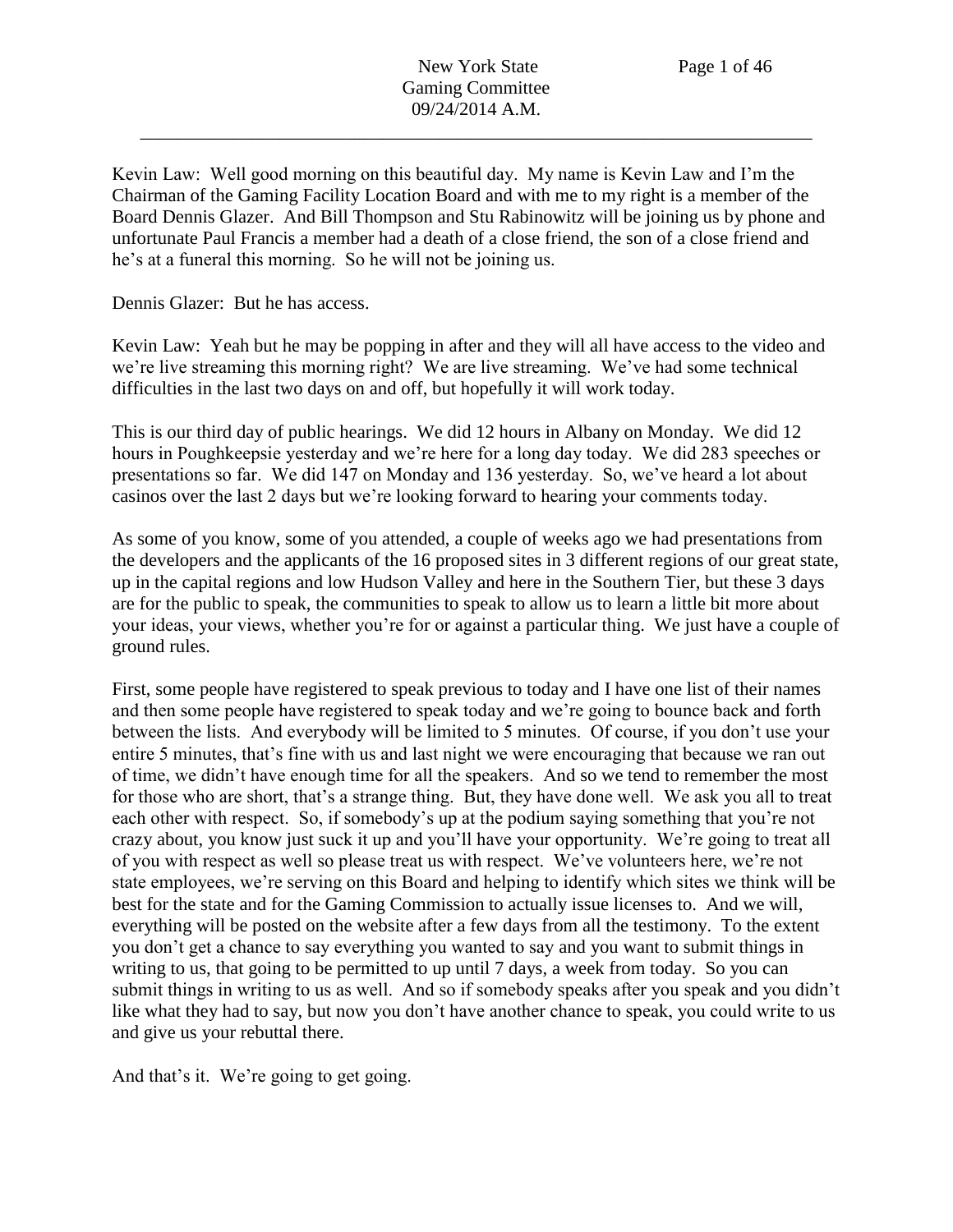Kevin Law: Well good morning on this beautiful day. My name is Kevin Law and I'm the Chairman of the Gaming Facility Location Board and with me to my right is a member of the Board Dennis Glazer. And Bill Thompson and Stu Rabinowitz will be joining us by phone and unfortunate Paul Francis a member had a death of a close friend, the son of a close friend and he's at a funeral this morning. So he will not be joining us.

Dennis Glazer: But he has access.

Kevin Law: Yeah but he may be popping in after and they will all have access to the video and we're live streaming this morning right? We are live streaming. We've had some technical difficulties in the last two days on and off, but hopefully it will work today.

This is our third day of public hearings. We did 12 hours in Albany on Monday. We did 12 hours in Poughkeepsie yesterday and we're here for a long day today. We did 283 speeches or presentations so far. We did 147 on Monday and 136 yesterday. So, we've heard a lot about casinos over the last 2 days but we're looking forward to hearing your comments today.

As some of you know, some of you attended, a couple of weeks ago we had presentations from the developers and the applicants of the 16 proposed sites in 3 different regions of our great state, up in the capital regions and low Hudson Valley and here in the Southern Tier, but these 3 days are for the public to speak, the communities to speak to allow us to learn a little bit more about your ideas, your views, whether you're for or against a particular thing. We just have a couple of ground rules.

First, some people have registered to speak previous to today and I have one list of their names and then some people have registered to speak today and we're going to bounce back and forth between the lists. And everybody will be limited to 5 minutes. Of course, if you don't use your entire 5 minutes, that's fine with us and last night we were encouraging that because we ran out of time, we didn't have enough time for all the speakers. And so we tend to remember the most for those who are short, that's a strange thing. But, they have done well. We ask you all to treat each other with respect. So, if somebody's up at the podium saying something that you're not crazy about, you know just suck it up and you'll have your opportunity. We're going to treat all of you with respect as well so please treat us with respect. We've volunteers here, we're not state employees, we're serving on this Board and helping to identify which sites we think will be best for the state and for the Gaming Commission to actually issue licenses to. And we will, everything will be posted on the website after a few days from all the testimony. To the extent you don't get a chance to say everything you wanted to say and you want to submit things in writing to us, that going to be permitted to up until 7 days, a week from today. So you can submit things in writing to us as well. And so if somebody speaks after you speak and you didn't like what they had to say, but now you don't have another chance to speak, you could write to us and give us your rebuttal there.

And that's it. We're going to get going.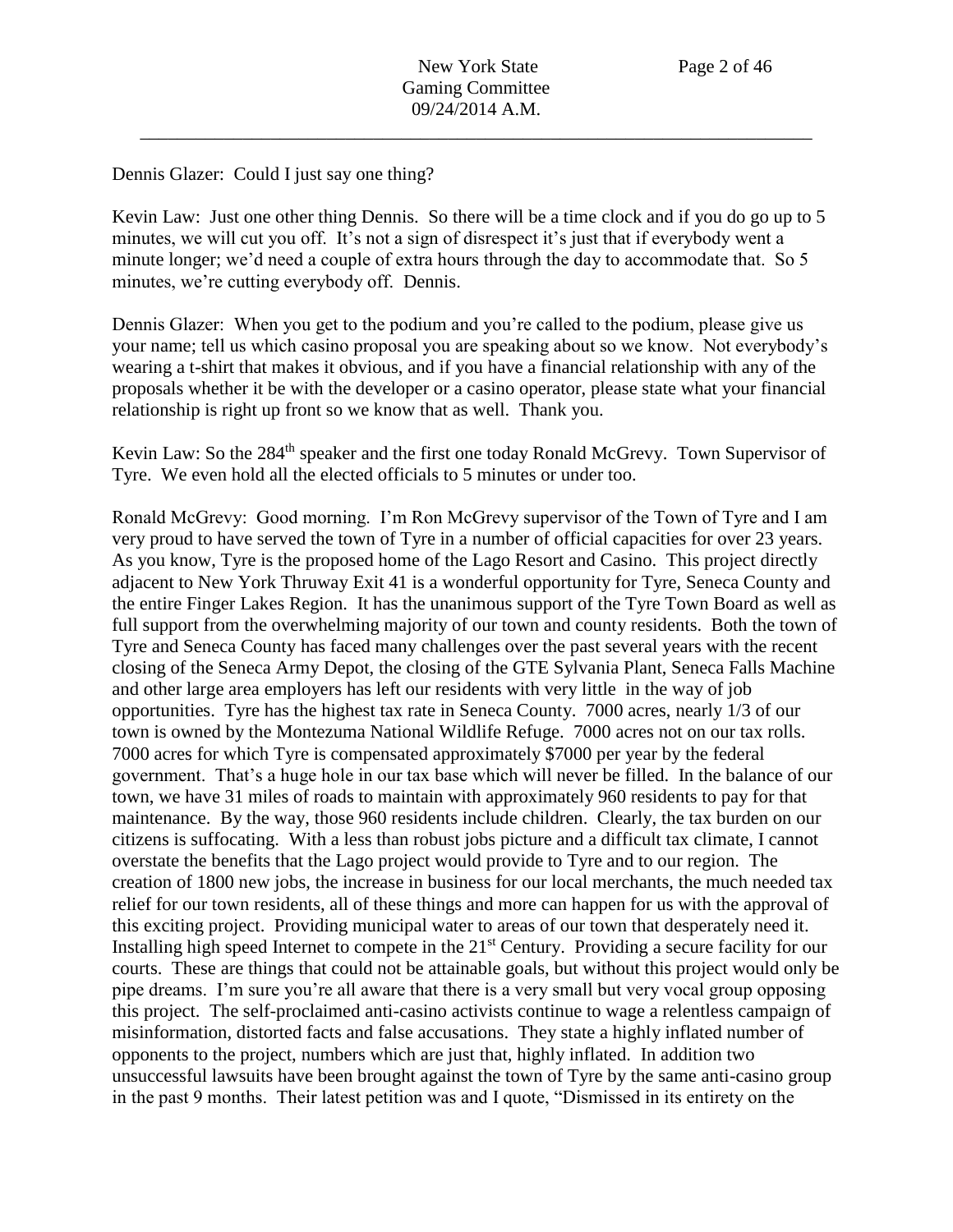## Dennis Glazer: Could I just say one thing?

Kevin Law: Just one other thing Dennis. So there will be a time clock and if you do go up to 5 minutes, we will cut you off. It's not a sign of disrespect it's just that if everybody went a minute longer; we'd need a couple of extra hours through the day to accommodate that. So 5 minutes, we're cutting everybody off. Dennis.

Dennis Glazer: When you get to the podium and you're called to the podium, please give us your name; tell us which casino proposal you are speaking about so we know. Not everybody's wearing a t-shirt that makes it obvious, and if you have a financial relationship with any of the proposals whether it be with the developer or a casino operator, please state what your financial relationship is right up front so we know that as well. Thank you.

Kevin Law: So the 284<sup>th</sup> speaker and the first one today Ronald McGrevy. Town Supervisor of Tyre. We even hold all the elected officials to 5 minutes or under too.

Ronald McGrevy: Good morning. I'm Ron McGrevy supervisor of the Town of Tyre and I am very proud to have served the town of Tyre in a number of official capacities for over 23 years. As you know, Tyre is the proposed home of the Lago Resort and Casino. This project directly adjacent to New York Thruway Exit 41 is a wonderful opportunity for Tyre, Seneca County and the entire Finger Lakes Region. It has the unanimous support of the Tyre Town Board as well as full support from the overwhelming majority of our town and county residents. Both the town of Tyre and Seneca County has faced many challenges over the past several years with the recent closing of the Seneca Army Depot, the closing of the GTE Sylvania Plant, Seneca Falls Machine and other large area employers has left our residents with very little in the way of job opportunities. Tyre has the highest tax rate in Seneca County. 7000 acres, nearly 1/3 of our town is owned by the Montezuma National Wildlife Refuge. 7000 acres not on our tax rolls. 7000 acres for which Tyre is compensated approximately \$7000 per year by the federal government. That's a huge hole in our tax base which will never be filled. In the balance of our town, we have 31 miles of roads to maintain with approximately 960 residents to pay for that maintenance. By the way, those 960 residents include children. Clearly, the tax burden on our citizens is suffocating. With a less than robust jobs picture and a difficult tax climate, I cannot overstate the benefits that the Lago project would provide to Tyre and to our region. The creation of 1800 new jobs, the increase in business for our local merchants, the much needed tax relief for our town residents, all of these things and more can happen for us with the approval of this exciting project. Providing municipal water to areas of our town that desperately need it. Installing high speed Internet to compete in the 21<sup>st</sup> Century. Providing a secure facility for our courts. These are things that could not be attainable goals, but without this project would only be pipe dreams. I'm sure you're all aware that there is a very small but very vocal group opposing this project. The self-proclaimed anti-casino activists continue to wage a relentless campaign of misinformation, distorted facts and false accusations. They state a highly inflated number of opponents to the project, numbers which are just that, highly inflated. In addition two unsuccessful lawsuits have been brought against the town of Tyre by the same anti-casino group in the past 9 months. Their latest petition was and I quote, "Dismissed in its entirety on the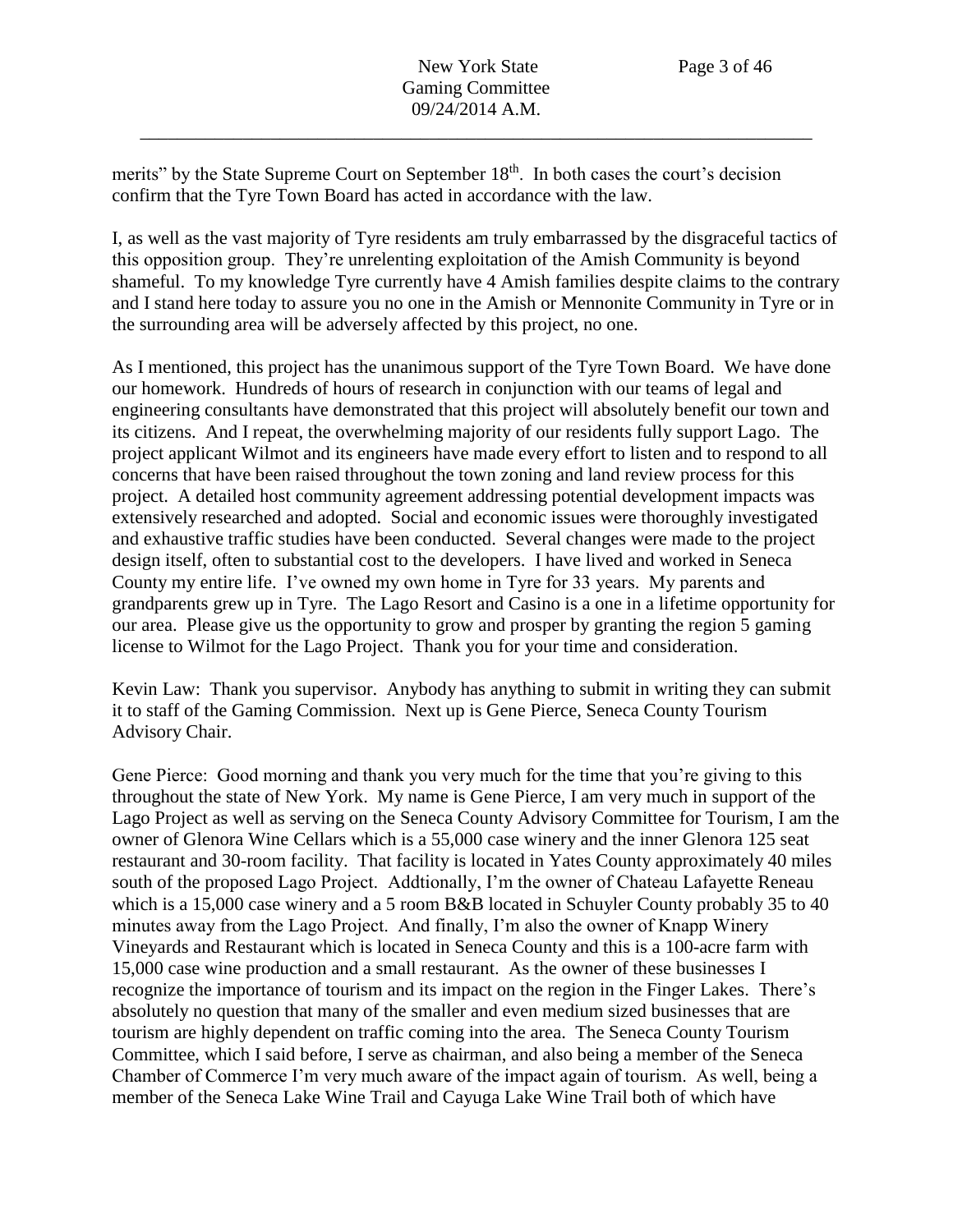merits" by the State Supreme Court on September 18<sup>th</sup>. In both cases the court's decision confirm that the Tyre Town Board has acted in accordance with the law.

I, as well as the vast majority of Tyre residents am truly embarrassed by the disgraceful tactics of this opposition group. They're unrelenting exploitation of the Amish Community is beyond shameful. To my knowledge Tyre currently have 4 Amish families despite claims to the contrary and I stand here today to assure you no one in the Amish or Mennonite Community in Tyre or in the surrounding area will be adversely affected by this project, no one.

As I mentioned, this project has the unanimous support of the Tyre Town Board. We have done our homework. Hundreds of hours of research in conjunction with our teams of legal and engineering consultants have demonstrated that this project will absolutely benefit our town and its citizens. And I repeat, the overwhelming majority of our residents fully support Lago. The project applicant Wilmot and its engineers have made every effort to listen and to respond to all concerns that have been raised throughout the town zoning and land review process for this project. A detailed host community agreement addressing potential development impacts was extensively researched and adopted. Social and economic issues were thoroughly investigated and exhaustive traffic studies have been conducted. Several changes were made to the project design itself, often to substantial cost to the developers. I have lived and worked in Seneca County my entire life. I've owned my own home in Tyre for 33 years. My parents and grandparents grew up in Tyre. The Lago Resort and Casino is a one in a lifetime opportunity for our area. Please give us the opportunity to grow and prosper by granting the region 5 gaming license to Wilmot for the Lago Project. Thank you for your time and consideration.

Kevin Law: Thank you supervisor. Anybody has anything to submit in writing they can submit it to staff of the Gaming Commission. Next up is Gene Pierce, Seneca County Tourism Advisory Chair.

Gene Pierce: Good morning and thank you very much for the time that you're giving to this throughout the state of New York. My name is Gene Pierce, I am very much in support of the Lago Project as well as serving on the Seneca County Advisory Committee for Tourism, I am the owner of Glenora Wine Cellars which is a 55,000 case winery and the inner Glenora 125 seat restaurant and 30-room facility. That facility is located in Yates County approximately 40 miles south of the proposed Lago Project. Addtionally, I'm the owner of Chateau Lafayette Reneau which is a 15,000 case winery and a 5 room B&B located in Schuyler County probably 35 to 40 minutes away from the Lago Project. And finally, I'm also the owner of Knapp Winery Vineyards and Restaurant which is located in Seneca County and this is a 100-acre farm with 15,000 case wine production and a small restaurant. As the owner of these businesses I recognize the importance of tourism and its impact on the region in the Finger Lakes. There's absolutely no question that many of the smaller and even medium sized businesses that are tourism are highly dependent on traffic coming into the area. The Seneca County Tourism Committee, which I said before, I serve as chairman, and also being a member of the Seneca Chamber of Commerce I'm very much aware of the impact again of tourism. As well, being a member of the Seneca Lake Wine Trail and Cayuga Lake Wine Trail both of which have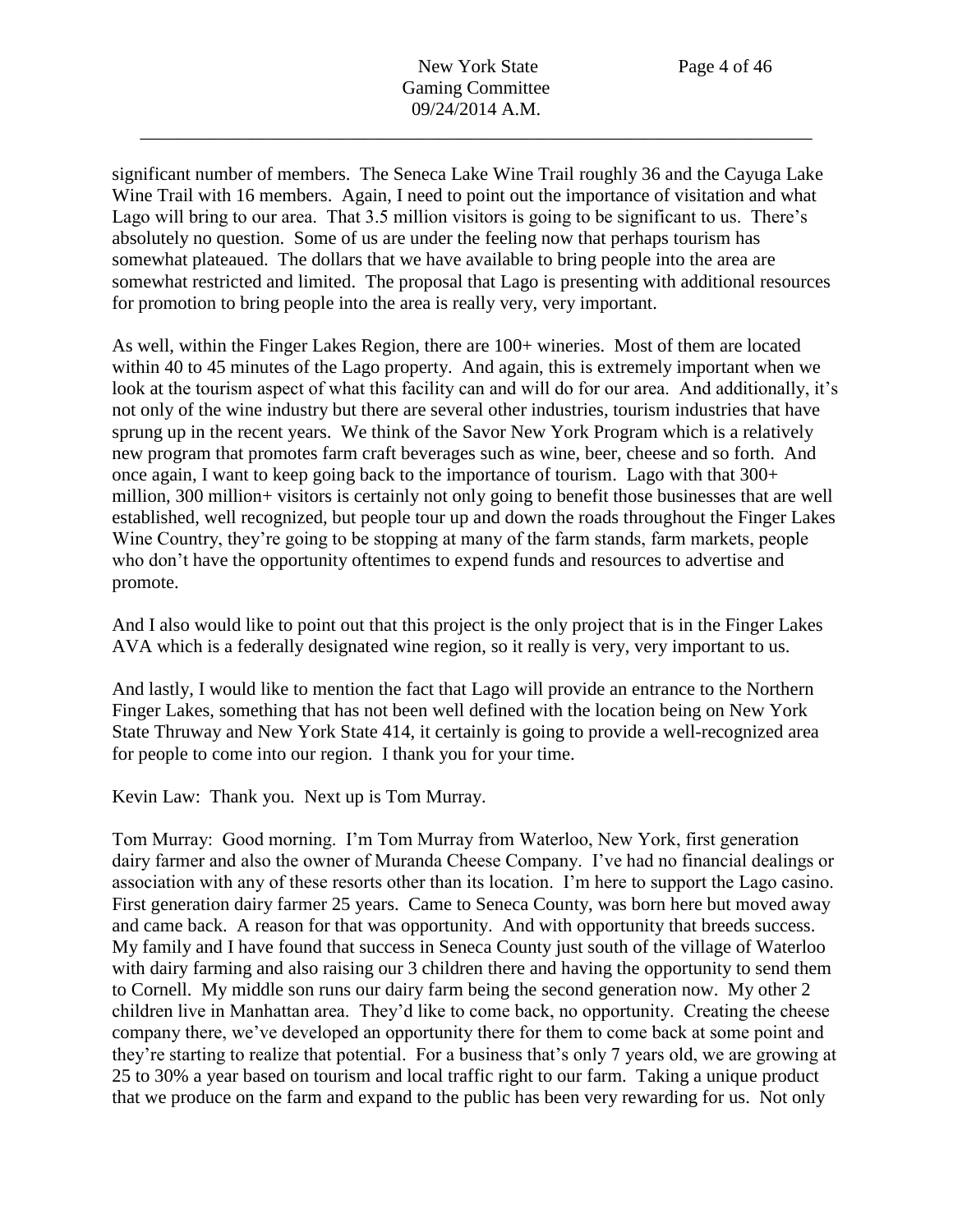significant number of members. The Seneca Lake Wine Trail roughly 36 and the Cayuga Lake Wine Trail with 16 members. Again, I need to point out the importance of visitation and what Lago will bring to our area. That 3.5 million visitors is going to be significant to us. There's absolutely no question. Some of us are under the feeling now that perhaps tourism has somewhat plateaued. The dollars that we have available to bring people into the area are somewhat restricted and limited. The proposal that Lago is presenting with additional resources for promotion to bring people into the area is really very, very important.

As well, within the Finger Lakes Region, there are 100+ wineries. Most of them are located within 40 to 45 minutes of the Lago property. And again, this is extremely important when we look at the tourism aspect of what this facility can and will do for our area. And additionally, it's not only of the wine industry but there are several other industries, tourism industries that have sprung up in the recent years. We think of the Savor New York Program which is a relatively new program that promotes farm craft beverages such as wine, beer, cheese and so forth. And once again, I want to keep going back to the importance of tourism. Lago with that 300+ million, 300 million+ visitors is certainly not only going to benefit those businesses that are well established, well recognized, but people tour up and down the roads throughout the Finger Lakes Wine Country, they're going to be stopping at many of the farm stands, farm markets, people who don't have the opportunity oftentimes to expend funds and resources to advertise and promote.

And I also would like to point out that this project is the only project that is in the Finger Lakes AVA which is a federally designated wine region, so it really is very, very important to us.

And lastly, I would like to mention the fact that Lago will provide an entrance to the Northern Finger Lakes, something that has not been well defined with the location being on New York State Thruway and New York State 414, it certainly is going to provide a well-recognized area for people to come into our region. I thank you for your time.

Kevin Law: Thank you. Next up is Tom Murray.

Tom Murray: Good morning. I'm Tom Murray from Waterloo, New York, first generation dairy farmer and also the owner of Muranda Cheese Company. I've had no financial dealings or association with any of these resorts other than its location. I'm here to support the Lago casino. First generation dairy farmer 25 years. Came to Seneca County, was born here but moved away and came back. A reason for that was opportunity. And with opportunity that breeds success. My family and I have found that success in Seneca County just south of the village of Waterloo with dairy farming and also raising our 3 children there and having the opportunity to send them to Cornell. My middle son runs our dairy farm being the second generation now. My other 2 children live in Manhattan area. They'd like to come back, no opportunity. Creating the cheese company there, we've developed an opportunity there for them to come back at some point and they're starting to realize that potential. For a business that's only 7 years old, we are growing at 25 to 30% a year based on tourism and local traffic right to our farm. Taking a unique product that we produce on the farm and expand to the public has been very rewarding for us. Not only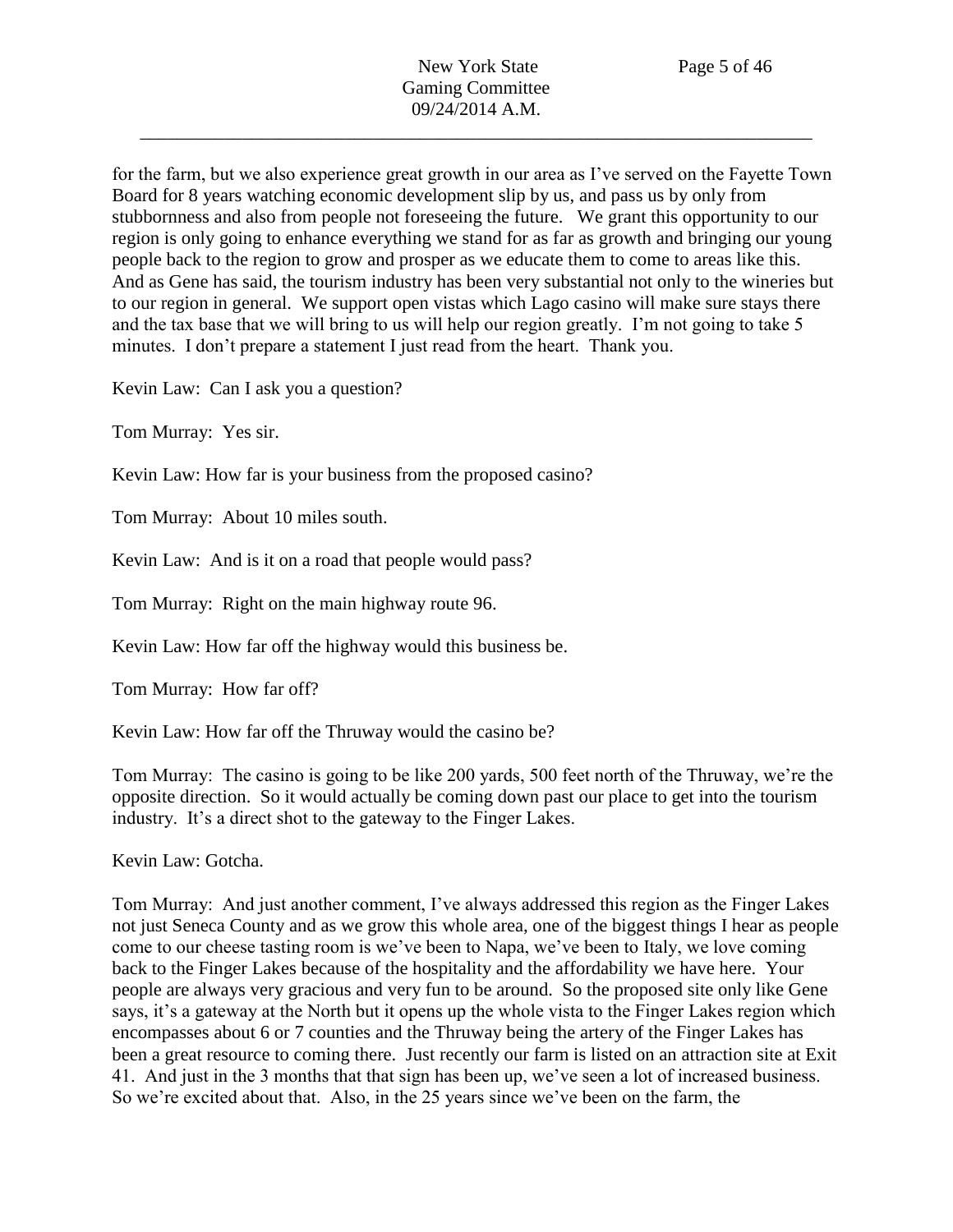for the farm, but we also experience great growth in our area as I've served on the Fayette Town Board for 8 years watching economic development slip by us, and pass us by only from stubbornness and also from people not foreseeing the future. We grant this opportunity to our region is only going to enhance everything we stand for as far as growth and bringing our young people back to the region to grow and prosper as we educate them to come to areas like this. And as Gene has said, the tourism industry has been very substantial not only to the wineries but to our region in general. We support open vistas which Lago casino will make sure stays there and the tax base that we will bring to us will help our region greatly. I'm not going to take 5 minutes. I don't prepare a statement I just read from the heart. Thank you.

Kevin Law: Can I ask you a question?

Tom Murray: Yes sir.

Kevin Law: How far is your business from the proposed casino?

Tom Murray: About 10 miles south.

Kevin Law: And is it on a road that people would pass?

Tom Murray: Right on the main highway route 96.

Kevin Law: How far off the highway would this business be.

Tom Murray: How far off?

Kevin Law: How far off the Thruway would the casino be?

Tom Murray: The casino is going to be like 200 yards, 500 feet north of the Thruway, we're the opposite direction. So it would actually be coming down past our place to get into the tourism industry. It's a direct shot to the gateway to the Finger Lakes.

Kevin Law: Gotcha.

Tom Murray: And just another comment, I've always addressed this region as the Finger Lakes not just Seneca County and as we grow this whole area, one of the biggest things I hear as people come to our cheese tasting room is we've been to Napa, we've been to Italy, we love coming back to the Finger Lakes because of the hospitality and the affordability we have here. Your people are always very gracious and very fun to be around. So the proposed site only like Gene says, it's a gateway at the North but it opens up the whole vista to the Finger Lakes region which encompasses about 6 or 7 counties and the Thruway being the artery of the Finger Lakes has been a great resource to coming there. Just recently our farm is listed on an attraction site at Exit 41. And just in the 3 months that that sign has been up, we've seen a lot of increased business. So we're excited about that. Also, in the 25 years since we've been on the farm, the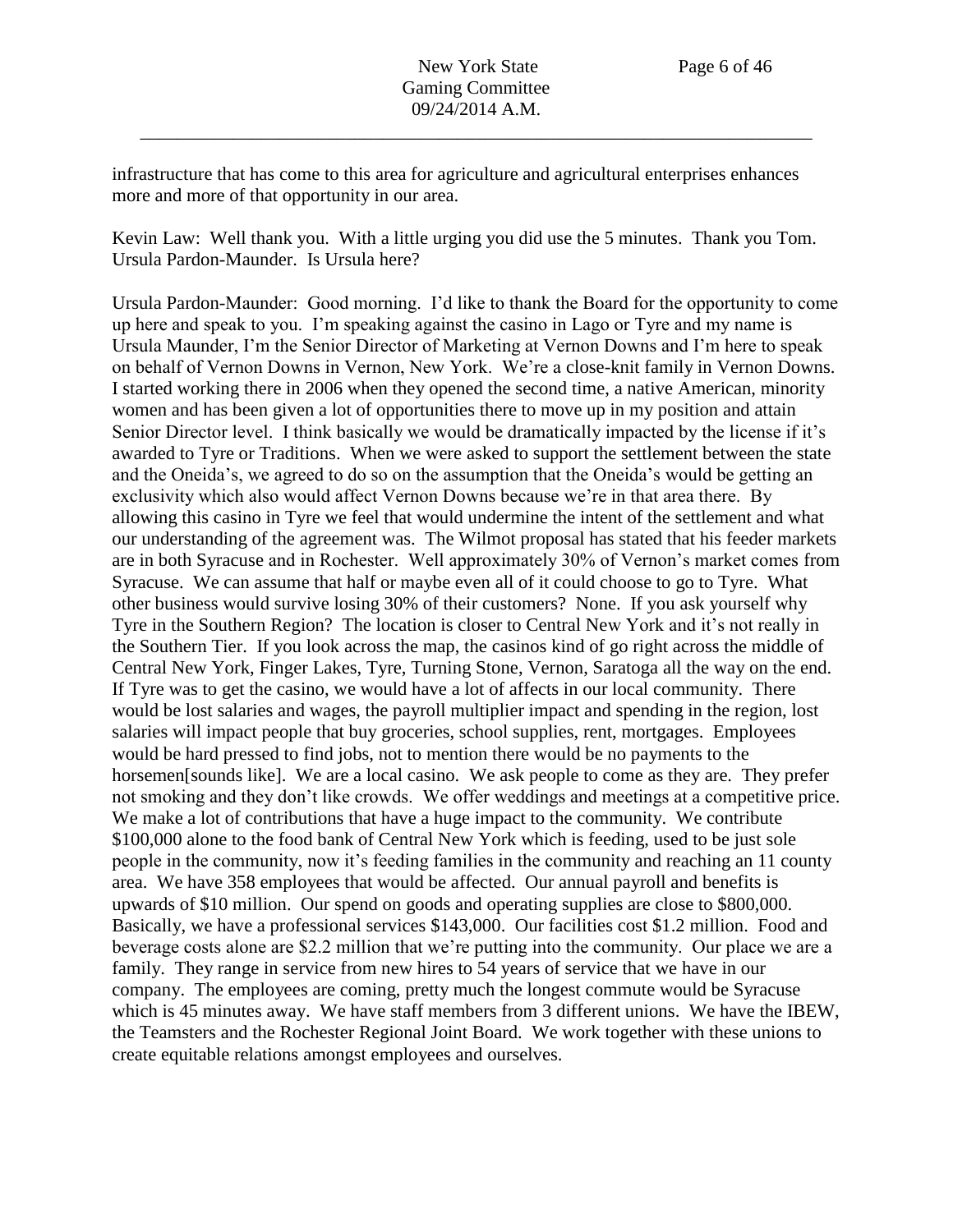infrastructure that has come to this area for agriculture and agricultural enterprises enhances more and more of that opportunity in our area.

Kevin Law: Well thank you. With a little urging you did use the 5 minutes. Thank you Tom. Ursula Pardon-Maunder. Is Ursula here?

Ursula Pardon-Maunder: Good morning. I'd like to thank the Board for the opportunity to come up here and speak to you. I'm speaking against the casino in Lago or Tyre and my name is Ursula Maunder, I'm the Senior Director of Marketing at Vernon Downs and I'm here to speak on behalf of Vernon Downs in Vernon, New York. We're a close-knit family in Vernon Downs. I started working there in 2006 when they opened the second time, a native American, minority women and has been given a lot of opportunities there to move up in my position and attain Senior Director level. I think basically we would be dramatically impacted by the license if it's awarded to Tyre or Traditions. When we were asked to support the settlement between the state and the Oneida's, we agreed to do so on the assumption that the Oneida's would be getting an exclusivity which also would affect Vernon Downs because we're in that area there. By allowing this casino in Tyre we feel that would undermine the intent of the settlement and what our understanding of the agreement was. The Wilmot proposal has stated that his feeder markets are in both Syracuse and in Rochester. Well approximately 30% of Vernon's market comes from Syracuse. We can assume that half or maybe even all of it could choose to go to Tyre. What other business would survive losing 30% of their customers? None. If you ask yourself why Tyre in the Southern Region? The location is closer to Central New York and it's not really in the Southern Tier. If you look across the map, the casinos kind of go right across the middle of Central New York, Finger Lakes, Tyre, Turning Stone, Vernon, Saratoga all the way on the end. If Tyre was to get the casino, we would have a lot of affects in our local community. There would be lost salaries and wages, the payroll multiplier impact and spending in the region, lost salaries will impact people that buy groceries, school supplies, rent, mortgages. Employees would be hard pressed to find jobs, not to mention there would be no payments to the horsemen[sounds like]. We are a local casino. We ask people to come as they are. They prefer not smoking and they don't like crowds. We offer weddings and meetings at a competitive price. We make a lot of contributions that have a huge impact to the community. We contribute \$100,000 alone to the food bank of Central New York which is feeding, used to be just sole people in the community, now it's feeding families in the community and reaching an 11 county area. We have 358 employees that would be affected. Our annual payroll and benefits is upwards of \$10 million. Our spend on goods and operating supplies are close to \$800,000. Basically, we have a professional services \$143,000. Our facilities cost \$1.2 million. Food and beverage costs alone are \$2.2 million that we're putting into the community. Our place we are a family. They range in service from new hires to 54 years of service that we have in our company. The employees are coming, pretty much the longest commute would be Syracuse which is 45 minutes away. We have staff members from 3 different unions. We have the IBEW, the Teamsters and the Rochester Regional Joint Board. We work together with these unions to create equitable relations amongst employees and ourselves.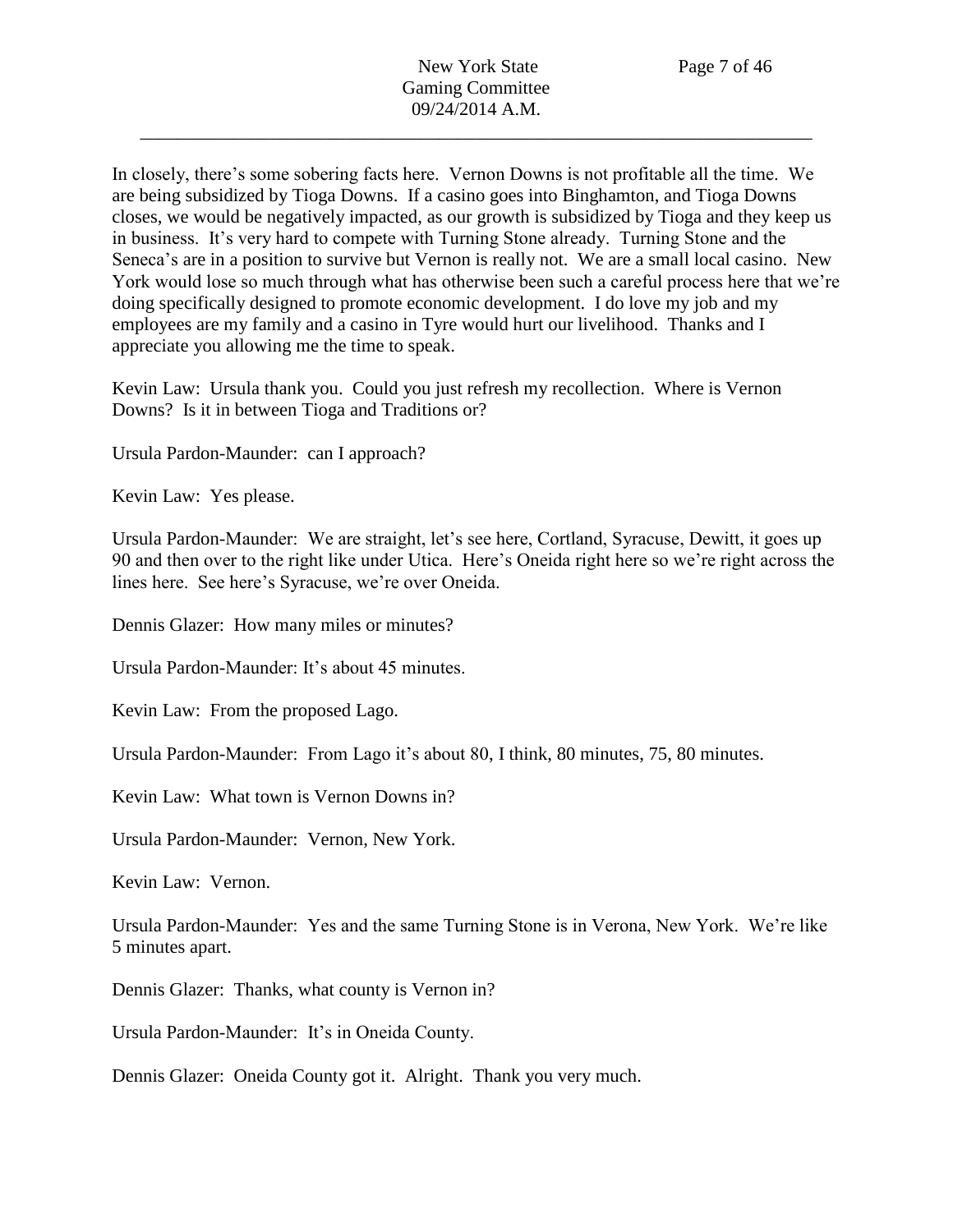In closely, there's some sobering facts here. Vernon Downs is not profitable all the time. We are being subsidized by Tioga Downs. If a casino goes into Binghamton, and Tioga Downs closes, we would be negatively impacted, as our growth is subsidized by Tioga and they keep us in business. It's very hard to compete with Turning Stone already. Turning Stone and the Seneca's are in a position to survive but Vernon is really not. We are a small local casino. New York would lose so much through what has otherwise been such a careful process here that we're doing specifically designed to promote economic development. I do love my job and my employees are my family and a casino in Tyre would hurt our livelihood. Thanks and I appreciate you allowing me the time to speak.

Kevin Law: Ursula thank you. Could you just refresh my recollection. Where is Vernon Downs? Is it in between Tioga and Traditions or?

Ursula Pardon-Maunder: can I approach?

Kevin Law: Yes please.

Ursula Pardon-Maunder: We are straight, let's see here, Cortland, Syracuse, Dewitt, it goes up 90 and then over to the right like under Utica. Here's Oneida right here so we're right across the lines here. See here's Syracuse, we're over Oneida.

Dennis Glazer: How many miles or minutes?

Ursula Pardon-Maunder: It's about 45 minutes.

Kevin Law: From the proposed Lago.

Ursula Pardon-Maunder: From Lago it's about 80, I think, 80 minutes, 75, 80 minutes.

Kevin Law: What town is Vernon Downs in?

Ursula Pardon-Maunder: Vernon, New York.

Kevin Law: Vernon.

Ursula Pardon-Maunder: Yes and the same Turning Stone is in Verona, New York. We're like 5 minutes apart.

Dennis Glazer: Thanks, what county is Vernon in?

Ursula Pardon-Maunder: It's in Oneida County.

Dennis Glazer: Oneida County got it. Alright. Thank you very much.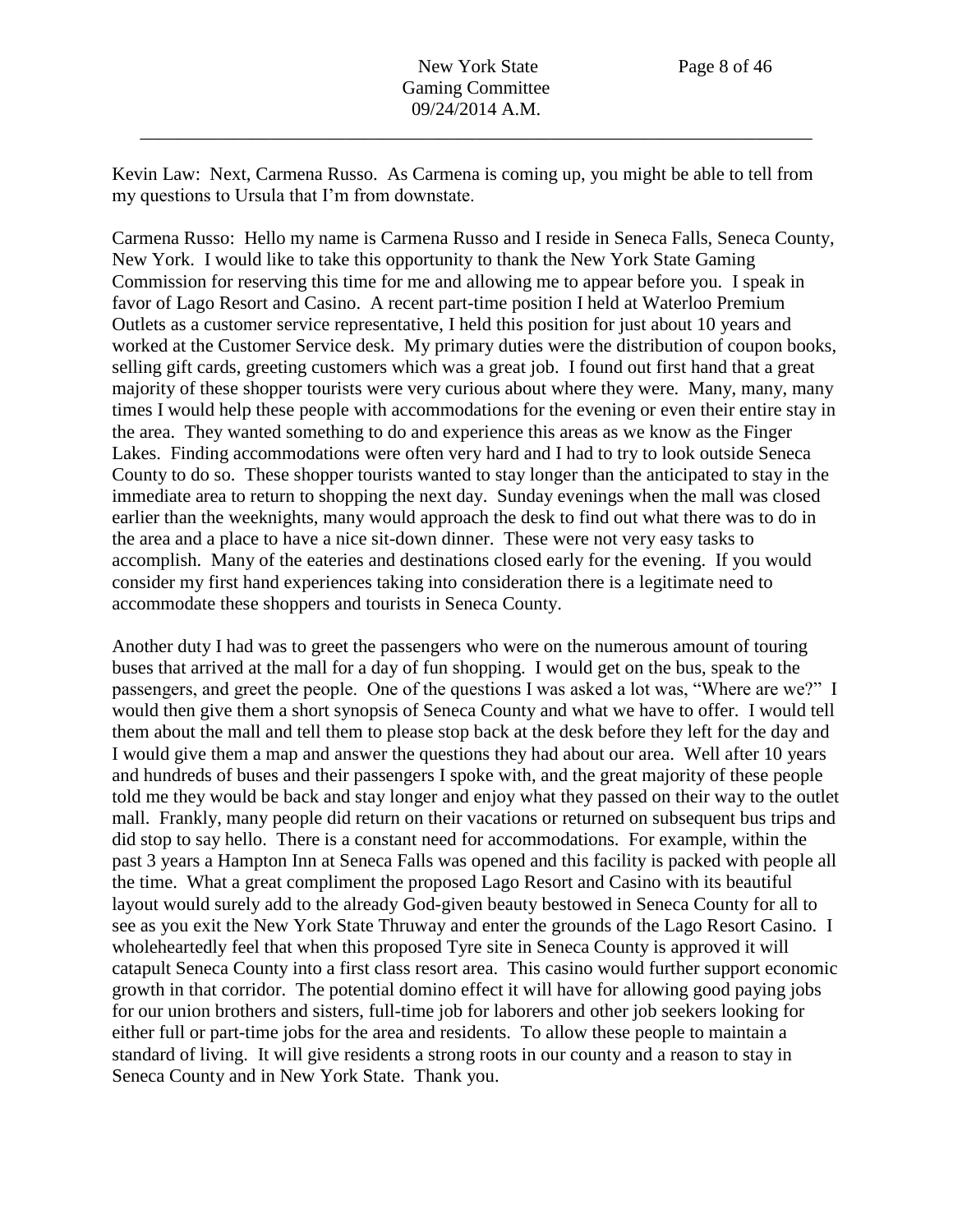Kevin Law: Next, Carmena Russo. As Carmena is coming up, you might be able to tell from my questions to Ursula that I'm from downstate.

Carmena Russo: Hello my name is Carmena Russo and I reside in Seneca Falls, Seneca County, New York. I would like to take this opportunity to thank the New York State Gaming Commission for reserving this time for me and allowing me to appear before you. I speak in favor of Lago Resort and Casino. A recent part-time position I held at Waterloo Premium Outlets as a customer service representative, I held this position for just about 10 years and worked at the Customer Service desk. My primary duties were the distribution of coupon books, selling gift cards, greeting customers which was a great job. I found out first hand that a great majority of these shopper tourists were very curious about where they were. Many, many, many times I would help these people with accommodations for the evening or even their entire stay in the area. They wanted something to do and experience this areas as we know as the Finger Lakes. Finding accommodations were often very hard and I had to try to look outside Seneca County to do so. These shopper tourists wanted to stay longer than the anticipated to stay in the immediate area to return to shopping the next day. Sunday evenings when the mall was closed earlier than the weeknights, many would approach the desk to find out what there was to do in the area and a place to have a nice sit-down dinner. These were not very easy tasks to accomplish. Many of the eateries and destinations closed early for the evening. If you would consider my first hand experiences taking into consideration there is a legitimate need to accommodate these shoppers and tourists in Seneca County.

Another duty I had was to greet the passengers who were on the numerous amount of touring buses that arrived at the mall for a day of fun shopping. I would get on the bus, speak to the passengers, and greet the people. One of the questions I was asked a lot was, "Where are we?" I would then give them a short synopsis of Seneca County and what we have to offer. I would tell them about the mall and tell them to please stop back at the desk before they left for the day and I would give them a map and answer the questions they had about our area. Well after 10 years and hundreds of buses and their passengers I spoke with, and the great majority of these people told me they would be back and stay longer and enjoy what they passed on their way to the outlet mall. Frankly, many people did return on their vacations or returned on subsequent bus trips and did stop to say hello. There is a constant need for accommodations. For example, within the past 3 years a Hampton Inn at Seneca Falls was opened and this facility is packed with people all the time. What a great compliment the proposed Lago Resort and Casino with its beautiful layout would surely add to the already God-given beauty bestowed in Seneca County for all to see as you exit the New York State Thruway and enter the grounds of the Lago Resort Casino. I wholeheartedly feel that when this proposed Tyre site in Seneca County is approved it will catapult Seneca County into a first class resort area. This casino would further support economic growth in that corridor. The potential domino effect it will have for allowing good paying jobs for our union brothers and sisters, full-time job for laborers and other job seekers looking for either full or part-time jobs for the area and residents. To allow these people to maintain a standard of living. It will give residents a strong roots in our county and a reason to stay in Seneca County and in New York State. Thank you.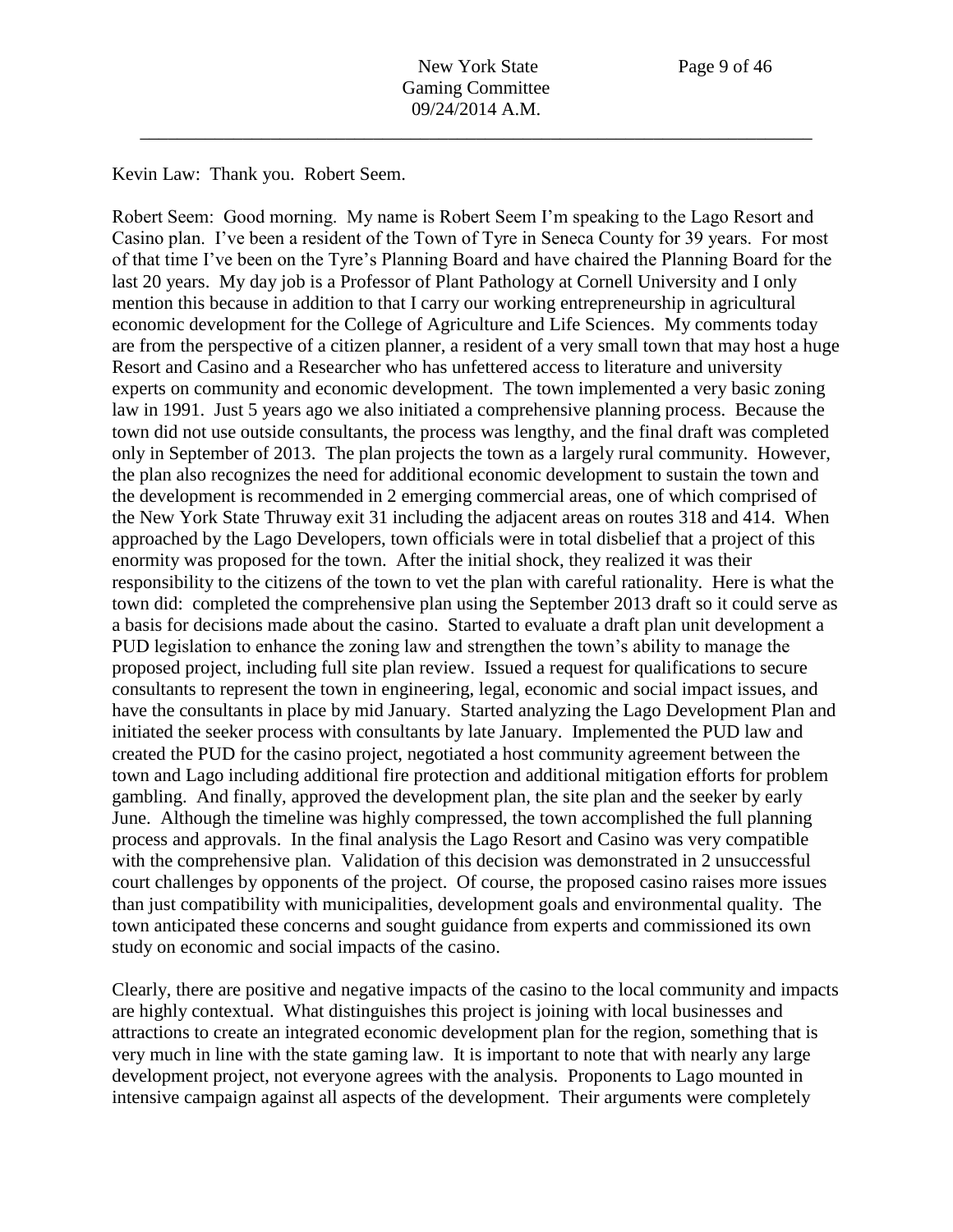Kevin Law: Thank you. Robert Seem.

Robert Seem: Good morning. My name is Robert Seem I'm speaking to the Lago Resort and Casino plan. I've been a resident of the Town of Tyre in Seneca County for 39 years. For most of that time I've been on the Tyre's Planning Board and have chaired the Planning Board for the last 20 years. My day job is a Professor of Plant Pathology at Cornell University and I only mention this because in addition to that I carry our working entrepreneurship in agricultural economic development for the College of Agriculture and Life Sciences. My comments today are from the perspective of a citizen planner, a resident of a very small town that may host a huge Resort and Casino and a Researcher who has unfettered access to literature and university experts on community and economic development. The town implemented a very basic zoning law in 1991. Just 5 years ago we also initiated a comprehensive planning process. Because the town did not use outside consultants, the process was lengthy, and the final draft was completed only in September of 2013. The plan projects the town as a largely rural community. However, the plan also recognizes the need for additional economic development to sustain the town and the development is recommended in 2 emerging commercial areas, one of which comprised of the New York State Thruway exit 31 including the adjacent areas on routes 318 and 414. When approached by the Lago Developers, town officials were in total disbelief that a project of this enormity was proposed for the town. After the initial shock, they realized it was their responsibility to the citizens of the town to vet the plan with careful rationality. Here is what the town did: completed the comprehensive plan using the September 2013 draft so it could serve as a basis for decisions made about the casino. Started to evaluate a draft plan unit development a PUD legislation to enhance the zoning law and strengthen the town's ability to manage the proposed project, including full site plan review. Issued a request for qualifications to secure consultants to represent the town in engineering, legal, economic and social impact issues, and have the consultants in place by mid January. Started analyzing the Lago Development Plan and initiated the seeker process with consultants by late January. Implemented the PUD law and created the PUD for the casino project, negotiated a host community agreement between the town and Lago including additional fire protection and additional mitigation efforts for problem gambling. And finally, approved the development plan, the site plan and the seeker by early June. Although the timeline was highly compressed, the town accomplished the full planning process and approvals. In the final analysis the Lago Resort and Casino was very compatible with the comprehensive plan. Validation of this decision was demonstrated in 2 unsuccessful court challenges by opponents of the project. Of course, the proposed casino raises more issues than just compatibility with municipalities, development goals and environmental quality. The town anticipated these concerns and sought guidance from experts and commissioned its own study on economic and social impacts of the casino.

Clearly, there are positive and negative impacts of the casino to the local community and impacts are highly contextual. What distinguishes this project is joining with local businesses and attractions to create an integrated economic development plan for the region, something that is very much in line with the state gaming law. It is important to note that with nearly any large development project, not everyone agrees with the analysis. Proponents to Lago mounted in intensive campaign against all aspects of the development. Their arguments were completely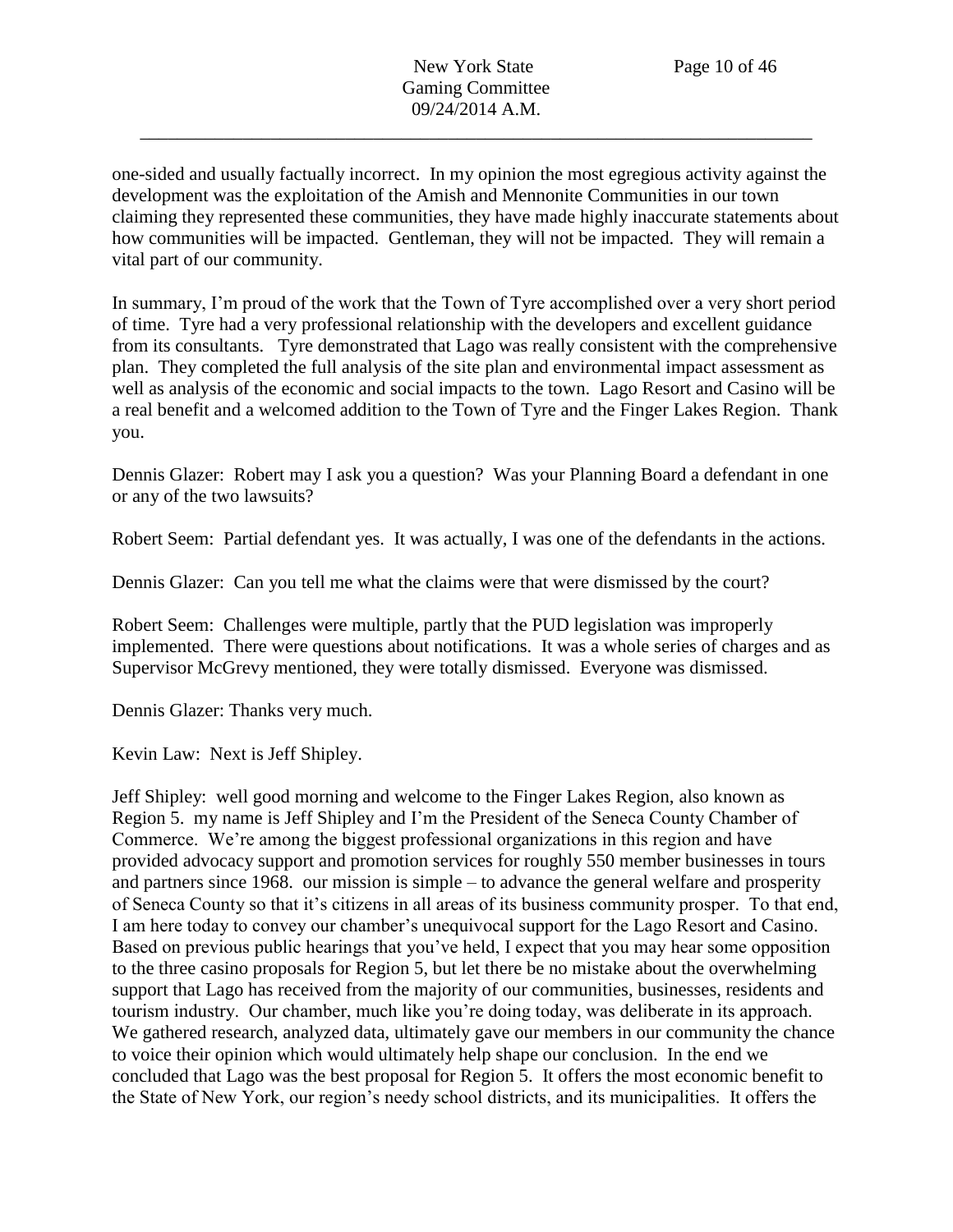one-sided and usually factually incorrect. In my opinion the most egregious activity against the development was the exploitation of the Amish and Mennonite Communities in our town claiming they represented these communities, they have made highly inaccurate statements about how communities will be impacted. Gentleman, they will not be impacted. They will remain a vital part of our community.

In summary, I'm proud of the work that the Town of Tyre accomplished over a very short period of time. Tyre had a very professional relationship with the developers and excellent guidance from its consultants. Tyre demonstrated that Lago was really consistent with the comprehensive plan. They completed the full analysis of the site plan and environmental impact assessment as well as analysis of the economic and social impacts to the town. Lago Resort and Casino will be a real benefit and a welcomed addition to the Town of Tyre and the Finger Lakes Region. Thank you.

Dennis Glazer: Robert may I ask you a question? Was your Planning Board a defendant in one or any of the two lawsuits?

Robert Seem: Partial defendant yes. It was actually, I was one of the defendants in the actions.

Dennis Glazer: Can you tell me what the claims were that were dismissed by the court?

Robert Seem: Challenges were multiple, partly that the PUD legislation was improperly implemented. There were questions about notifications. It was a whole series of charges and as Supervisor McGrevy mentioned, they were totally dismissed. Everyone was dismissed.

Dennis Glazer: Thanks very much.

Kevin Law: Next is Jeff Shipley.

Jeff Shipley: well good morning and welcome to the Finger Lakes Region, also known as Region 5. my name is Jeff Shipley and I'm the President of the Seneca County Chamber of Commerce. We're among the biggest professional organizations in this region and have provided advocacy support and promotion services for roughly 550 member businesses in tours and partners since 1968. our mission is simple – to advance the general welfare and prosperity of Seneca County so that it's citizens in all areas of its business community prosper. To that end, I am here today to convey our chamber's unequivocal support for the Lago Resort and Casino. Based on previous public hearings that you've held, I expect that you may hear some opposition to the three casino proposals for Region 5, but let there be no mistake about the overwhelming support that Lago has received from the majority of our communities, businesses, residents and tourism industry. Our chamber, much like you're doing today, was deliberate in its approach. We gathered research, analyzed data, ultimately gave our members in our community the chance to voice their opinion which would ultimately help shape our conclusion. In the end we concluded that Lago was the best proposal for Region 5. It offers the most economic benefit to the State of New York, our region's needy school districts, and its municipalities. It offers the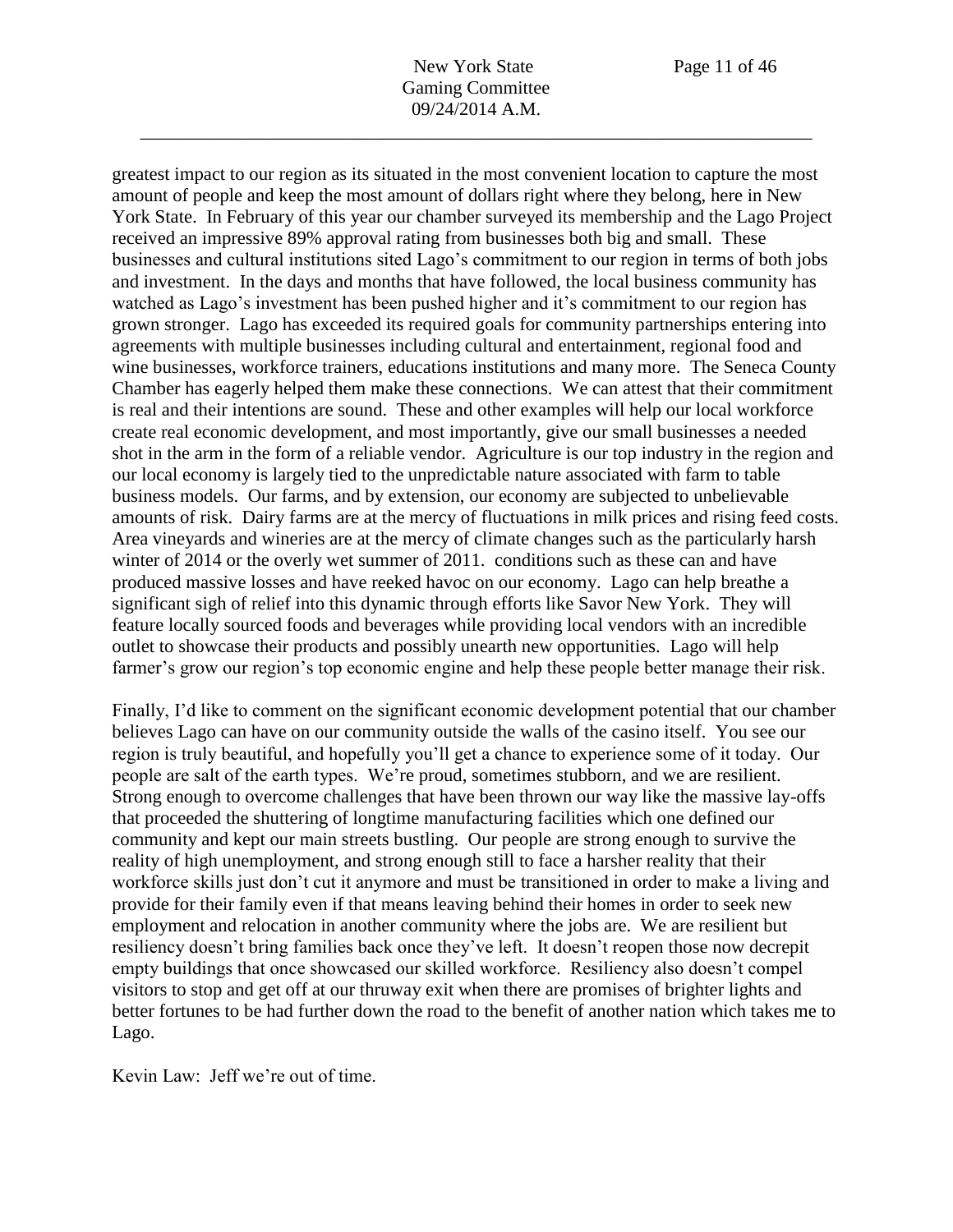greatest impact to our region as its situated in the most convenient location to capture the most amount of people and keep the most amount of dollars right where they belong, here in New York State. In February of this year our chamber surveyed its membership and the Lago Project received an impressive 89% approval rating from businesses both big and small. These businesses and cultural institutions sited Lago's commitment to our region in terms of both jobs and investment. In the days and months that have followed, the local business community has watched as Lago's investment has been pushed higher and it's commitment to our region has grown stronger. Lago has exceeded its required goals for community partnerships entering into agreements with multiple businesses including cultural and entertainment, regional food and wine businesses, workforce trainers, educations institutions and many more. The Seneca County Chamber has eagerly helped them make these connections. We can attest that their commitment is real and their intentions are sound. These and other examples will help our local workforce create real economic development, and most importantly, give our small businesses a needed shot in the arm in the form of a reliable vendor. Agriculture is our top industry in the region and our local economy is largely tied to the unpredictable nature associated with farm to table business models. Our farms, and by extension, our economy are subjected to unbelievable amounts of risk. Dairy farms are at the mercy of fluctuations in milk prices and rising feed costs. Area vineyards and wineries are at the mercy of climate changes such as the particularly harsh winter of 2014 or the overly wet summer of 2011. conditions such as these can and have produced massive losses and have reeked havoc on our economy. Lago can help breathe a significant sigh of relief into this dynamic through efforts like Savor New York. They will feature locally sourced foods and beverages while providing local vendors with an incredible outlet to showcase their products and possibly unearth new opportunities. Lago will help farmer's grow our region's top economic engine and help these people better manage their risk.

Finally, I'd like to comment on the significant economic development potential that our chamber believes Lago can have on our community outside the walls of the casino itself. You see our region is truly beautiful, and hopefully you'll get a chance to experience some of it today. Our people are salt of the earth types. We're proud, sometimes stubborn, and we are resilient. Strong enough to overcome challenges that have been thrown our way like the massive lay-offs that proceeded the shuttering of longtime manufacturing facilities which one defined our community and kept our main streets bustling. Our people are strong enough to survive the reality of high unemployment, and strong enough still to face a harsher reality that their workforce skills just don't cut it anymore and must be transitioned in order to make a living and provide for their family even if that means leaving behind their homes in order to seek new employment and relocation in another community where the jobs are. We are resilient but resiliency doesn't bring families back once they've left. It doesn't reopen those now decrepit empty buildings that once showcased our skilled workforce. Resiliency also doesn't compel visitors to stop and get off at our thruway exit when there are promises of brighter lights and better fortunes to be had further down the road to the benefit of another nation which takes me to Lago.

Kevin Law: Jeff we're out of time.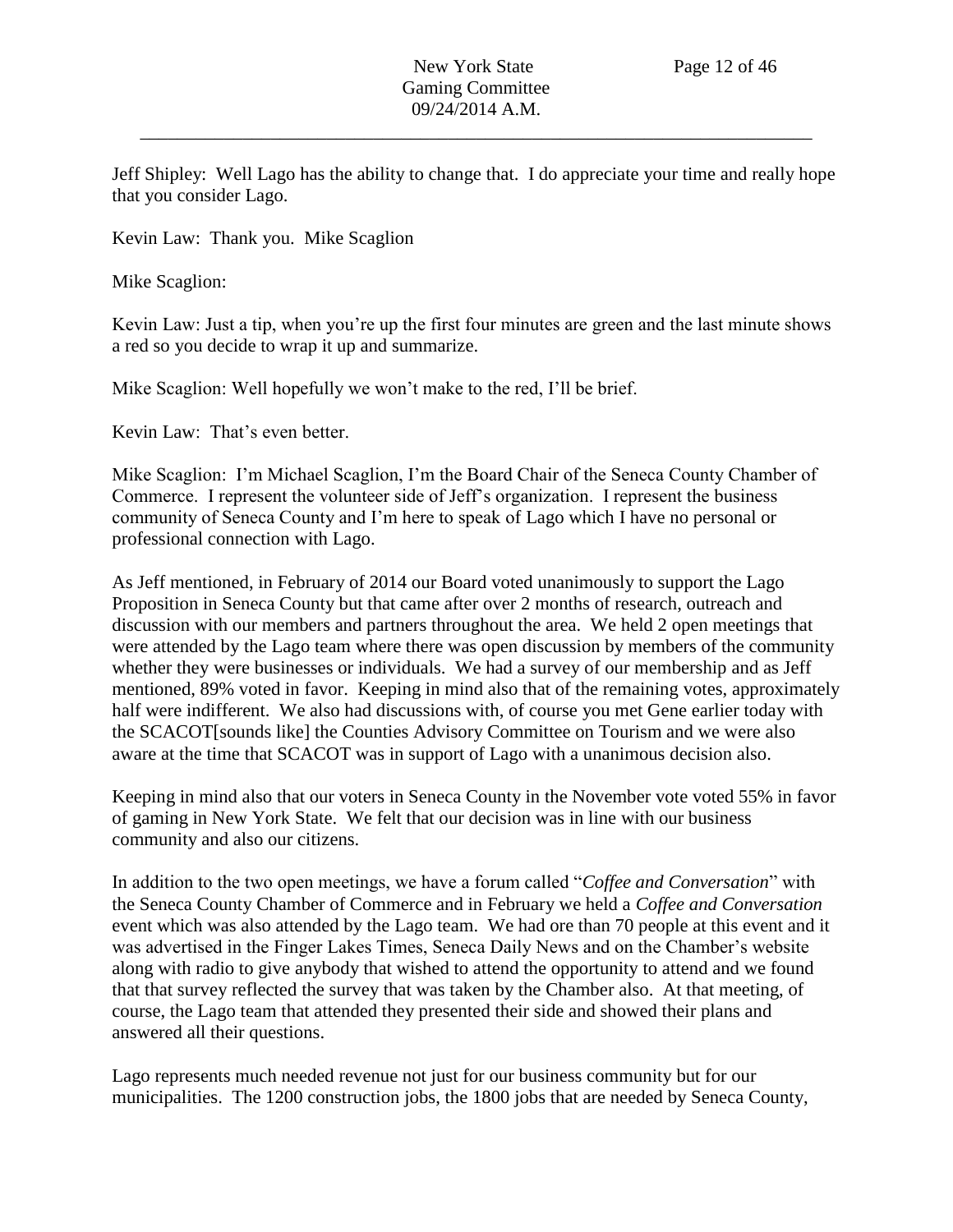Jeff Shipley: Well Lago has the ability to change that. I do appreciate your time and really hope that you consider Lago.

Kevin Law: Thank you. Mike Scaglion

Mike Scaglion:

Kevin Law: Just a tip, when you're up the first four minutes are green and the last minute shows a red so you decide to wrap it up and summarize.

Mike Scaglion: Well hopefully we won't make to the red, I'll be brief.

Kevin Law: That's even better.

Mike Scaglion: I'm Michael Scaglion, I'm the Board Chair of the Seneca County Chamber of Commerce. I represent the volunteer side of Jeff's organization. I represent the business community of Seneca County and I'm here to speak of Lago which I have no personal or professional connection with Lago.

As Jeff mentioned, in February of 2014 our Board voted unanimously to support the Lago Proposition in Seneca County but that came after over 2 months of research, outreach and discussion with our members and partners throughout the area. We held 2 open meetings that were attended by the Lago team where there was open discussion by members of the community whether they were businesses or individuals. We had a survey of our membership and as Jeff mentioned, 89% voted in favor. Keeping in mind also that of the remaining votes, approximately half were indifferent. We also had discussions with, of course you met Gene earlier today with the SCACOT[sounds like] the Counties Advisory Committee on Tourism and we were also aware at the time that SCACOT was in support of Lago with a unanimous decision also.

Keeping in mind also that our voters in Seneca County in the November vote voted 55% in favor of gaming in New York State. We felt that our decision was in line with our business community and also our citizens.

In addition to the two open meetings, we have a forum called "*Coffee and Conversation*" with the Seneca County Chamber of Commerce and in February we held a *Coffee and Conversation* event which was also attended by the Lago team. We had ore than 70 people at this event and it was advertised in the Finger Lakes Times, Seneca Daily News and on the Chamber's website along with radio to give anybody that wished to attend the opportunity to attend and we found that that survey reflected the survey that was taken by the Chamber also. At that meeting, of course, the Lago team that attended they presented their side and showed their plans and answered all their questions.

Lago represents much needed revenue not just for our business community but for our municipalities. The 1200 construction jobs, the 1800 jobs that are needed by Seneca County,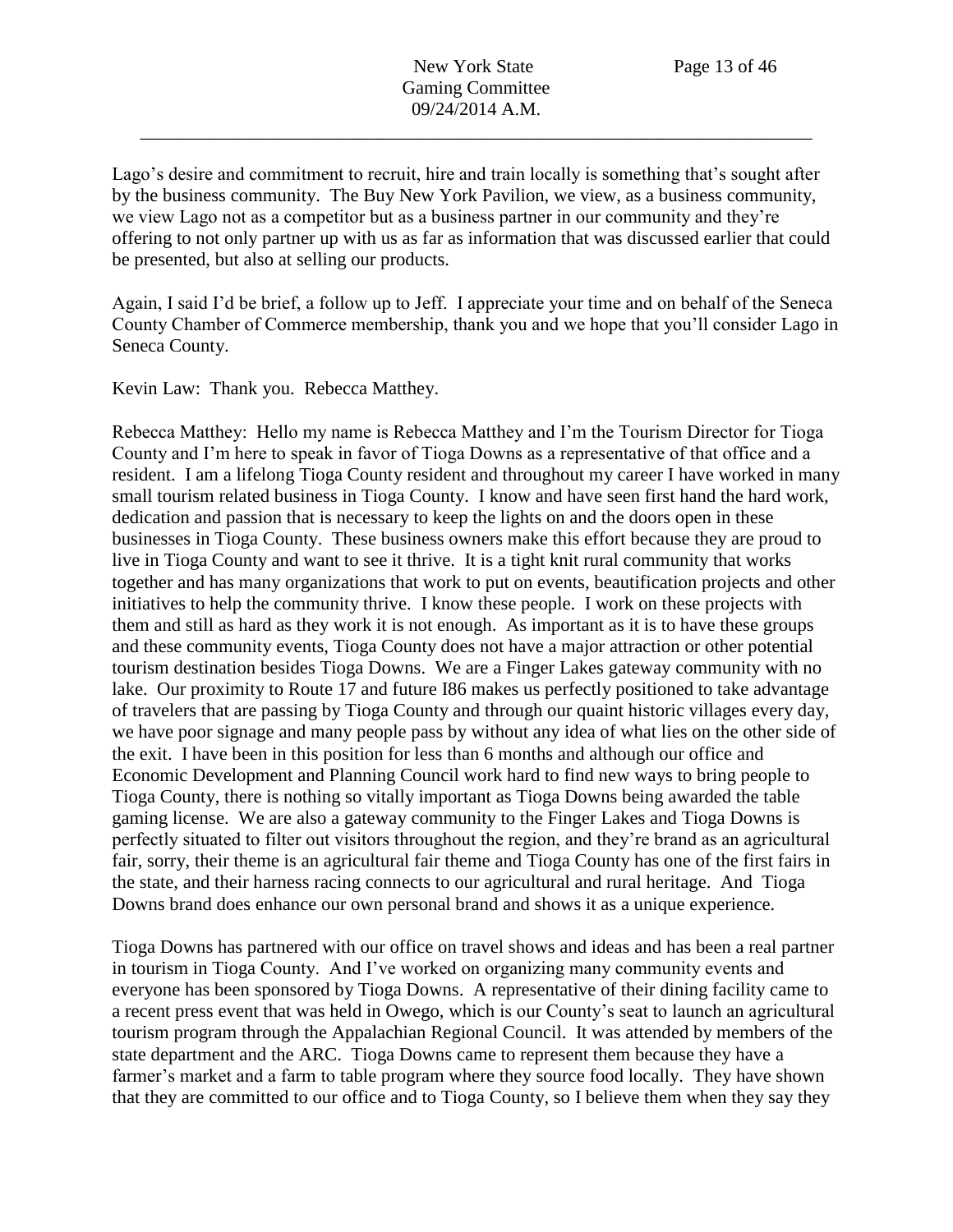Lago's desire and commitment to recruit, hire and train locally is something that's sought after by the business community. The Buy New York Pavilion, we view, as a business community, we view Lago not as a competitor but as a business partner in our community and they're offering to not only partner up with us as far as information that was discussed earlier that could be presented, but also at selling our products.

Again, I said I'd be brief, a follow up to Jeff. I appreciate your time and on behalf of the Seneca County Chamber of Commerce membership, thank you and we hope that you'll consider Lago in Seneca County.

Kevin Law: Thank you. Rebecca Matthey.

Rebecca Matthey: Hello my name is Rebecca Matthey and I'm the Tourism Director for Tioga County and I'm here to speak in favor of Tioga Downs as a representative of that office and a resident. I am a lifelong Tioga County resident and throughout my career I have worked in many small tourism related business in Tioga County. I know and have seen first hand the hard work, dedication and passion that is necessary to keep the lights on and the doors open in these businesses in Tioga County. These business owners make this effort because they are proud to live in Tioga County and want to see it thrive. It is a tight knit rural community that works together and has many organizations that work to put on events, beautification projects and other initiatives to help the community thrive. I know these people. I work on these projects with them and still as hard as they work it is not enough. As important as it is to have these groups and these community events, Tioga County does not have a major attraction or other potential tourism destination besides Tioga Downs. We are a Finger Lakes gateway community with no lake. Our proximity to Route 17 and future I86 makes us perfectly positioned to take advantage of travelers that are passing by Tioga County and through our quaint historic villages every day, we have poor signage and many people pass by without any idea of what lies on the other side of the exit. I have been in this position for less than 6 months and although our office and Economic Development and Planning Council work hard to find new ways to bring people to Tioga County, there is nothing so vitally important as Tioga Downs being awarded the table gaming license. We are also a gateway community to the Finger Lakes and Tioga Downs is perfectly situated to filter out visitors throughout the region, and they're brand as an agricultural fair, sorry, their theme is an agricultural fair theme and Tioga County has one of the first fairs in the state, and their harness racing connects to our agricultural and rural heritage. And Tioga Downs brand does enhance our own personal brand and shows it as a unique experience.

Tioga Downs has partnered with our office on travel shows and ideas and has been a real partner in tourism in Tioga County. And I've worked on organizing many community events and everyone has been sponsored by Tioga Downs. A representative of their dining facility came to a recent press event that was held in Owego, which is our County's seat to launch an agricultural tourism program through the Appalachian Regional Council. It was attended by members of the state department and the ARC. Tioga Downs came to represent them because they have a farmer's market and a farm to table program where they source food locally. They have shown that they are committed to our office and to Tioga County, so I believe them when they say they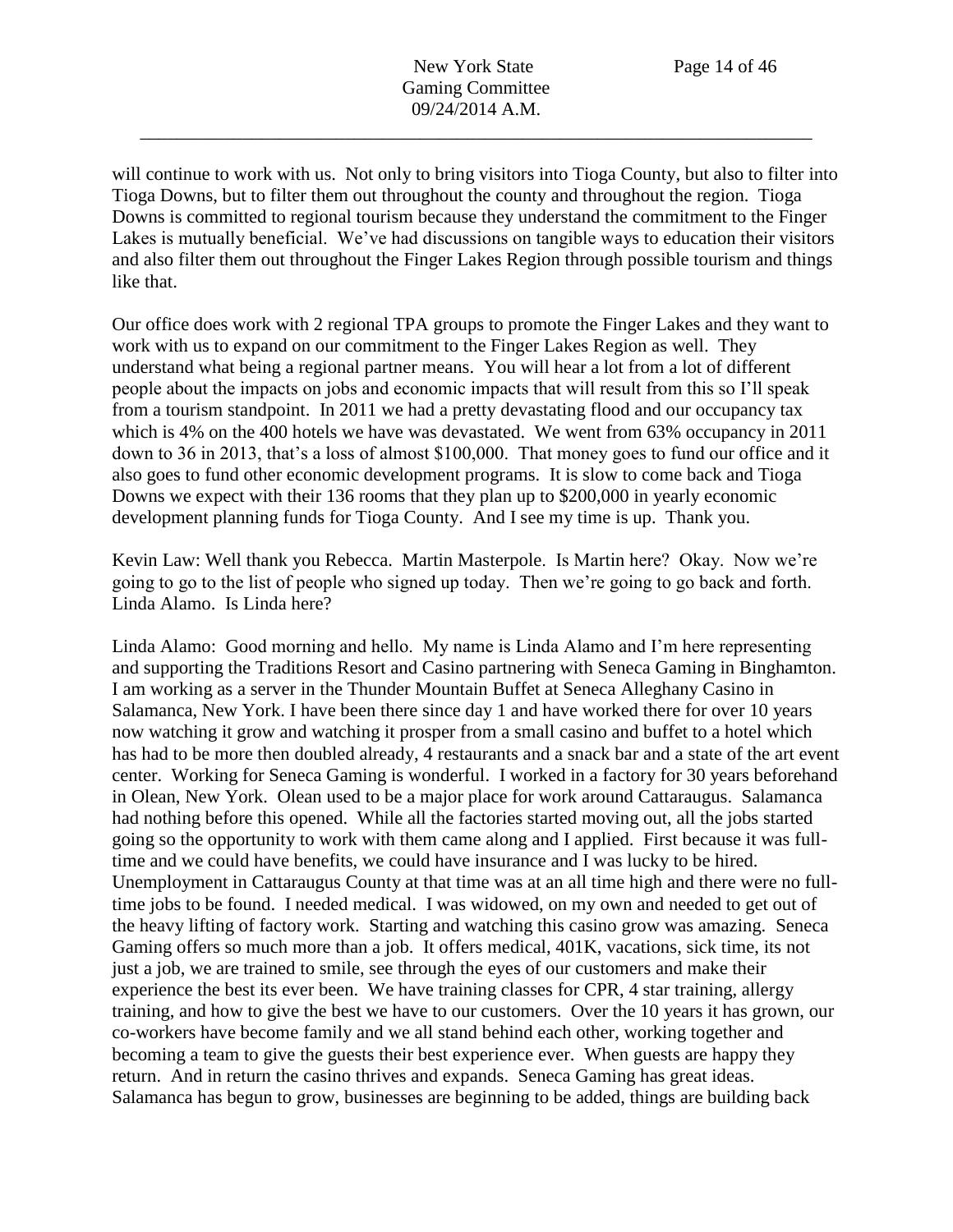will continue to work with us. Not only to bring visitors into Tioga County, but also to filter into Tioga Downs, but to filter them out throughout the county and throughout the region. Tioga Downs is committed to regional tourism because they understand the commitment to the Finger Lakes is mutually beneficial. We've had discussions on tangible ways to education their visitors and also filter them out throughout the Finger Lakes Region through possible tourism and things like that.

Our office does work with 2 regional TPA groups to promote the Finger Lakes and they want to work with us to expand on our commitment to the Finger Lakes Region as well. They understand what being a regional partner means. You will hear a lot from a lot of different people about the impacts on jobs and economic impacts that will result from this so I'll speak from a tourism standpoint. In 2011 we had a pretty devastating flood and our occupancy tax which is 4% on the 400 hotels we have was devastated. We went from 63% occupancy in 2011 down to 36 in 2013, that's a loss of almost \$100,000. That money goes to fund our office and it also goes to fund other economic development programs. It is slow to come back and Tioga Downs we expect with their 136 rooms that they plan up to \$200,000 in yearly economic development planning funds for Tioga County. And I see my time is up. Thank you.

Kevin Law: Well thank you Rebecca. Martin Masterpole. Is Martin here? Okay. Now we're going to go to the list of people who signed up today. Then we're going to go back and forth. Linda Alamo. Is Linda here?

Linda Alamo: Good morning and hello. My name is Linda Alamo and I'm here representing and supporting the Traditions Resort and Casino partnering with Seneca Gaming in Binghamton. I am working as a server in the Thunder Mountain Buffet at Seneca Alleghany Casino in Salamanca, New York. I have been there since day 1 and have worked there for over 10 years now watching it grow and watching it prosper from a small casino and buffet to a hotel which has had to be more then doubled already, 4 restaurants and a snack bar and a state of the art event center. Working for Seneca Gaming is wonderful. I worked in a factory for 30 years beforehand in Olean, New York. Olean used to be a major place for work around Cattaraugus. Salamanca had nothing before this opened. While all the factories started moving out, all the jobs started going so the opportunity to work with them came along and I applied. First because it was fulltime and we could have benefits, we could have insurance and I was lucky to be hired. Unemployment in Cattaraugus County at that time was at an all time high and there were no fulltime jobs to be found. I needed medical. I was widowed, on my own and needed to get out of the heavy lifting of factory work. Starting and watching this casino grow was amazing. Seneca Gaming offers so much more than a job. It offers medical, 401K, vacations, sick time, its not just a job, we are trained to smile, see through the eyes of our customers and make their experience the best its ever been. We have training classes for CPR, 4 star training, allergy training, and how to give the best we have to our customers. Over the 10 years it has grown, our co-workers have become family and we all stand behind each other, working together and becoming a team to give the guests their best experience ever. When guests are happy they return. And in return the casino thrives and expands. Seneca Gaming has great ideas. Salamanca has begun to grow, businesses are beginning to be added, things are building back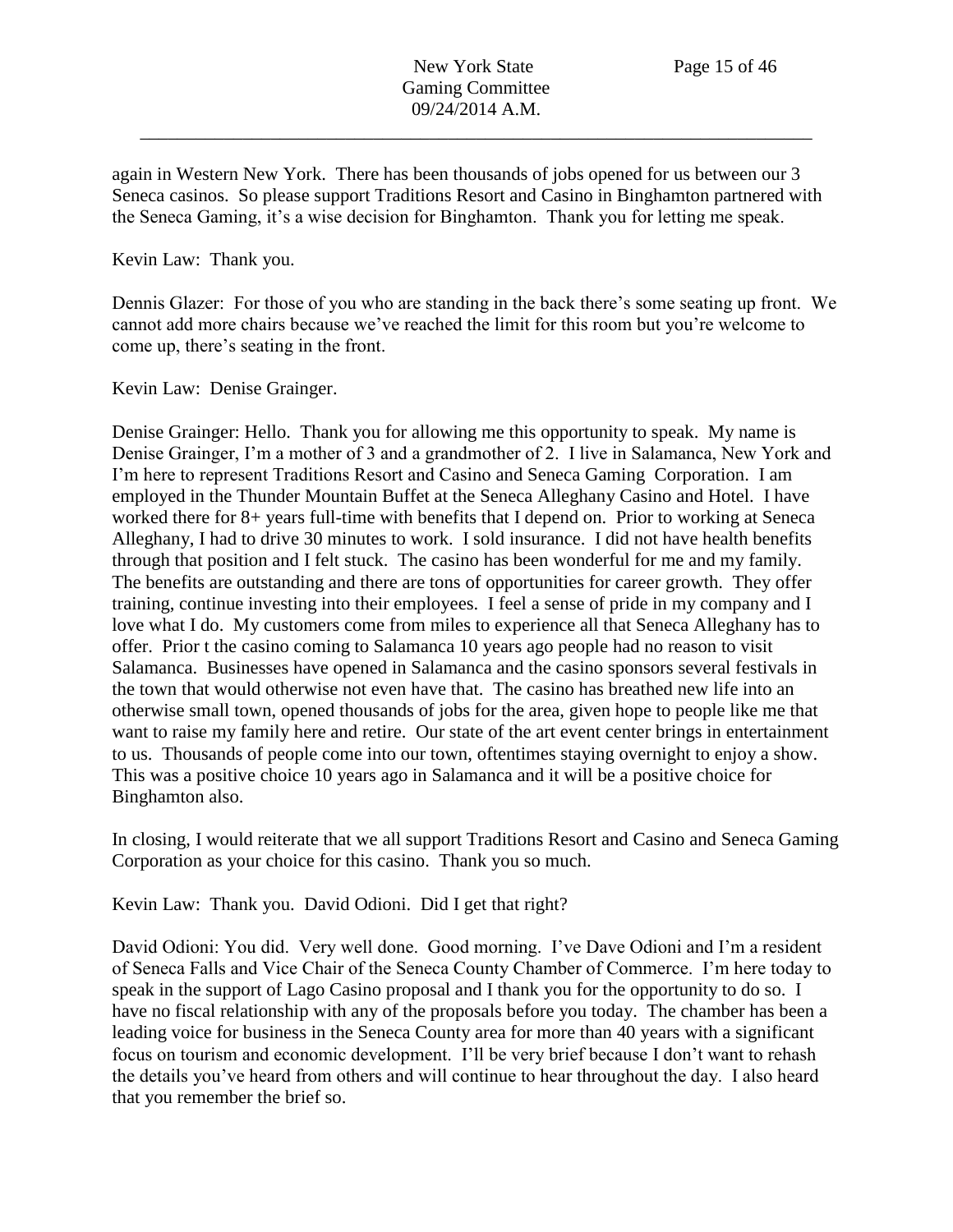again in Western New York. There has been thousands of jobs opened for us between our 3 Seneca casinos. So please support Traditions Resort and Casino in Binghamton partnered with the Seneca Gaming, it's a wise decision for Binghamton. Thank you for letting me speak.

Kevin Law: Thank you.

Dennis Glazer: For those of you who are standing in the back there's some seating up front. We cannot add more chairs because we've reached the limit for this room but you're welcome to come up, there's seating in the front.

Kevin Law: Denise Grainger.

Denise Grainger: Hello. Thank you for allowing me this opportunity to speak. My name is Denise Grainger, I'm a mother of 3 and a grandmother of 2. I live in Salamanca, New York and I'm here to represent Traditions Resort and Casino and Seneca Gaming Corporation. I am employed in the Thunder Mountain Buffet at the Seneca Alleghany Casino and Hotel. I have worked there for 8+ years full-time with benefits that I depend on. Prior to working at Seneca Alleghany, I had to drive 30 minutes to work. I sold insurance. I did not have health benefits through that position and I felt stuck. The casino has been wonderful for me and my family. The benefits are outstanding and there are tons of opportunities for career growth. They offer training, continue investing into their employees. I feel a sense of pride in my company and I love what I do. My customers come from miles to experience all that Seneca Alleghany has to offer. Prior t the casino coming to Salamanca 10 years ago people had no reason to visit Salamanca. Businesses have opened in Salamanca and the casino sponsors several festivals in the town that would otherwise not even have that. The casino has breathed new life into an otherwise small town, opened thousands of jobs for the area, given hope to people like me that want to raise my family here and retire. Our state of the art event center brings in entertainment to us. Thousands of people come into our town, oftentimes staying overnight to enjoy a show. This was a positive choice 10 years ago in Salamanca and it will be a positive choice for Binghamton also.

In closing, I would reiterate that we all support Traditions Resort and Casino and Seneca Gaming Corporation as your choice for this casino. Thank you so much.

Kevin Law: Thank you. David Odioni. Did I get that right?

David Odioni: You did. Very well done. Good morning. I've Dave Odioni and I'm a resident of Seneca Falls and Vice Chair of the Seneca County Chamber of Commerce. I'm here today to speak in the support of Lago Casino proposal and I thank you for the opportunity to do so. I have no fiscal relationship with any of the proposals before you today. The chamber has been a leading voice for business in the Seneca County area for more than 40 years with a significant focus on tourism and economic development. I'll be very brief because I don't want to rehash the details you've heard from others and will continue to hear throughout the day. I also heard that you remember the brief so.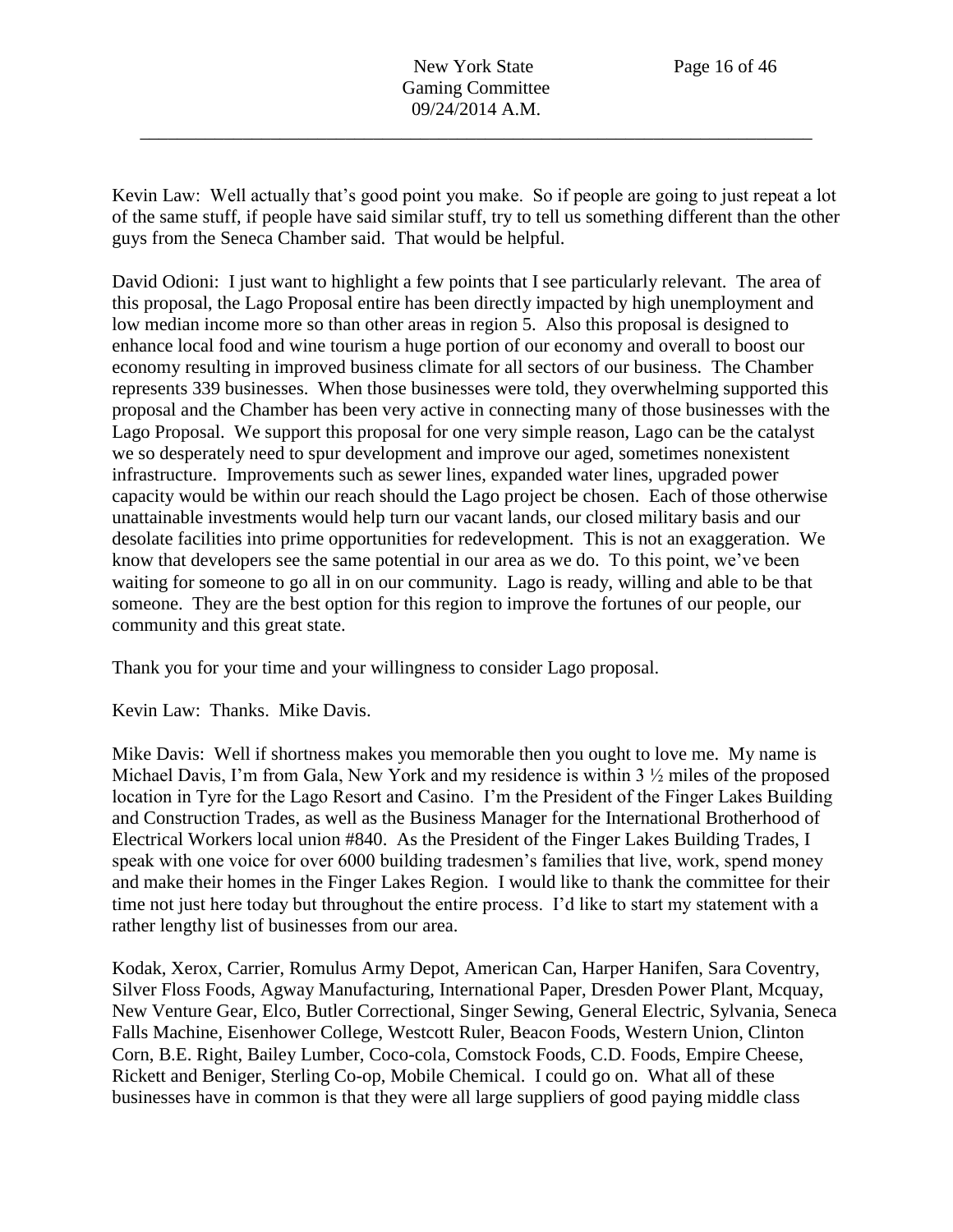Kevin Law: Well actually that's good point you make. So if people are going to just repeat a lot of the same stuff, if people have said similar stuff, try to tell us something different than the other guys from the Seneca Chamber said. That would be helpful.

David Odioni: I just want to highlight a few points that I see particularly relevant. The area of this proposal, the Lago Proposal entire has been directly impacted by high unemployment and low median income more so than other areas in region 5. Also this proposal is designed to enhance local food and wine tourism a huge portion of our economy and overall to boost our economy resulting in improved business climate for all sectors of our business. The Chamber represents 339 businesses. When those businesses were told, they overwhelming supported this proposal and the Chamber has been very active in connecting many of those businesses with the Lago Proposal. We support this proposal for one very simple reason, Lago can be the catalyst we so desperately need to spur development and improve our aged, sometimes nonexistent infrastructure. Improvements such as sewer lines, expanded water lines, upgraded power capacity would be within our reach should the Lago project be chosen. Each of those otherwise unattainable investments would help turn our vacant lands, our closed military basis and our desolate facilities into prime opportunities for redevelopment. This is not an exaggeration. We know that developers see the same potential in our area as we do. To this point, we've been waiting for someone to go all in on our community. Lago is ready, willing and able to be that someone. They are the best option for this region to improve the fortunes of our people, our community and this great state.

Thank you for your time and your willingness to consider Lago proposal.

Kevin Law: Thanks. Mike Davis.

Mike Davis: Well if shortness makes you memorable then you ought to love me. My name is Michael Davis, I'm from Gala, New York and my residence is within 3  $\frac{1}{2}$  miles of the proposed location in Tyre for the Lago Resort and Casino. I'm the President of the Finger Lakes Building and Construction Trades, as well as the Business Manager for the International Brotherhood of Electrical Workers local union #840. As the President of the Finger Lakes Building Trades, I speak with one voice for over 6000 building tradesmen's families that live, work, spend money and make their homes in the Finger Lakes Region. I would like to thank the committee for their time not just here today but throughout the entire process. I'd like to start my statement with a rather lengthy list of businesses from our area.

Kodak, Xerox, Carrier, Romulus Army Depot, American Can, Harper Hanifen, Sara Coventry, Silver Floss Foods, Agway Manufacturing, International Paper, Dresden Power Plant, Mcquay, New Venture Gear, Elco, Butler Correctional, Singer Sewing, General Electric, Sylvania, Seneca Falls Machine, Eisenhower College, Westcott Ruler, Beacon Foods, Western Union, Clinton Corn, B.E. Right, Bailey Lumber, Coco-cola, Comstock Foods, C.D. Foods, Empire Cheese, Rickett and Beniger, Sterling Co-op, Mobile Chemical. I could go on. What all of these businesses have in common is that they were all large suppliers of good paying middle class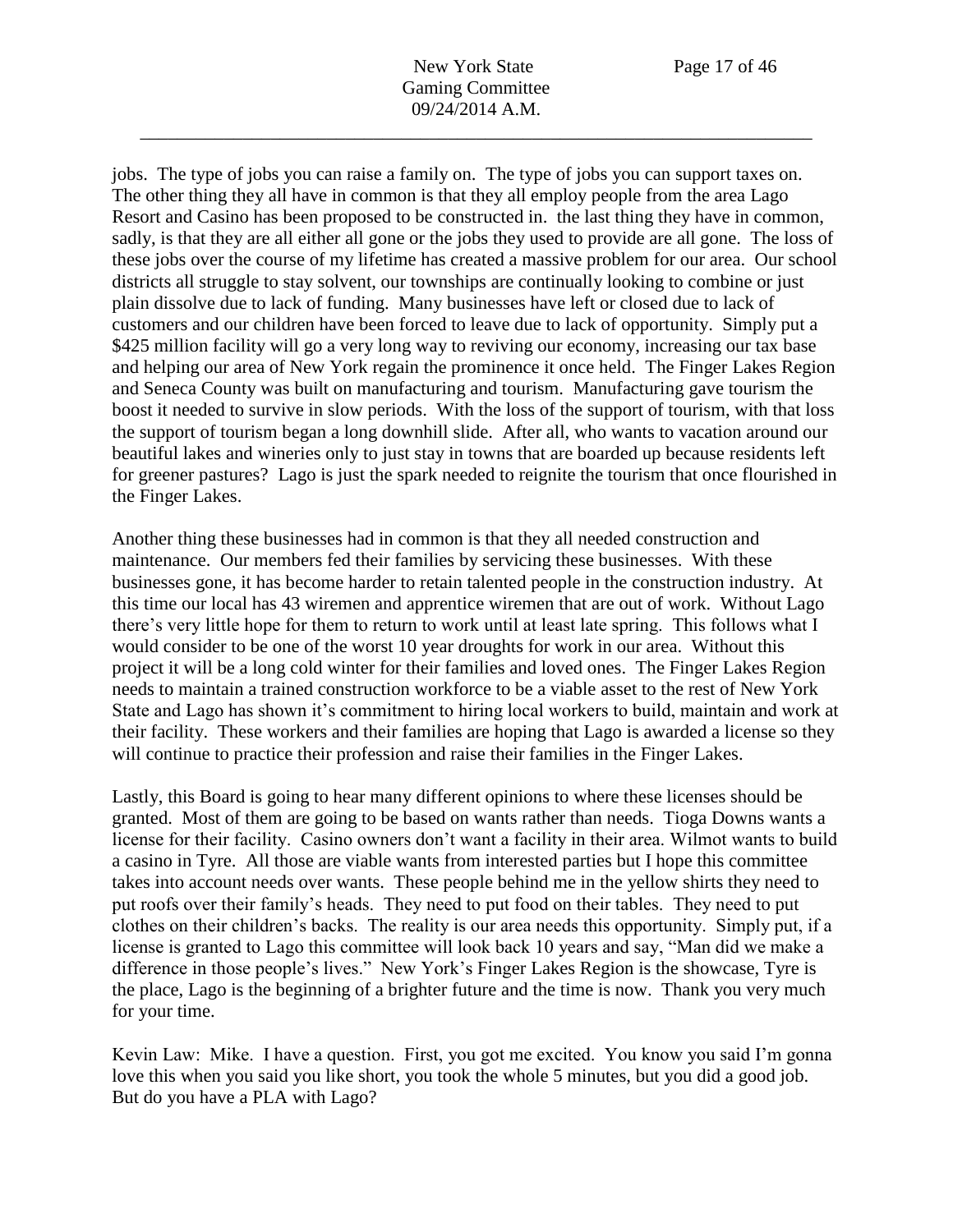jobs. The type of jobs you can raise a family on. The type of jobs you can support taxes on. The other thing they all have in common is that they all employ people from the area Lago Resort and Casino has been proposed to be constructed in. the last thing they have in common, sadly, is that they are all either all gone or the jobs they used to provide are all gone. The loss of these jobs over the course of my lifetime has created a massive problem for our area. Our school districts all struggle to stay solvent, our townships are continually looking to combine or just plain dissolve due to lack of funding. Many businesses have left or closed due to lack of customers and our children have been forced to leave due to lack of opportunity. Simply put a \$425 million facility will go a very long way to reviving our economy, increasing our tax base and helping our area of New York regain the prominence it once held. The Finger Lakes Region and Seneca County was built on manufacturing and tourism. Manufacturing gave tourism the boost it needed to survive in slow periods. With the loss of the support of tourism, with that loss the support of tourism began a long downhill slide. After all, who wants to vacation around our beautiful lakes and wineries only to just stay in towns that are boarded up because residents left for greener pastures? Lago is just the spark needed to reignite the tourism that once flourished in the Finger Lakes.

Another thing these businesses had in common is that they all needed construction and maintenance. Our members fed their families by servicing these businesses. With these businesses gone, it has become harder to retain talented people in the construction industry. At this time our local has 43 wiremen and apprentice wiremen that are out of work. Without Lago there's very little hope for them to return to work until at least late spring. This follows what I would consider to be one of the worst 10 year droughts for work in our area. Without this project it will be a long cold winter for their families and loved ones. The Finger Lakes Region needs to maintain a trained construction workforce to be a viable asset to the rest of New York State and Lago has shown it's commitment to hiring local workers to build, maintain and work at their facility. These workers and their families are hoping that Lago is awarded a license so they will continue to practice their profession and raise their families in the Finger Lakes.

Lastly, this Board is going to hear many different opinions to where these licenses should be granted. Most of them are going to be based on wants rather than needs. Tioga Downs wants a license for their facility. Casino owners don't want a facility in their area. Wilmot wants to build a casino in Tyre. All those are viable wants from interested parties but I hope this committee takes into account needs over wants. These people behind me in the yellow shirts they need to put roofs over their family's heads. They need to put food on their tables. They need to put clothes on their children's backs. The reality is our area needs this opportunity. Simply put, if a license is granted to Lago this committee will look back 10 years and say, "Man did we make a difference in those people's lives." New York's Finger Lakes Region is the showcase, Tyre is the place, Lago is the beginning of a brighter future and the time is now. Thank you very much for your time.

Kevin Law: Mike. I have a question. First, you got me excited. You know you said I'm gonna love this when you said you like short, you took the whole 5 minutes, but you did a good job. But do you have a PLA with Lago?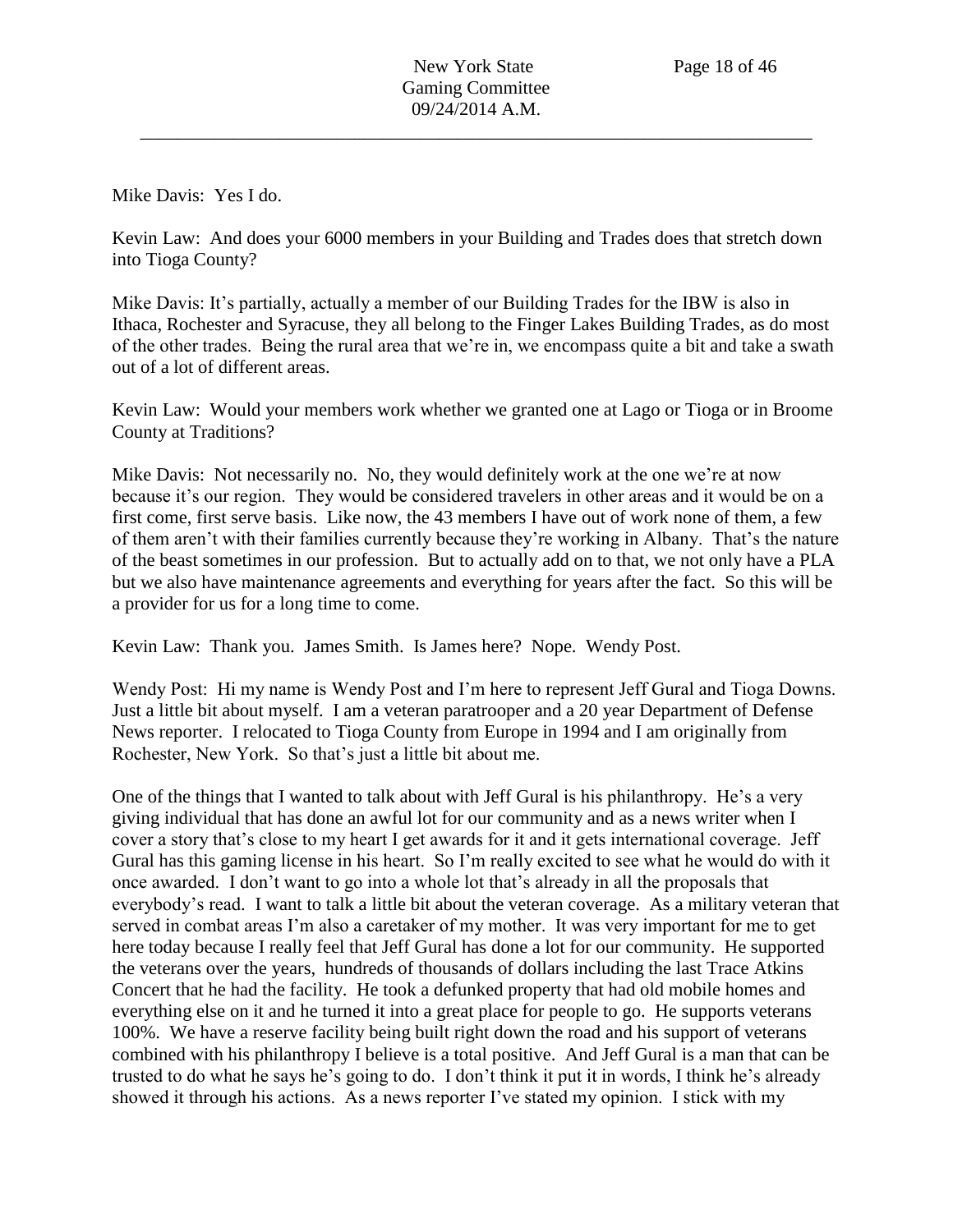Mike Davis: Yes I do.

Kevin Law: And does your 6000 members in your Building and Trades does that stretch down into Tioga County?

Mike Davis: It's partially, actually a member of our Building Trades for the IBW is also in Ithaca, Rochester and Syracuse, they all belong to the Finger Lakes Building Trades, as do most of the other trades. Being the rural area that we're in, we encompass quite a bit and take a swath out of a lot of different areas.

Kevin Law: Would your members work whether we granted one at Lago or Tioga or in Broome County at Traditions?

Mike Davis: Not necessarily no. No, they would definitely work at the one we're at now because it's our region. They would be considered travelers in other areas and it would be on a first come, first serve basis. Like now, the 43 members I have out of work none of them, a few of them aren't with their families currently because they're working in Albany. That's the nature of the beast sometimes in our profession. But to actually add on to that, we not only have a PLA but we also have maintenance agreements and everything for years after the fact. So this will be a provider for us for a long time to come.

Kevin Law: Thank you. James Smith. Is James here? Nope. Wendy Post.

Wendy Post: Hi my name is Wendy Post and I'm here to represent Jeff Gural and Tioga Downs. Just a little bit about myself. I am a veteran paratrooper and a 20 year Department of Defense News reporter. I relocated to Tioga County from Europe in 1994 and I am originally from Rochester, New York. So that's just a little bit about me.

One of the things that I wanted to talk about with Jeff Gural is his philanthropy. He's a very giving individual that has done an awful lot for our community and as a news writer when I cover a story that's close to my heart I get awards for it and it gets international coverage. Jeff Gural has this gaming license in his heart. So I'm really excited to see what he would do with it once awarded. I don't want to go into a whole lot that's already in all the proposals that everybody's read. I want to talk a little bit about the veteran coverage. As a military veteran that served in combat areas I'm also a caretaker of my mother. It was very important for me to get here today because I really feel that Jeff Gural has done a lot for our community. He supported the veterans over the years, hundreds of thousands of dollars including the last Trace Atkins Concert that he had the facility. He took a defunked property that had old mobile homes and everything else on it and he turned it into a great place for people to go. He supports veterans 100%. We have a reserve facility being built right down the road and his support of veterans combined with his philanthropy I believe is a total positive. And Jeff Gural is a man that can be trusted to do what he says he's going to do. I don't think it put it in words, I think he's already showed it through his actions. As a news reporter I've stated my opinion. I stick with my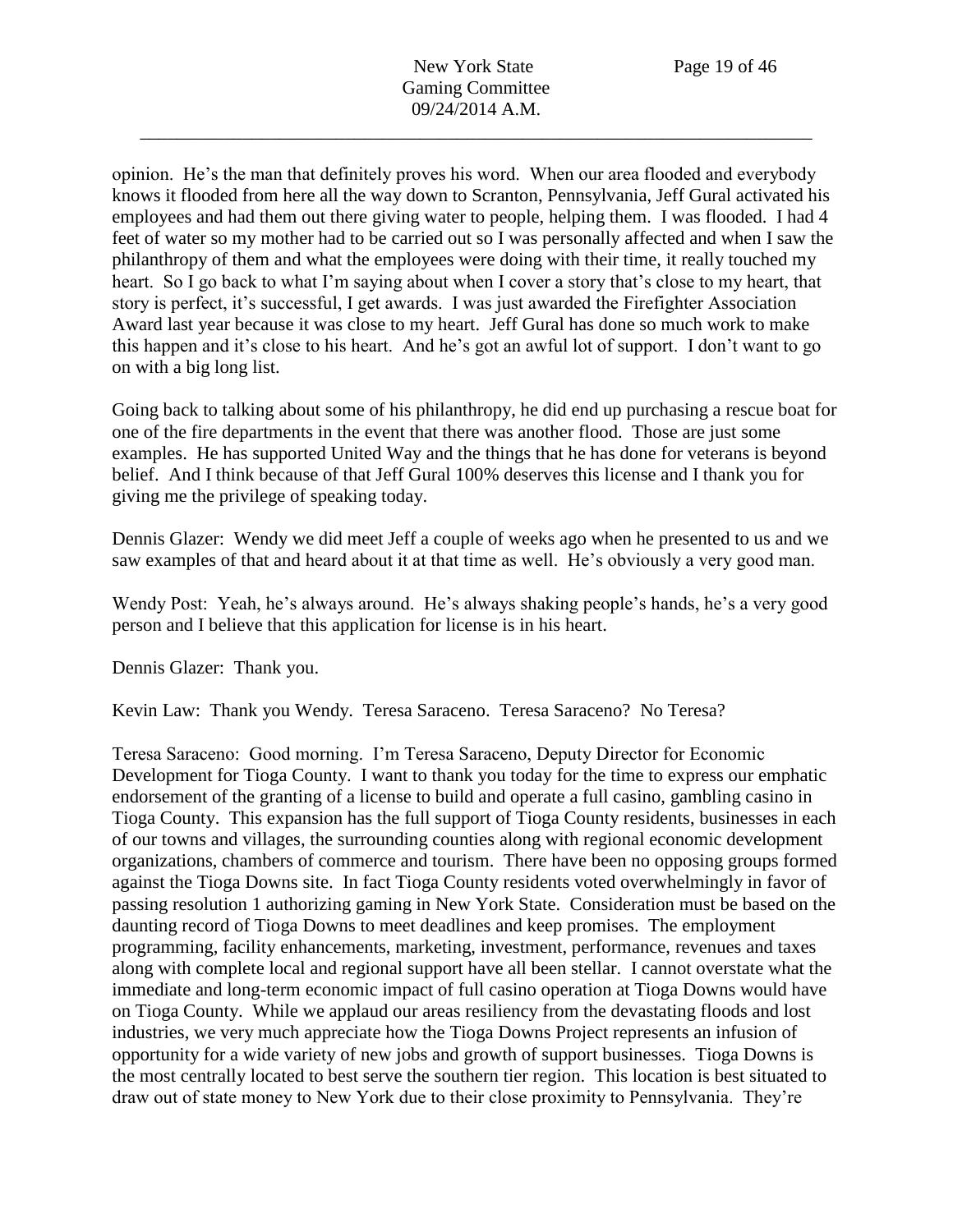opinion. He's the man that definitely proves his word. When our area flooded and everybody knows it flooded from here all the way down to Scranton, Pennsylvania, Jeff Gural activated his employees and had them out there giving water to people, helping them. I was flooded. I had 4 feet of water so my mother had to be carried out so I was personally affected and when I saw the philanthropy of them and what the employees were doing with their time, it really touched my heart. So I go back to what I'm saying about when I cover a story that's close to my heart, that story is perfect, it's successful, I get awards. I was just awarded the Firefighter Association Award last year because it was close to my heart. Jeff Gural has done so much work to make this happen and it's close to his heart. And he's got an awful lot of support. I don't want to go on with a big long list.

Going back to talking about some of his philanthropy, he did end up purchasing a rescue boat for one of the fire departments in the event that there was another flood. Those are just some examples. He has supported United Way and the things that he has done for veterans is beyond belief. And I think because of that Jeff Gural 100% deserves this license and I thank you for giving me the privilege of speaking today.

Dennis Glazer: Wendy we did meet Jeff a couple of weeks ago when he presented to us and we saw examples of that and heard about it at that time as well. He's obviously a very good man.

Wendy Post: Yeah, he's always around. He's always shaking people's hands, he's a very good person and I believe that this application for license is in his heart.

Dennis Glazer: Thank you.

Kevin Law: Thank you Wendy. Teresa Saraceno. Teresa Saraceno? No Teresa?

Teresa Saraceno: Good morning. I'm Teresa Saraceno, Deputy Director for Economic Development for Tioga County. I want to thank you today for the time to express our emphatic endorsement of the granting of a license to build and operate a full casino, gambling casino in Tioga County. This expansion has the full support of Tioga County residents, businesses in each of our towns and villages, the surrounding counties along with regional economic development organizations, chambers of commerce and tourism. There have been no opposing groups formed against the Tioga Downs site. In fact Tioga County residents voted overwhelmingly in favor of passing resolution 1 authorizing gaming in New York State. Consideration must be based on the daunting record of Tioga Downs to meet deadlines and keep promises. The employment programming, facility enhancements, marketing, investment, performance, revenues and taxes along with complete local and regional support have all been stellar. I cannot overstate what the immediate and long-term economic impact of full casino operation at Tioga Downs would have on Tioga County. While we applaud our areas resiliency from the devastating floods and lost industries, we very much appreciate how the Tioga Downs Project represents an infusion of opportunity for a wide variety of new jobs and growth of support businesses. Tioga Downs is the most centrally located to best serve the southern tier region. This location is best situated to draw out of state money to New York due to their close proximity to Pennsylvania. They're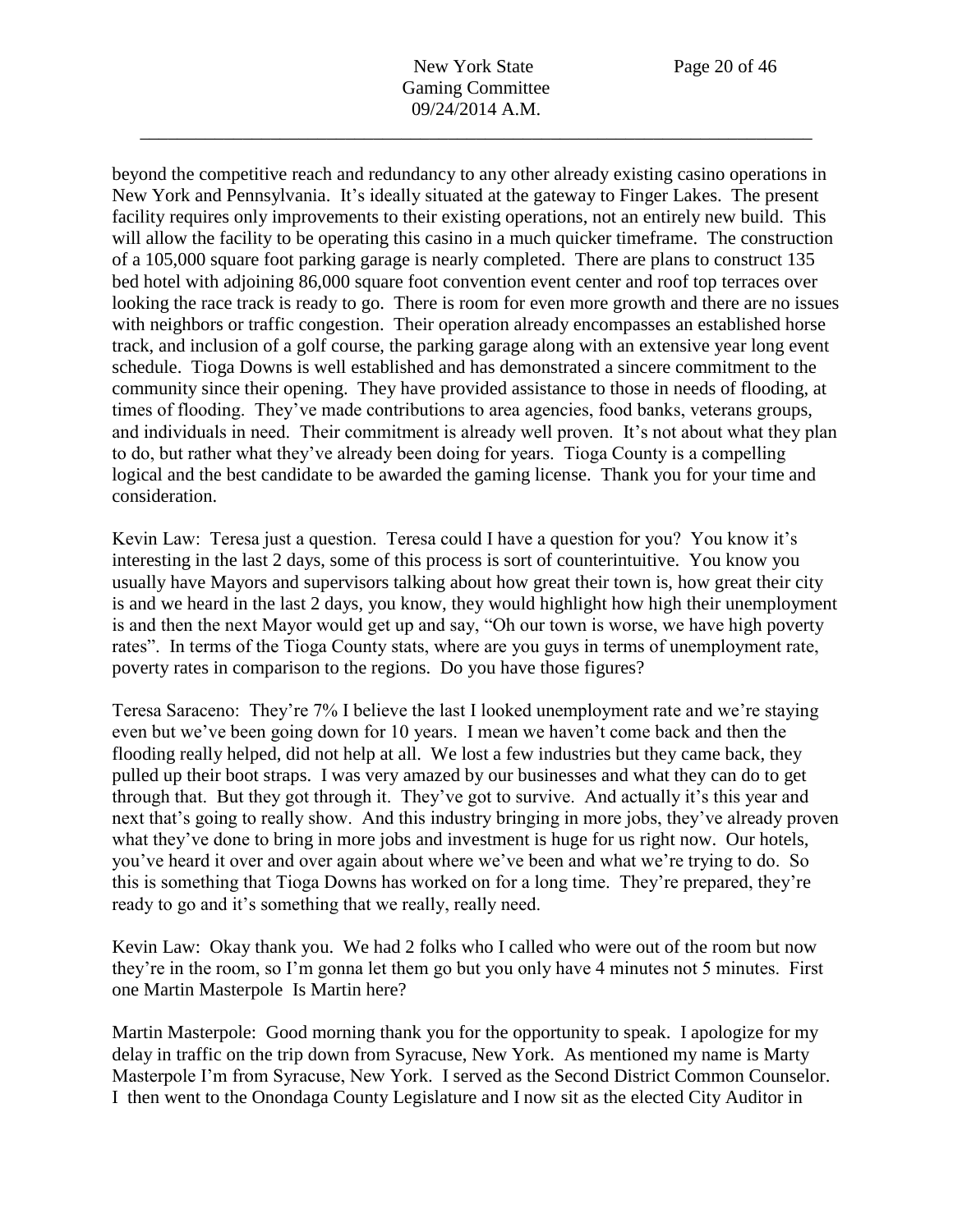New York State Page 20 of 46 Gaming Committee 09/24/2014 A.M.

\_\_\_\_\_\_\_\_\_\_\_\_\_\_\_\_\_\_\_\_\_\_\_\_\_\_\_\_\_\_\_\_\_\_\_\_\_\_\_\_\_\_\_\_\_\_\_\_\_\_\_\_\_\_\_\_\_\_\_\_\_\_\_\_\_\_\_\_\_\_\_\_

beyond the competitive reach and redundancy to any other already existing casino operations in New York and Pennsylvania. It's ideally situated at the gateway to Finger Lakes. The present facility requires only improvements to their existing operations, not an entirely new build. This will allow the facility to be operating this casino in a much quicker timeframe. The construction of a 105,000 square foot parking garage is nearly completed. There are plans to construct 135 bed hotel with adjoining 86,000 square foot convention event center and roof top terraces over looking the race track is ready to go. There is room for even more growth and there are no issues with neighbors or traffic congestion. Their operation already encompasses an established horse track, and inclusion of a golf course, the parking garage along with an extensive year long event schedule. Tioga Downs is well established and has demonstrated a sincere commitment to the community since their opening. They have provided assistance to those in needs of flooding, at times of flooding. They've made contributions to area agencies, food banks, veterans groups, and individuals in need. Their commitment is already well proven. It's not about what they plan to do, but rather what they've already been doing for years. Tioga County is a compelling logical and the best candidate to be awarded the gaming license. Thank you for your time and consideration.

Kevin Law: Teresa just a question. Teresa could I have a question for you? You know it's interesting in the last 2 days, some of this process is sort of counterintuitive. You know you usually have Mayors and supervisors talking about how great their town is, how great their city is and we heard in the last 2 days, you know, they would highlight how high their unemployment is and then the next Mayor would get up and say, "Oh our town is worse, we have high poverty rates". In terms of the Tioga County stats, where are you guys in terms of unemployment rate, poverty rates in comparison to the regions. Do you have those figures?

Teresa Saraceno: They're 7% I believe the last I looked unemployment rate and we're staying even but we've been going down for 10 years. I mean we haven't come back and then the flooding really helped, did not help at all. We lost a few industries but they came back, they pulled up their boot straps. I was very amazed by our businesses and what they can do to get through that. But they got through it. They've got to survive. And actually it's this year and next that's going to really show. And this industry bringing in more jobs, they've already proven what they've done to bring in more jobs and investment is huge for us right now. Our hotels, you've heard it over and over again about where we've been and what we're trying to do. So this is something that Tioga Downs has worked on for a long time. They're prepared, they're ready to go and it's something that we really, really need.

Kevin Law: Okay thank you. We had 2 folks who I called who were out of the room but now they're in the room, so I'm gonna let them go but you only have 4 minutes not 5 minutes. First one Martin Masterpole Is Martin here?

Martin Masterpole: Good morning thank you for the opportunity to speak. I apologize for my delay in traffic on the trip down from Syracuse, New York. As mentioned my name is Marty Masterpole I'm from Syracuse, New York. I served as the Second District Common Counselor. I then went to the Onondaga County Legislature and I now sit as the elected City Auditor in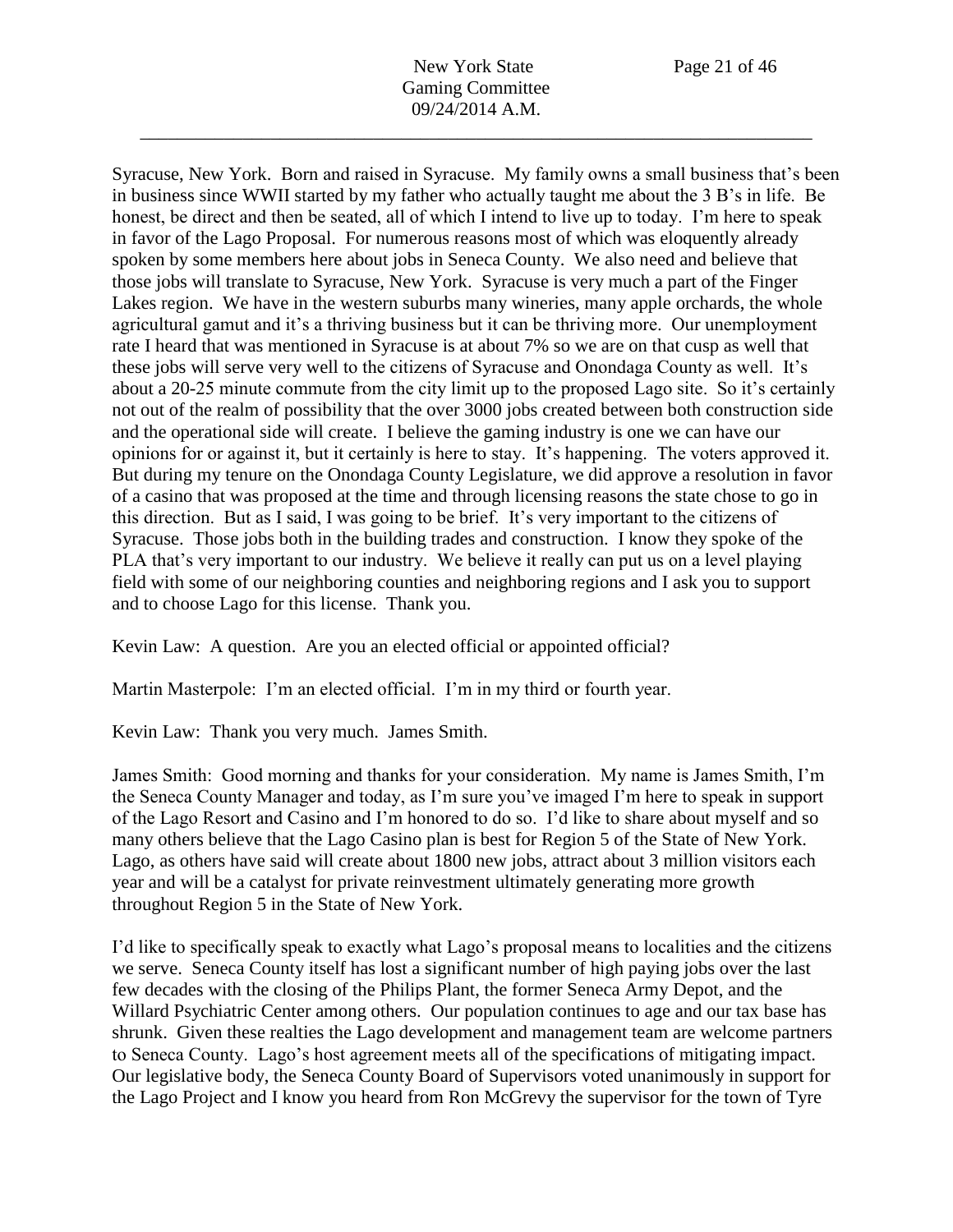Syracuse, New York. Born and raised in Syracuse. My family owns a small business that's been in business since WWII started by my father who actually taught me about the 3 B's in life. Be honest, be direct and then be seated, all of which I intend to live up to today. I'm here to speak in favor of the Lago Proposal. For numerous reasons most of which was eloquently already spoken by some members here about jobs in Seneca County. We also need and believe that those jobs will translate to Syracuse, New York. Syracuse is very much a part of the Finger Lakes region. We have in the western suburbs many wineries, many apple orchards, the whole agricultural gamut and it's a thriving business but it can be thriving more. Our unemployment rate I heard that was mentioned in Syracuse is at about 7% so we are on that cusp as well that these jobs will serve very well to the citizens of Syracuse and Onondaga County as well. It's about a 20-25 minute commute from the city limit up to the proposed Lago site. So it's certainly not out of the realm of possibility that the over 3000 jobs created between both construction side and the operational side will create. I believe the gaming industry is one we can have our opinions for or against it, but it certainly is here to stay. It's happening. The voters approved it. But during my tenure on the Onondaga County Legislature, we did approve a resolution in favor of a casino that was proposed at the time and through licensing reasons the state chose to go in this direction. But as I said, I was going to be brief. It's very important to the citizens of Syracuse. Those jobs both in the building trades and construction. I know they spoke of the PLA that's very important to our industry. We believe it really can put us on a level playing field with some of our neighboring counties and neighboring regions and I ask you to support and to choose Lago for this license. Thank you.

Kevin Law: A question. Are you an elected official or appointed official?

Martin Masterpole: I'm an elected official. I'm in my third or fourth year.

Kevin Law: Thank you very much. James Smith.

James Smith: Good morning and thanks for your consideration. My name is James Smith, I'm the Seneca County Manager and today, as I'm sure you've imaged I'm here to speak in support of the Lago Resort and Casino and I'm honored to do so. I'd like to share about myself and so many others believe that the Lago Casino plan is best for Region 5 of the State of New York. Lago, as others have said will create about 1800 new jobs, attract about 3 million visitors each year and will be a catalyst for private reinvestment ultimately generating more growth throughout Region 5 in the State of New York.

I'd like to specifically speak to exactly what Lago's proposal means to localities and the citizens we serve. Seneca County itself has lost a significant number of high paying jobs over the last few decades with the closing of the Philips Plant, the former Seneca Army Depot, and the Willard Psychiatric Center among others. Our population continues to age and our tax base has shrunk. Given these realties the Lago development and management team are welcome partners to Seneca County. Lago's host agreement meets all of the specifications of mitigating impact. Our legislative body, the Seneca County Board of Supervisors voted unanimously in support for the Lago Project and I know you heard from Ron McGrevy the supervisor for the town of Tyre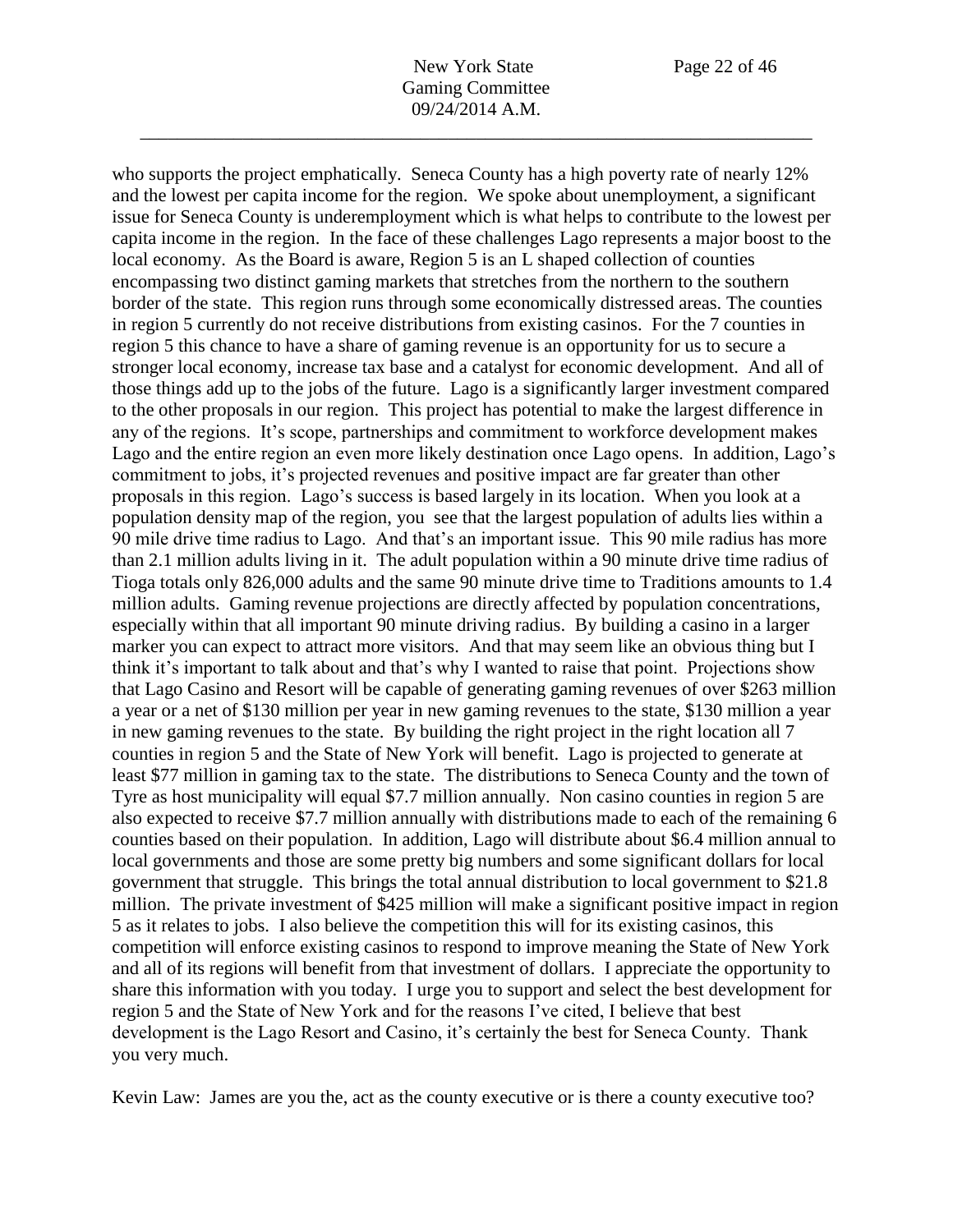who supports the project emphatically. Seneca County has a high poverty rate of nearly 12% and the lowest per capita income for the region. We spoke about unemployment, a significant issue for Seneca County is underemployment which is what helps to contribute to the lowest per capita income in the region. In the face of these challenges Lago represents a major boost to the local economy. As the Board is aware, Region 5 is an L shaped collection of counties encompassing two distinct gaming markets that stretches from the northern to the southern border of the state. This region runs through some economically distressed areas. The counties in region 5 currently do not receive distributions from existing casinos. For the 7 counties in region 5 this chance to have a share of gaming revenue is an opportunity for us to secure a stronger local economy, increase tax base and a catalyst for economic development. And all of those things add up to the jobs of the future. Lago is a significantly larger investment compared to the other proposals in our region. This project has potential to make the largest difference in any of the regions. It's scope, partnerships and commitment to workforce development makes Lago and the entire region an even more likely destination once Lago opens. In addition, Lago's commitment to jobs, it's projected revenues and positive impact are far greater than other proposals in this region. Lago's success is based largely in its location. When you look at a population density map of the region, you see that the largest population of adults lies within a 90 mile drive time radius to Lago. And that's an important issue. This 90 mile radius has more than 2.1 million adults living in it. The adult population within a 90 minute drive time radius of Tioga totals only 826,000 adults and the same 90 minute drive time to Traditions amounts to 1.4 million adults. Gaming revenue projections are directly affected by population concentrations, especially within that all important 90 minute driving radius. By building a casino in a larger marker you can expect to attract more visitors. And that may seem like an obvious thing but I think it's important to talk about and that's why I wanted to raise that point. Projections show that Lago Casino and Resort will be capable of generating gaming revenues of over \$263 million a year or a net of \$130 million per year in new gaming revenues to the state, \$130 million a year in new gaming revenues to the state. By building the right project in the right location all 7 counties in region 5 and the State of New York will benefit. Lago is projected to generate at least \$77 million in gaming tax to the state. The distributions to Seneca County and the town of Tyre as host municipality will equal \$7.7 million annually. Non casino counties in region 5 are also expected to receive \$7.7 million annually with distributions made to each of the remaining 6 counties based on their population. In addition, Lago will distribute about \$6.4 million annual to local governments and those are some pretty big numbers and some significant dollars for local government that struggle. This brings the total annual distribution to local government to \$21.8 million. The private investment of \$425 million will make a significant positive impact in region 5 as it relates to jobs. I also believe the competition this will for its existing casinos, this competition will enforce existing casinos to respond to improve meaning the State of New York and all of its regions will benefit from that investment of dollars. I appreciate the opportunity to share this information with you today. I urge you to support and select the best development for region 5 and the State of New York and for the reasons I've cited, I believe that best development is the Lago Resort and Casino, it's certainly the best for Seneca County. Thank you very much.

Kevin Law: James are you the, act as the county executive or is there a county executive too?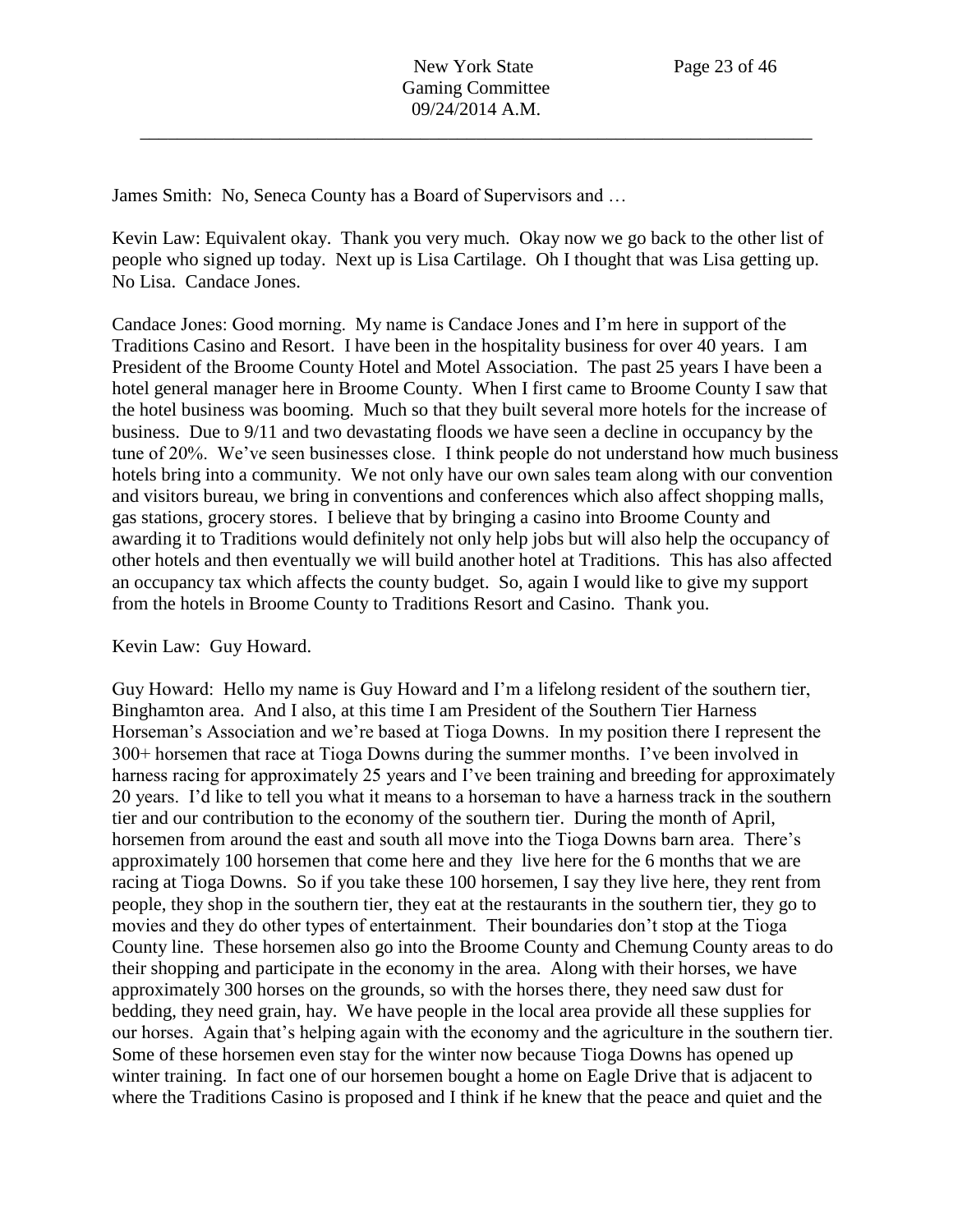James Smith: No, Seneca County has a Board of Supervisors and …

Kevin Law: Equivalent okay. Thank you very much. Okay now we go back to the other list of people who signed up today. Next up is Lisa Cartilage. Oh I thought that was Lisa getting up. No Lisa. Candace Jones.

Candace Jones: Good morning. My name is Candace Jones and I'm here in support of the Traditions Casino and Resort. I have been in the hospitality business for over 40 years. I am President of the Broome County Hotel and Motel Association. The past 25 years I have been a hotel general manager here in Broome County. When I first came to Broome County I saw that the hotel business was booming. Much so that they built several more hotels for the increase of business. Due to 9/11 and two devastating floods we have seen a decline in occupancy by the tune of 20%. We've seen businesses close. I think people do not understand how much business hotels bring into a community. We not only have our own sales team along with our convention and visitors bureau, we bring in conventions and conferences which also affect shopping malls, gas stations, grocery stores. I believe that by bringing a casino into Broome County and awarding it to Traditions would definitely not only help jobs but will also help the occupancy of other hotels and then eventually we will build another hotel at Traditions. This has also affected an occupancy tax which affects the county budget. So, again I would like to give my support from the hotels in Broome County to Traditions Resort and Casino. Thank you.

Kevin Law: Guy Howard.

Guy Howard: Hello my name is Guy Howard and I'm a lifelong resident of the southern tier, Binghamton area. And I also, at this time I am President of the Southern Tier Harness Horseman's Association and we're based at Tioga Downs. In my position there I represent the 300+ horsemen that race at Tioga Downs during the summer months. I've been involved in harness racing for approximately 25 years and I've been training and breeding for approximately 20 years. I'd like to tell you what it means to a horseman to have a harness track in the southern tier and our contribution to the economy of the southern tier. During the month of April, horsemen from around the east and south all move into the Tioga Downs barn area. There's approximately 100 horsemen that come here and they live here for the 6 months that we are racing at Tioga Downs. So if you take these 100 horsemen, I say they live here, they rent from people, they shop in the southern tier, they eat at the restaurants in the southern tier, they go to movies and they do other types of entertainment. Their boundaries don't stop at the Tioga County line. These horsemen also go into the Broome County and Chemung County areas to do their shopping and participate in the economy in the area. Along with their horses, we have approximately 300 horses on the grounds, so with the horses there, they need saw dust for bedding, they need grain, hay. We have people in the local area provide all these supplies for our horses. Again that's helping again with the economy and the agriculture in the southern tier. Some of these horsemen even stay for the winter now because Tioga Downs has opened up winter training. In fact one of our horsemen bought a home on Eagle Drive that is adjacent to where the Traditions Casino is proposed and I think if he knew that the peace and quiet and the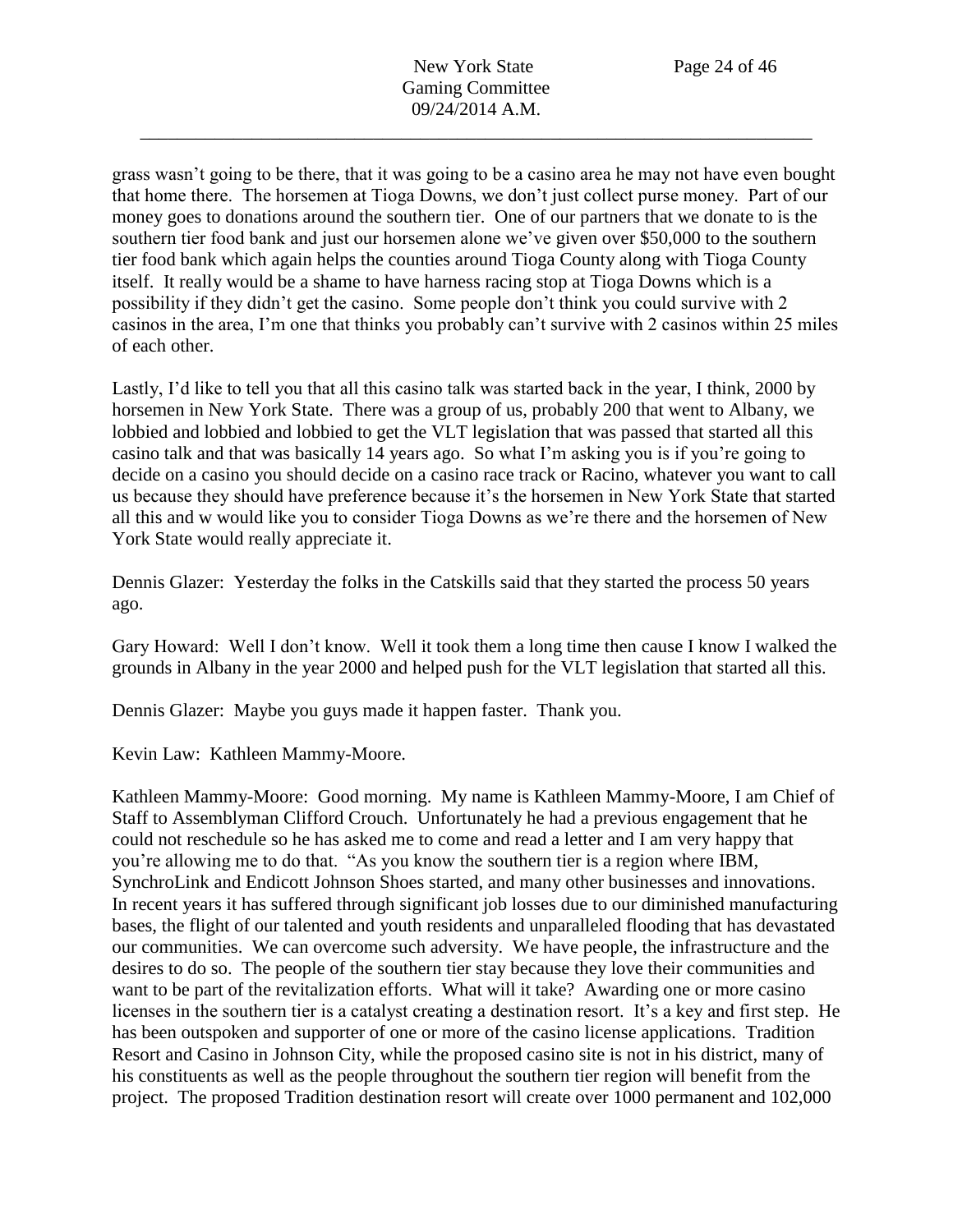grass wasn't going to be there, that it was going to be a casino area he may not have even bought that home there. The horsemen at Tioga Downs, we don't just collect purse money. Part of our money goes to donations around the southern tier. One of our partners that we donate to is the southern tier food bank and just our horsemen alone we've given over \$50,000 to the southern tier food bank which again helps the counties around Tioga County along with Tioga County itself. It really would be a shame to have harness racing stop at Tioga Downs which is a possibility if they didn't get the casino. Some people don't think you could survive with 2 casinos in the area, I'm one that thinks you probably can't survive with 2 casinos within 25 miles of each other.

Lastly, I'd like to tell you that all this casino talk was started back in the year, I think, 2000 by horsemen in New York State. There was a group of us, probably 200 that went to Albany, we lobbied and lobbied and lobbied to get the VLT legislation that was passed that started all this casino talk and that was basically 14 years ago. So what I'm asking you is if you're going to decide on a casino you should decide on a casino race track or Racino, whatever you want to call us because they should have preference because it's the horsemen in New York State that started all this and w would like you to consider Tioga Downs as we're there and the horsemen of New York State would really appreciate it.

Dennis Glazer: Yesterday the folks in the Catskills said that they started the process 50 years ago.

Gary Howard: Well I don't know. Well it took them a long time then cause I know I walked the grounds in Albany in the year 2000 and helped push for the VLT legislation that started all this.

Dennis Glazer: Maybe you guys made it happen faster. Thank you.

Kevin Law: Kathleen Mammy-Moore.

Kathleen Mammy-Moore: Good morning. My name is Kathleen Mammy-Moore, I am Chief of Staff to Assemblyman Clifford Crouch. Unfortunately he had a previous engagement that he could not reschedule so he has asked me to come and read a letter and I am very happy that you're allowing me to do that. "As you know the southern tier is a region where IBM, SynchroLink and Endicott Johnson Shoes started, and many other businesses and innovations. In recent years it has suffered through significant job losses due to our diminished manufacturing bases, the flight of our talented and youth residents and unparalleled flooding that has devastated our communities. We can overcome such adversity. We have people, the infrastructure and the desires to do so. The people of the southern tier stay because they love their communities and want to be part of the revitalization efforts. What will it take? Awarding one or more casino licenses in the southern tier is a catalyst creating a destination resort. It's a key and first step. He has been outspoken and supporter of one or more of the casino license applications. Tradition Resort and Casino in Johnson City, while the proposed casino site is not in his district, many of his constituents as well as the people throughout the southern tier region will benefit from the project. The proposed Tradition destination resort will create over 1000 permanent and 102,000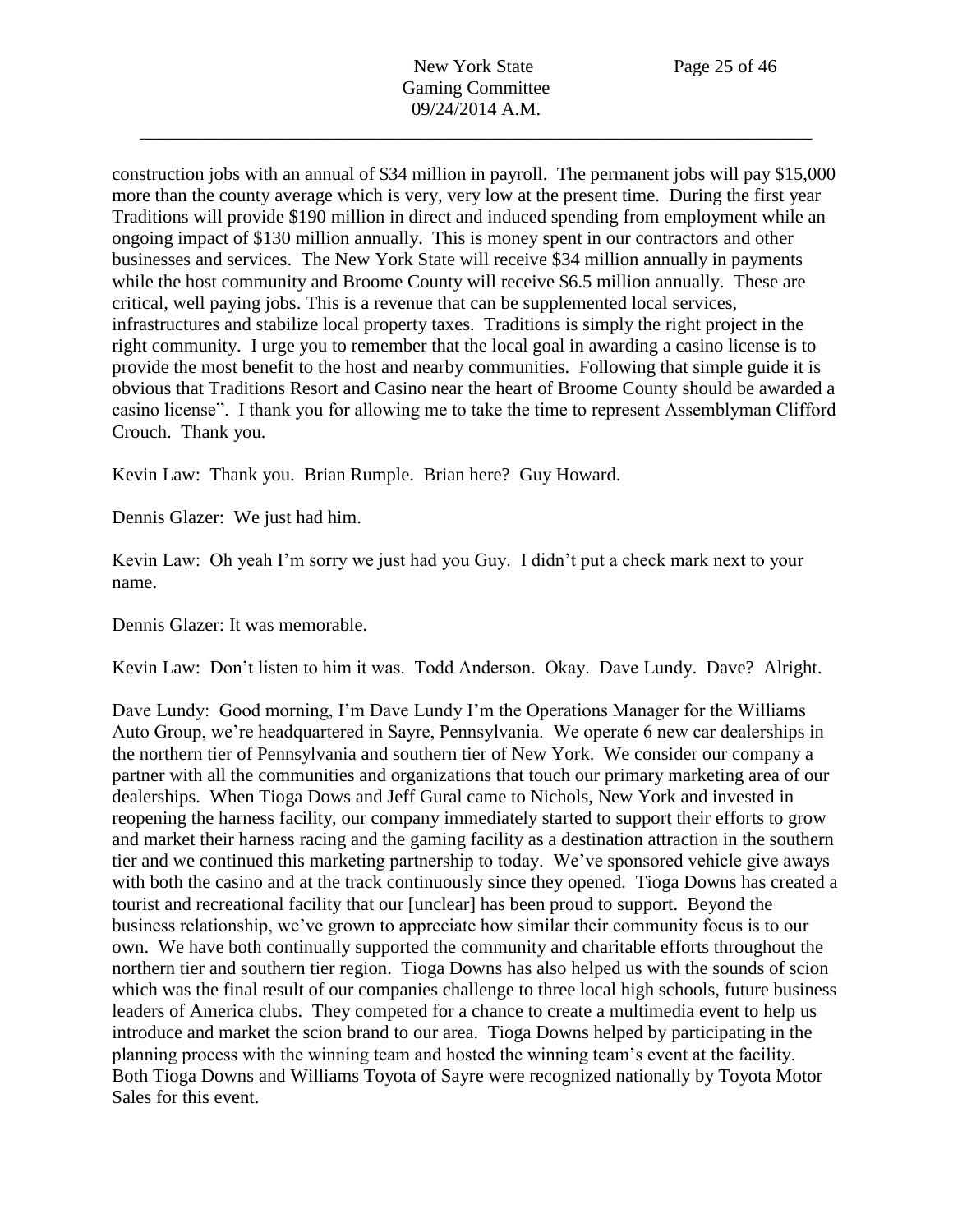construction jobs with an annual of \$34 million in payroll. The permanent jobs will pay \$15,000 more than the county average which is very, very low at the present time. During the first year Traditions will provide \$190 million in direct and induced spending from employment while an ongoing impact of \$130 million annually. This is money spent in our contractors and other businesses and services. The New York State will receive \$34 million annually in payments while the host community and Broome County will receive \$6.5 million annually. These are critical, well paying jobs. This is a revenue that can be supplemented local services, infrastructures and stabilize local property taxes. Traditions is simply the right project in the right community. I urge you to remember that the local goal in awarding a casino license is to provide the most benefit to the host and nearby communities. Following that simple guide it is obvious that Traditions Resort and Casino near the heart of Broome County should be awarded a casino license". I thank you for allowing me to take the time to represent Assemblyman Clifford Crouch. Thank you.

Kevin Law: Thank you. Brian Rumple. Brian here? Guy Howard.

Dennis Glazer: We just had him.

Kevin Law: Oh yeah I'm sorry we just had you Guy. I didn't put a check mark next to your name.

Dennis Glazer: It was memorable.

Kevin Law: Don't listen to him it was. Todd Anderson. Okay. Dave Lundy. Dave? Alright.

Dave Lundy: Good morning, I'm Dave Lundy I'm the Operations Manager for the Williams Auto Group, we're headquartered in Sayre, Pennsylvania. We operate 6 new car dealerships in the northern tier of Pennsylvania and southern tier of New York. We consider our company a partner with all the communities and organizations that touch our primary marketing area of our dealerships. When Tioga Dows and Jeff Gural came to Nichols, New York and invested in reopening the harness facility, our company immediately started to support their efforts to grow and market their harness racing and the gaming facility as a destination attraction in the southern tier and we continued this marketing partnership to today. We've sponsored vehicle give aways with both the casino and at the track continuously since they opened. Tioga Downs has created a tourist and recreational facility that our [unclear] has been proud to support. Beyond the business relationship, we've grown to appreciate how similar their community focus is to our own. We have both continually supported the community and charitable efforts throughout the northern tier and southern tier region. Tioga Downs has also helped us with the sounds of scion which was the final result of our companies challenge to three local high schools, future business leaders of America clubs. They competed for a chance to create a multimedia event to help us introduce and market the scion brand to our area. Tioga Downs helped by participating in the planning process with the winning team and hosted the winning team's event at the facility. Both Tioga Downs and Williams Toyota of Sayre were recognized nationally by Toyota Motor Sales for this event.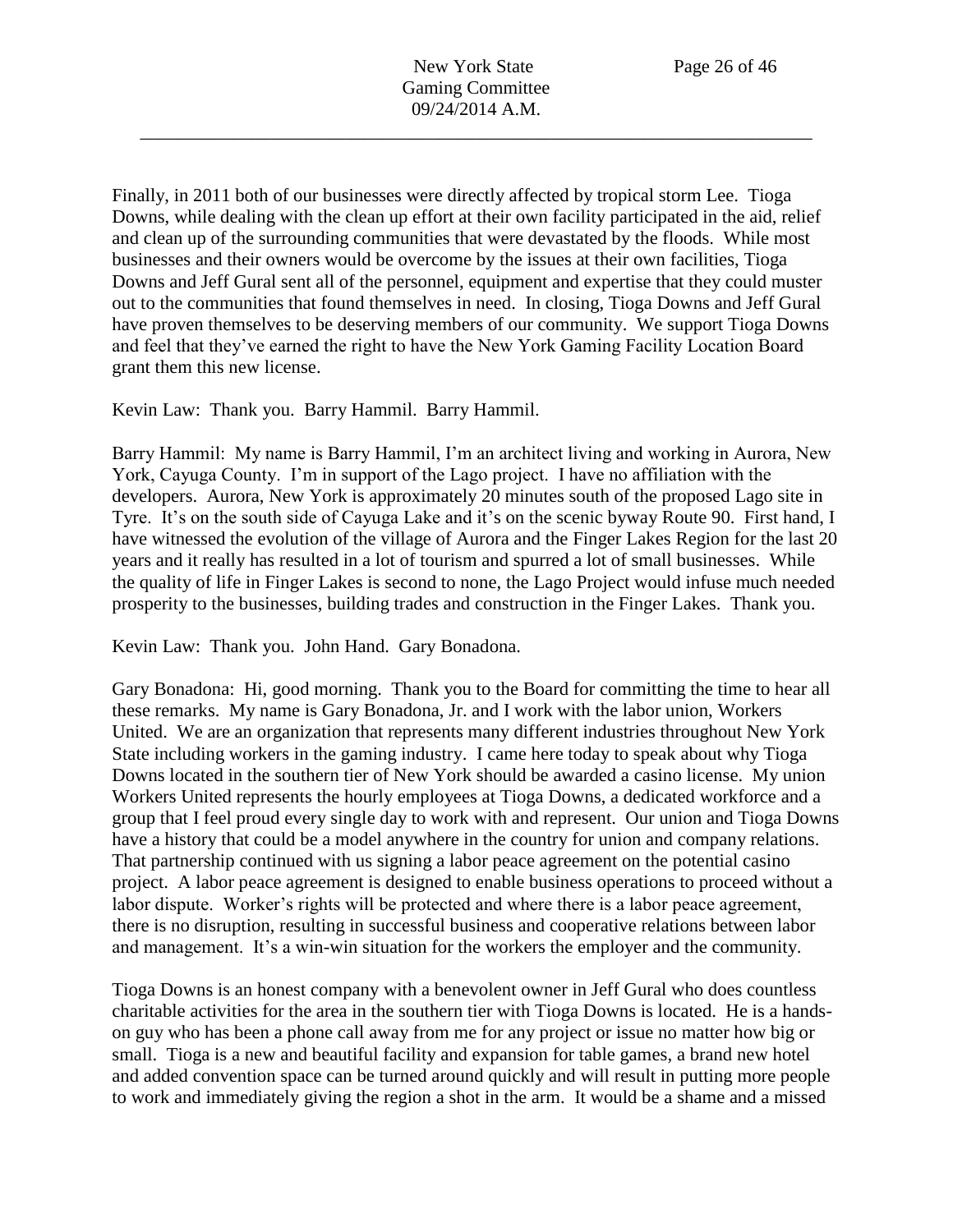Finally, in 2011 both of our businesses were directly affected by tropical storm Lee. Tioga Downs, while dealing with the clean up effort at their own facility participated in the aid, relief and clean up of the surrounding communities that were devastated by the floods. While most businesses and their owners would be overcome by the issues at their own facilities, Tioga Downs and Jeff Gural sent all of the personnel, equipment and expertise that they could muster out to the communities that found themselves in need. In closing, Tioga Downs and Jeff Gural have proven themselves to be deserving members of our community. We support Tioga Downs and feel that they've earned the right to have the New York Gaming Facility Location Board grant them this new license.

Kevin Law: Thank you. Barry Hammil. Barry Hammil.

Barry Hammil: My name is Barry Hammil, I'm an architect living and working in Aurora, New York, Cayuga County. I'm in support of the Lago project. I have no affiliation with the developers. Aurora, New York is approximately 20 minutes south of the proposed Lago site in Tyre. It's on the south side of Cayuga Lake and it's on the scenic byway Route 90. First hand, I have witnessed the evolution of the village of Aurora and the Finger Lakes Region for the last 20 years and it really has resulted in a lot of tourism and spurred a lot of small businesses. While the quality of life in Finger Lakes is second to none, the Lago Project would infuse much needed prosperity to the businesses, building trades and construction in the Finger Lakes. Thank you.

Kevin Law: Thank you. John Hand. Gary Bonadona.

Gary Bonadona: Hi, good morning. Thank you to the Board for committing the time to hear all these remarks. My name is Gary Bonadona, Jr. and I work with the labor union, Workers United. We are an organization that represents many different industries throughout New York State including workers in the gaming industry. I came here today to speak about why Tioga Downs located in the southern tier of New York should be awarded a casino license. My union Workers United represents the hourly employees at Tioga Downs, a dedicated workforce and a group that I feel proud every single day to work with and represent. Our union and Tioga Downs have a history that could be a model anywhere in the country for union and company relations. That partnership continued with us signing a labor peace agreement on the potential casino project. A labor peace agreement is designed to enable business operations to proceed without a labor dispute. Worker's rights will be protected and where there is a labor peace agreement, there is no disruption, resulting in successful business and cooperative relations between labor and management. It's a win-win situation for the workers the employer and the community.

Tioga Downs is an honest company with a benevolent owner in Jeff Gural who does countless charitable activities for the area in the southern tier with Tioga Downs is located. He is a handson guy who has been a phone call away from me for any project or issue no matter how big or small. Tioga is a new and beautiful facility and expansion for table games, a brand new hotel and added convention space can be turned around quickly and will result in putting more people to work and immediately giving the region a shot in the arm. It would be a shame and a missed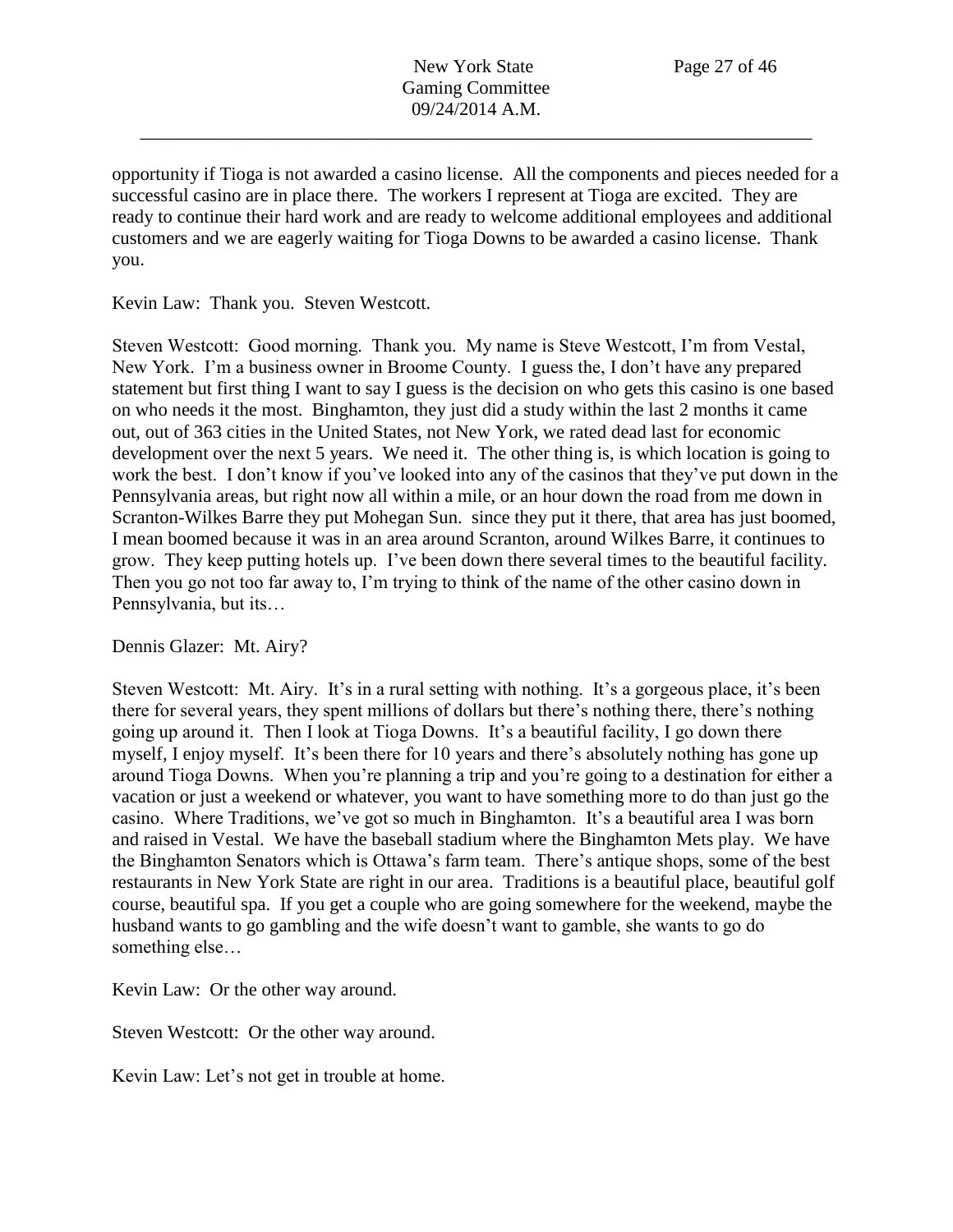opportunity if Tioga is not awarded a casino license. All the components and pieces needed for a successful casino are in place there. The workers I represent at Tioga are excited. They are ready to continue their hard work and are ready to welcome additional employees and additional customers and we are eagerly waiting for Tioga Downs to be awarded a casino license. Thank you.

Kevin Law: Thank you. Steven Westcott.

Steven Westcott: Good morning. Thank you. My name is Steve Westcott, I'm from Vestal, New York. I'm a business owner in Broome County. I guess the, I don't have any prepared statement but first thing I want to say I guess is the decision on who gets this casino is one based on who needs it the most. Binghamton, they just did a study within the last 2 months it came out, out of 363 cities in the United States, not New York, we rated dead last for economic development over the next 5 years. We need it. The other thing is, is which location is going to work the best. I don't know if you've looked into any of the casinos that they've put down in the Pennsylvania areas, but right now all within a mile, or an hour down the road from me down in Scranton-Wilkes Barre they put Mohegan Sun. since they put it there, that area has just boomed, I mean boomed because it was in an area around Scranton, around Wilkes Barre, it continues to grow. They keep putting hotels up. I've been down there several times to the beautiful facility. Then you go not too far away to, I'm trying to think of the name of the other casino down in Pennsylvania, but its…

Dennis Glazer: Mt. Airy?

Steven Westcott: Mt. Airy. It's in a rural setting with nothing. It's a gorgeous place, it's been there for several years, they spent millions of dollars but there's nothing there, there's nothing going up around it. Then I look at Tioga Downs. It's a beautiful facility, I go down there myself, I enjoy myself. It's been there for 10 years and there's absolutely nothing has gone up around Tioga Downs. When you're planning a trip and you're going to a destination for either a vacation or just a weekend or whatever, you want to have something more to do than just go the casino. Where Traditions, we've got so much in Binghamton. It's a beautiful area I was born and raised in Vestal. We have the baseball stadium where the Binghamton Mets play. We have the Binghamton Senators which is Ottawa's farm team. There's antique shops, some of the best restaurants in New York State are right in our area. Traditions is a beautiful place, beautiful golf course, beautiful spa. If you get a couple who are going somewhere for the weekend, maybe the husband wants to go gambling and the wife doesn't want to gamble, she wants to go do something else…

Kevin Law: Or the other way around.

Steven Westcott: Or the other way around.

Kevin Law: Let's not get in trouble at home.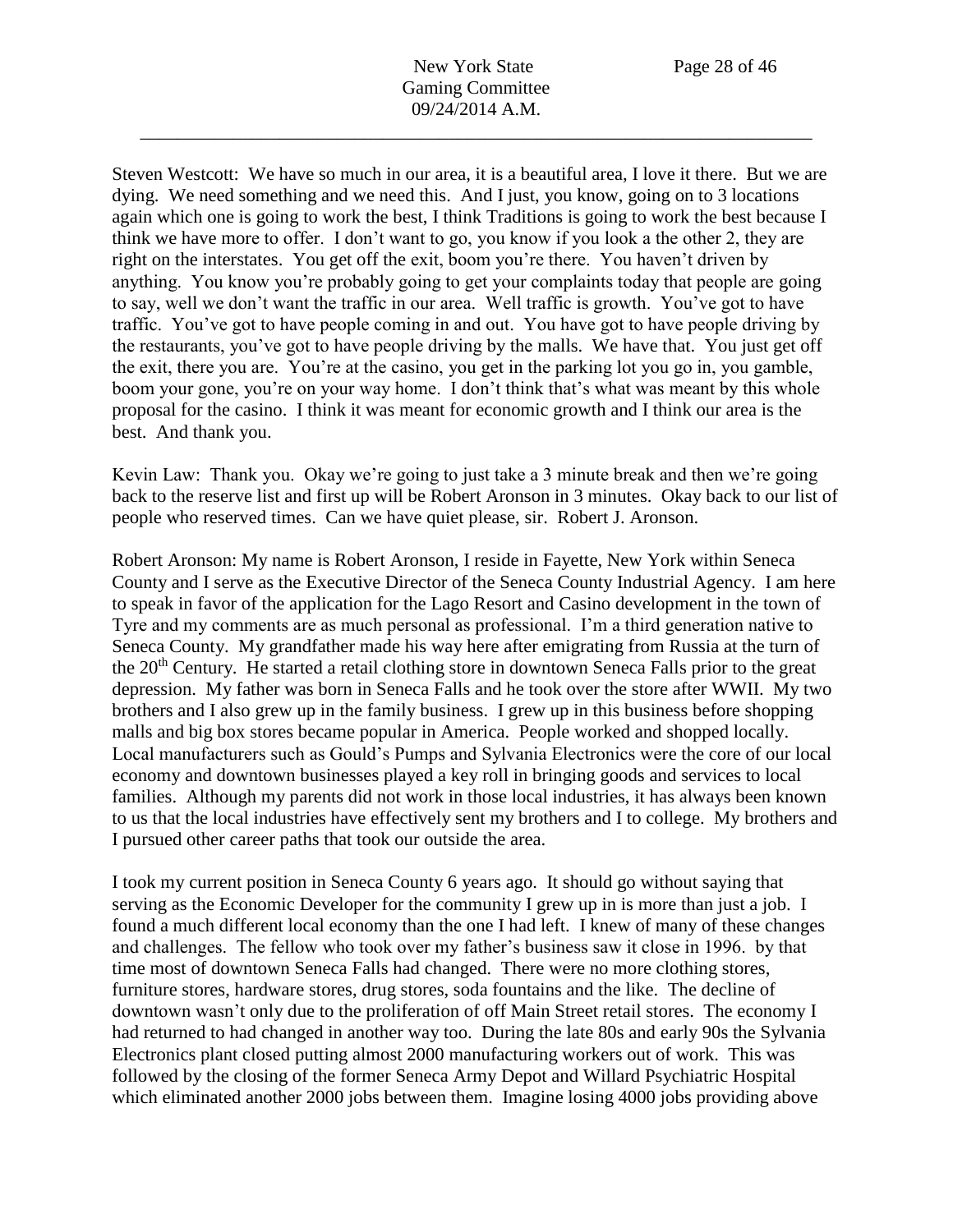New York State Page 28 of 46 Gaming Committee 09/24/2014 A.M.

\_\_\_\_\_\_\_\_\_\_\_\_\_\_\_\_\_\_\_\_\_\_\_\_\_\_\_\_\_\_\_\_\_\_\_\_\_\_\_\_\_\_\_\_\_\_\_\_\_\_\_\_\_\_\_\_\_\_\_\_\_\_\_\_\_\_\_\_\_\_\_\_

Steven Westcott: We have so much in our area, it is a beautiful area, I love it there. But we are dying. We need something and we need this. And I just, you know, going on to 3 locations again which one is going to work the best, I think Traditions is going to work the best because I think we have more to offer. I don't want to go, you know if you look a the other 2, they are right on the interstates. You get off the exit, boom you're there. You haven't driven by anything. You know you're probably going to get your complaints today that people are going to say, well we don't want the traffic in our area. Well traffic is growth. You've got to have traffic. You've got to have people coming in and out. You have got to have people driving by the restaurants, you've got to have people driving by the malls. We have that. You just get off the exit, there you are. You're at the casino, you get in the parking lot you go in, you gamble, boom your gone, you're on your way home. I don't think that's what was meant by this whole proposal for the casino. I think it was meant for economic growth and I think our area is the best. And thank you.

Kevin Law: Thank you. Okay we're going to just take a 3 minute break and then we're going back to the reserve list and first up will be Robert Aronson in 3 minutes. Okay back to our list of people who reserved times. Can we have quiet please, sir. Robert J. Aronson.

Robert Aronson: My name is Robert Aronson, I reside in Fayette, New York within Seneca County and I serve as the Executive Director of the Seneca County Industrial Agency. I am here to speak in favor of the application for the Lago Resort and Casino development in the town of Tyre and my comments are as much personal as professional. I'm a third generation native to Seneca County. My grandfather made his way here after emigrating from Russia at the turn of the 20<sup>th</sup> Century. He started a retail clothing store in downtown Seneca Falls prior to the great depression. My father was born in Seneca Falls and he took over the store after WWII. My two brothers and I also grew up in the family business. I grew up in this business before shopping malls and big box stores became popular in America. People worked and shopped locally. Local manufacturers such as Gould's Pumps and Sylvania Electronics were the core of our local economy and downtown businesses played a key roll in bringing goods and services to local families. Although my parents did not work in those local industries, it has always been known to us that the local industries have effectively sent my brothers and I to college. My brothers and I pursued other career paths that took our outside the area.

I took my current position in Seneca County 6 years ago. It should go without saying that serving as the Economic Developer for the community I grew up in is more than just a job. I found a much different local economy than the one I had left. I knew of many of these changes and challenges. The fellow who took over my father's business saw it close in 1996. by that time most of downtown Seneca Falls had changed. There were no more clothing stores, furniture stores, hardware stores, drug stores, soda fountains and the like. The decline of downtown wasn't only due to the proliferation of off Main Street retail stores. The economy I had returned to had changed in another way too. During the late 80s and early 90s the Sylvania Electronics plant closed putting almost 2000 manufacturing workers out of work. This was followed by the closing of the former Seneca Army Depot and Willard Psychiatric Hospital which eliminated another 2000 jobs between them. Imagine losing 4000 jobs providing above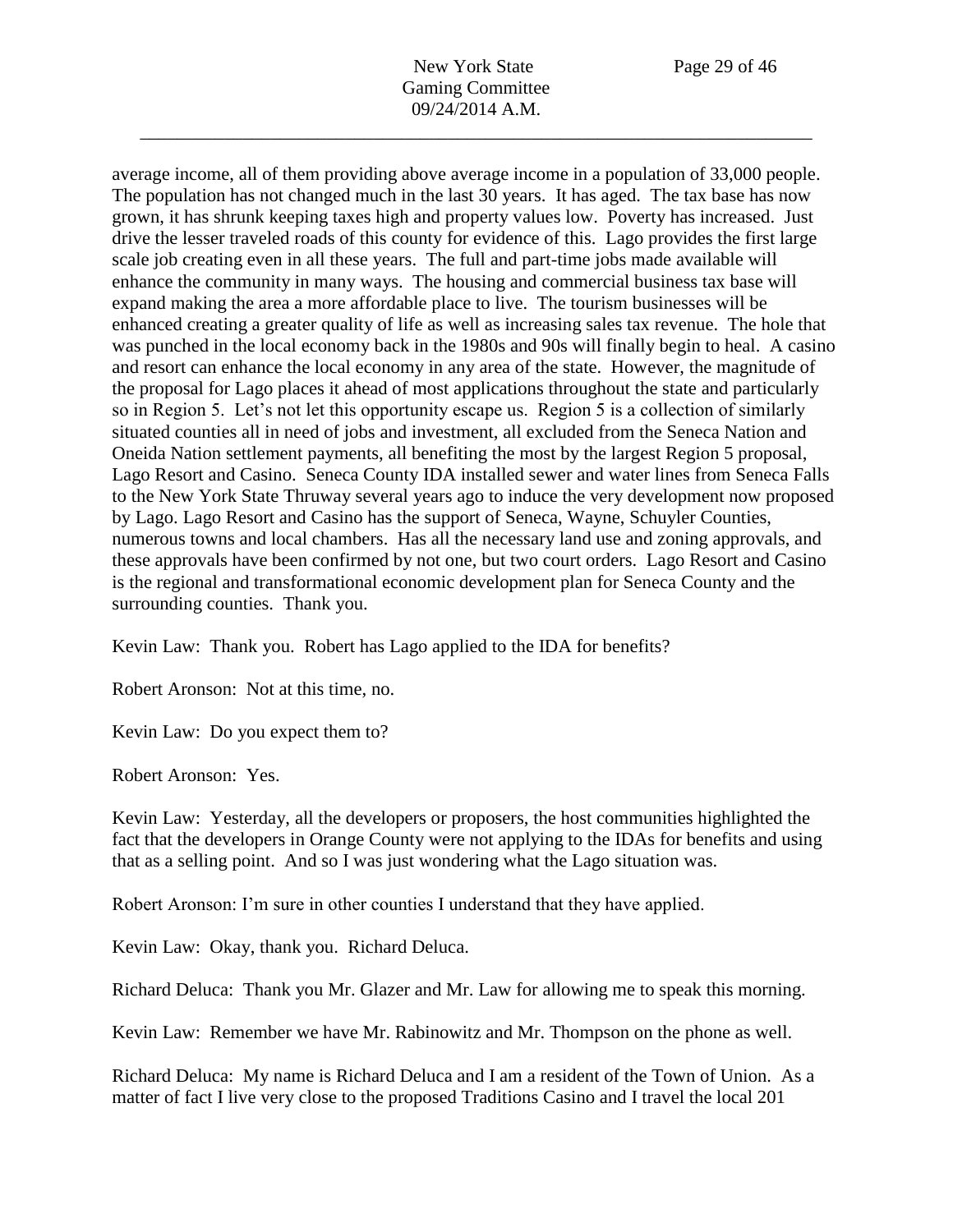New York State Page 29 of 46 Gaming Committee 09/24/2014 A.M.

\_\_\_\_\_\_\_\_\_\_\_\_\_\_\_\_\_\_\_\_\_\_\_\_\_\_\_\_\_\_\_\_\_\_\_\_\_\_\_\_\_\_\_\_\_\_\_\_\_\_\_\_\_\_\_\_\_\_\_\_\_\_\_\_\_\_\_\_\_\_\_\_

average income, all of them providing above average income in a population of 33,000 people. The population has not changed much in the last 30 years. It has aged. The tax base has now grown, it has shrunk keeping taxes high and property values low. Poverty has increased. Just drive the lesser traveled roads of this county for evidence of this. Lago provides the first large scale job creating even in all these years. The full and part-time jobs made available will enhance the community in many ways. The housing and commercial business tax base will expand making the area a more affordable place to live. The tourism businesses will be enhanced creating a greater quality of life as well as increasing sales tax revenue. The hole that was punched in the local economy back in the 1980s and 90s will finally begin to heal. A casino and resort can enhance the local economy in any area of the state. However, the magnitude of the proposal for Lago places it ahead of most applications throughout the state and particularly so in Region 5. Let's not let this opportunity escape us. Region 5 is a collection of similarly situated counties all in need of jobs and investment, all excluded from the Seneca Nation and Oneida Nation settlement payments, all benefiting the most by the largest Region 5 proposal, Lago Resort and Casino. Seneca County IDA installed sewer and water lines from Seneca Falls to the New York State Thruway several years ago to induce the very development now proposed by Lago. Lago Resort and Casino has the support of Seneca, Wayne, Schuyler Counties, numerous towns and local chambers. Has all the necessary land use and zoning approvals, and these approvals have been confirmed by not one, but two court orders. Lago Resort and Casino is the regional and transformational economic development plan for Seneca County and the surrounding counties. Thank you.

Kevin Law: Thank you. Robert has Lago applied to the IDA for benefits?

Robert Aronson: Not at this time, no.

Kevin Law: Do you expect them to?

Robert Aronson: Yes.

Kevin Law: Yesterday, all the developers or proposers, the host communities highlighted the fact that the developers in Orange County were not applying to the IDAs for benefits and using that as a selling point. And so I was just wondering what the Lago situation was.

Robert Aronson: I'm sure in other counties I understand that they have applied.

Kevin Law: Okay, thank you. Richard Deluca.

Richard Deluca: Thank you Mr. Glazer and Mr. Law for allowing me to speak this morning.

Kevin Law: Remember we have Mr. Rabinowitz and Mr. Thompson on the phone as well.

Richard Deluca: My name is Richard Deluca and I am a resident of the Town of Union. As a matter of fact I live very close to the proposed Traditions Casino and I travel the local 201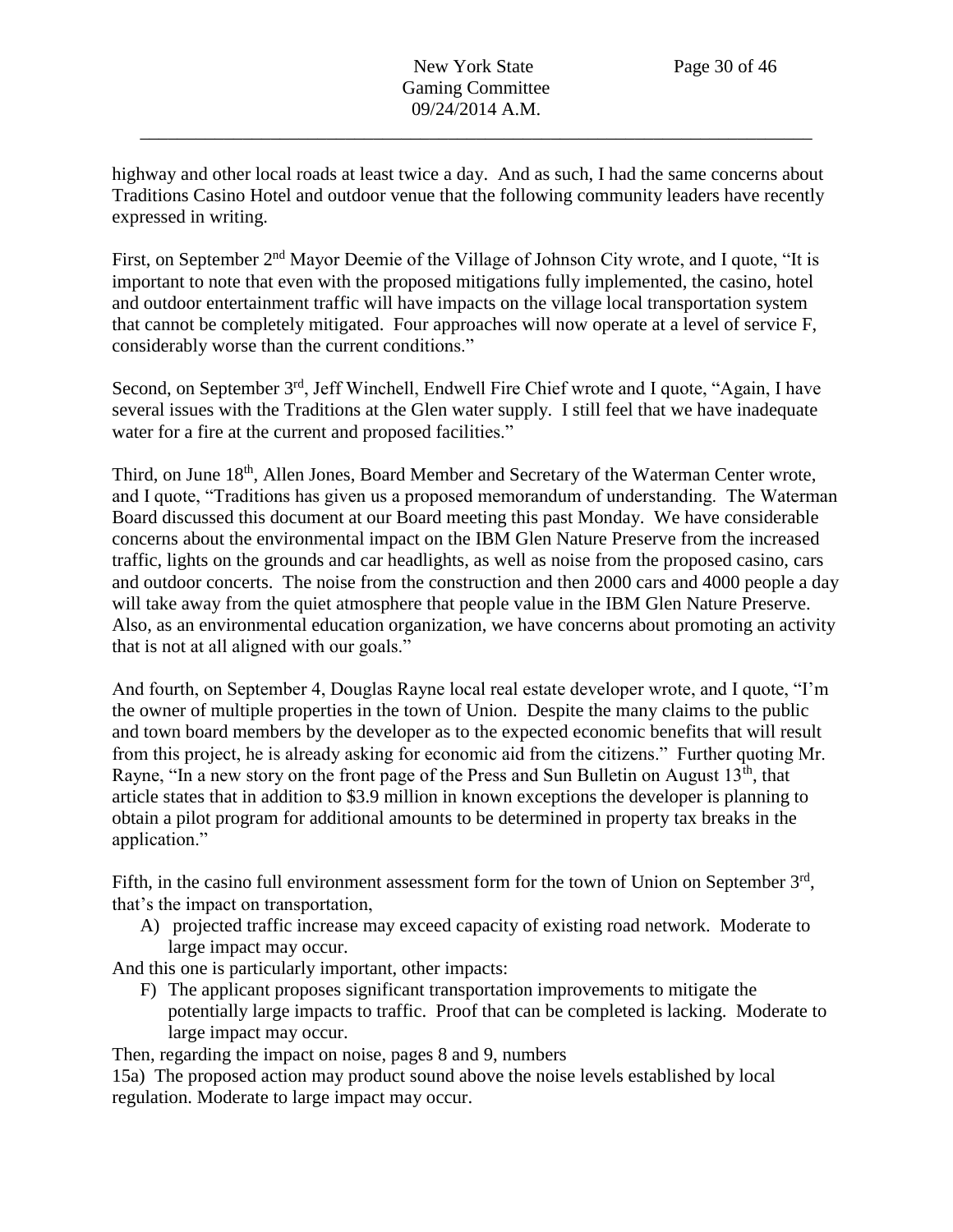highway and other local roads at least twice a day. And as such, I had the same concerns about Traditions Casino Hotel and outdoor venue that the following community leaders have recently expressed in writing.

First, on September 2<sup>nd</sup> Mayor Deemie of the Village of Johnson City wrote, and I quote, "It is important to note that even with the proposed mitigations fully implemented, the casino, hotel and outdoor entertainment traffic will have impacts on the village local transportation system that cannot be completely mitigated. Four approaches will now operate at a level of service F, considerably worse than the current conditions."

Second, on September 3<sup>rd</sup>, Jeff Winchell, Endwell Fire Chief wrote and I quote, "Again, I have several issues with the Traditions at the Glen water supply. I still feel that we have inadequate water for a fire at the current and proposed facilities."

Third, on June 18<sup>th</sup>, Allen Jones, Board Member and Secretary of the Waterman Center wrote, and I quote, "Traditions has given us a proposed memorandum of understanding. The Waterman Board discussed this document at our Board meeting this past Monday. We have considerable concerns about the environmental impact on the IBM Glen Nature Preserve from the increased traffic, lights on the grounds and car headlights, as well as noise from the proposed casino, cars and outdoor concerts. The noise from the construction and then 2000 cars and 4000 people a day will take away from the quiet atmosphere that people value in the IBM Glen Nature Preserve. Also, as an environmental education organization, we have concerns about promoting an activity that is not at all aligned with our goals."

And fourth, on September 4, Douglas Rayne local real estate developer wrote, and I quote, "I'm the owner of multiple properties in the town of Union. Despite the many claims to the public and town board members by the developer as to the expected economic benefits that will result from this project, he is already asking for economic aid from the citizens." Further quoting Mr. Rayne, "In a new story on the front page of the Press and Sun Bulletin on August  $13<sup>th</sup>$ , that article states that in addition to \$3.9 million in known exceptions the developer is planning to obtain a pilot program for additional amounts to be determined in property tax breaks in the application."

Fifth, in the casino full environment assessment form for the town of Union on September  $3<sup>rd</sup>$ , that's the impact on transportation,

A) projected traffic increase may exceed capacity of existing road network. Moderate to large impact may occur.

And this one is particularly important, other impacts:

F) The applicant proposes significant transportation improvements to mitigate the potentially large impacts to traffic. Proof that can be completed is lacking. Moderate to large impact may occur.

Then, regarding the impact on noise, pages 8 and 9, numbers

15a) The proposed action may product sound above the noise levels established by local regulation. Moderate to large impact may occur.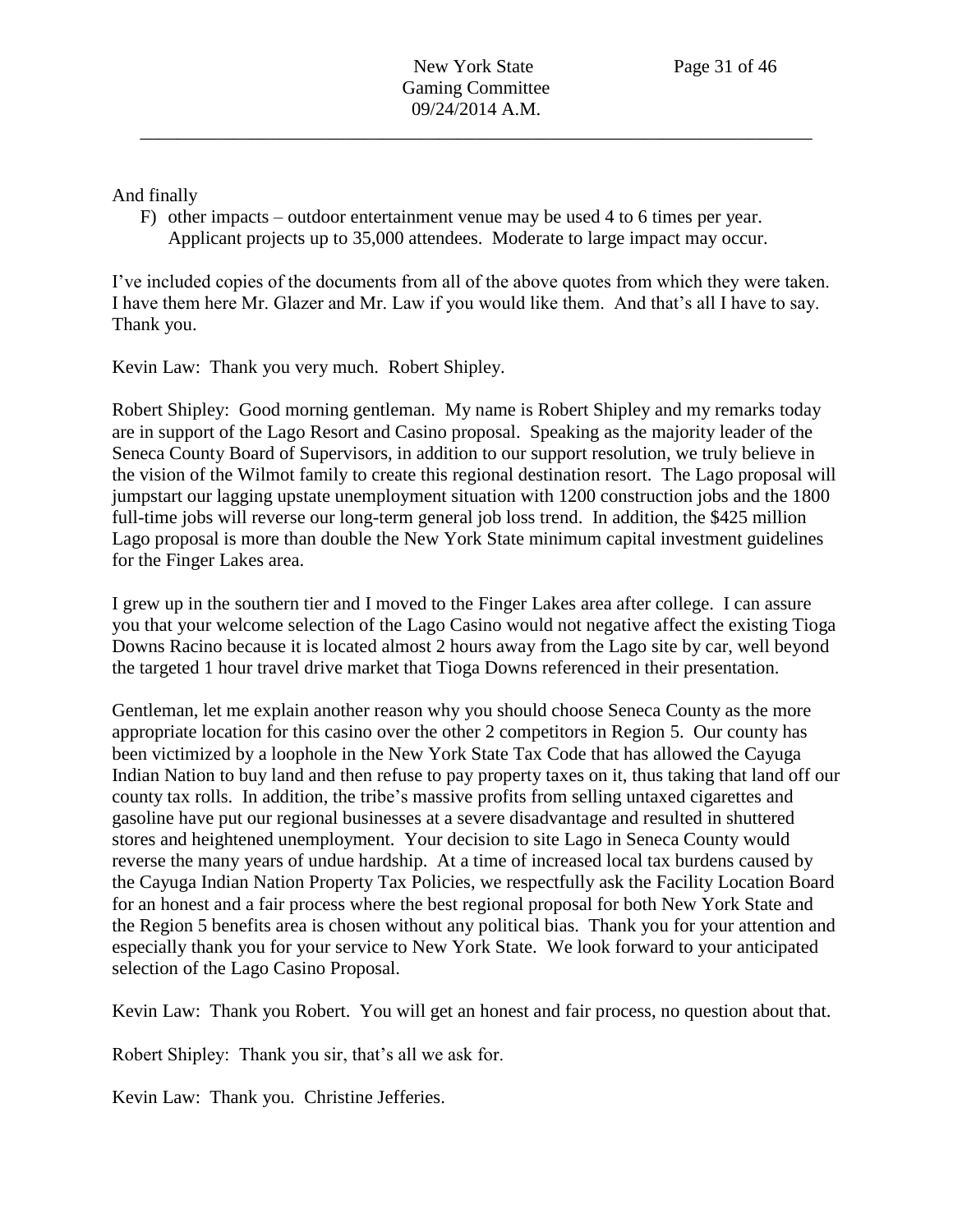And finally

F) other impacts – outdoor entertainment venue may be used 4 to 6 times per year. Applicant projects up to 35,000 attendees. Moderate to large impact may occur.

I've included copies of the documents from all of the above quotes from which they were taken. I have them here Mr. Glazer and Mr. Law if you would like them. And that's all I have to say. Thank you.

Kevin Law: Thank you very much. Robert Shipley.

Robert Shipley: Good morning gentleman. My name is Robert Shipley and my remarks today are in support of the Lago Resort and Casino proposal. Speaking as the majority leader of the Seneca County Board of Supervisors, in addition to our support resolution, we truly believe in the vision of the Wilmot family to create this regional destination resort. The Lago proposal will jumpstart our lagging upstate unemployment situation with 1200 construction jobs and the 1800 full-time jobs will reverse our long-term general job loss trend. In addition, the \$425 million Lago proposal is more than double the New York State minimum capital investment guidelines for the Finger Lakes area.

I grew up in the southern tier and I moved to the Finger Lakes area after college. I can assure you that your welcome selection of the Lago Casino would not negative affect the existing Tioga Downs Racino because it is located almost 2 hours away from the Lago site by car, well beyond the targeted 1 hour travel drive market that Tioga Downs referenced in their presentation.

Gentleman, let me explain another reason why you should choose Seneca County as the more appropriate location for this casino over the other 2 competitors in Region 5. Our county has been victimized by a loophole in the New York State Tax Code that has allowed the Cayuga Indian Nation to buy land and then refuse to pay property taxes on it, thus taking that land off our county tax rolls. In addition, the tribe's massive profits from selling untaxed cigarettes and gasoline have put our regional businesses at a severe disadvantage and resulted in shuttered stores and heightened unemployment. Your decision to site Lago in Seneca County would reverse the many years of undue hardship. At a time of increased local tax burdens caused by the Cayuga Indian Nation Property Tax Policies, we respectfully ask the Facility Location Board for an honest and a fair process where the best regional proposal for both New York State and the Region 5 benefits area is chosen without any political bias. Thank you for your attention and especially thank you for your service to New York State. We look forward to your anticipated selection of the Lago Casino Proposal.

Kevin Law: Thank you Robert. You will get an honest and fair process, no question about that.

Robert Shipley: Thank you sir, that's all we ask for.

Kevin Law: Thank you. Christine Jefferies.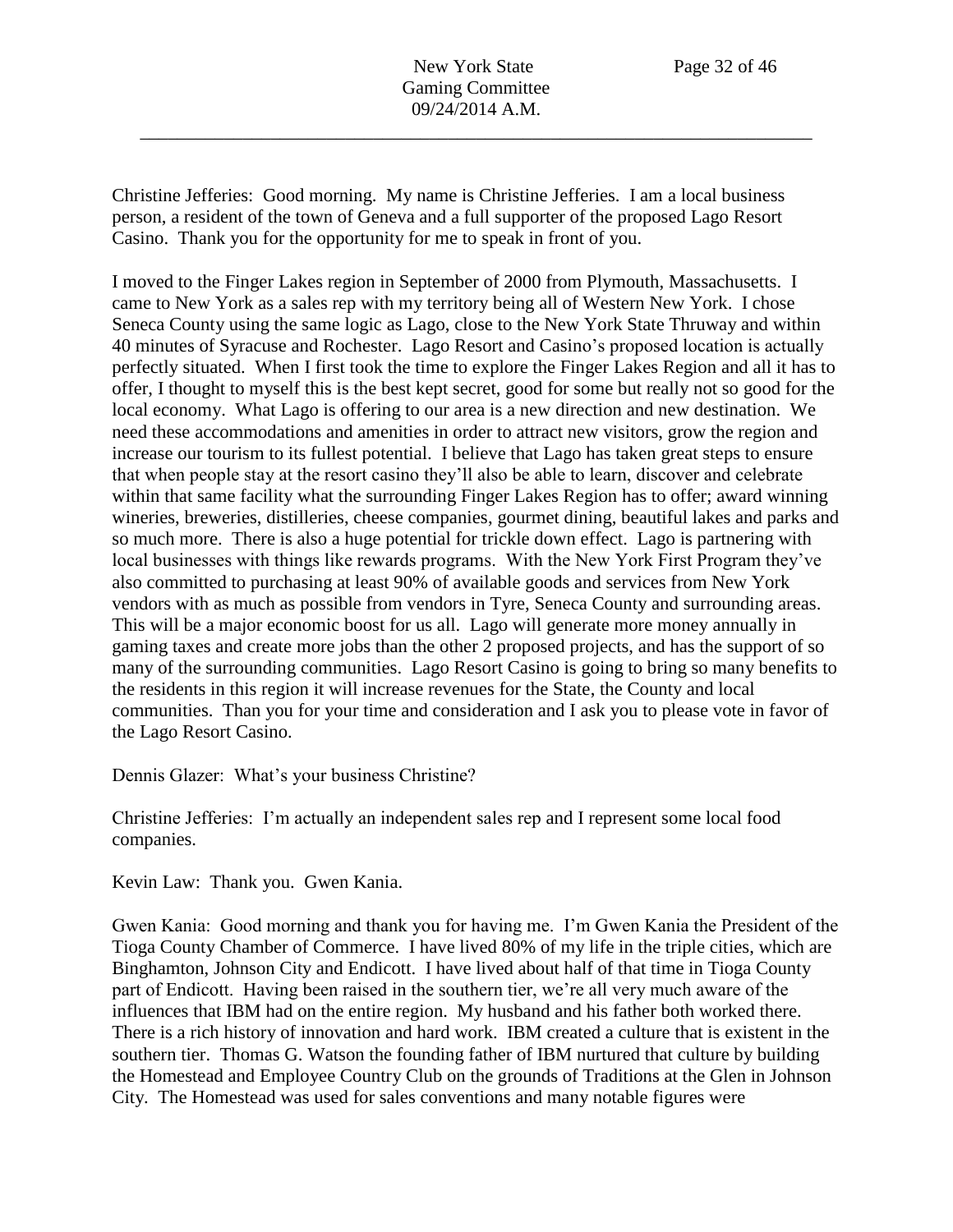New York State Page 32 of 46 Gaming Committee 09/24/2014 A.M.

\_\_\_\_\_\_\_\_\_\_\_\_\_\_\_\_\_\_\_\_\_\_\_\_\_\_\_\_\_\_\_\_\_\_\_\_\_\_\_\_\_\_\_\_\_\_\_\_\_\_\_\_\_\_\_\_\_\_\_\_\_\_\_\_\_\_\_\_\_\_\_\_

Christine Jefferies: Good morning. My name is Christine Jefferies. I am a local business person, a resident of the town of Geneva and a full supporter of the proposed Lago Resort Casino. Thank you for the opportunity for me to speak in front of you.

I moved to the Finger Lakes region in September of 2000 from Plymouth, Massachusetts. I came to New York as a sales rep with my territory being all of Western New York. I chose Seneca County using the same logic as Lago, close to the New York State Thruway and within 40 minutes of Syracuse and Rochester. Lago Resort and Casino's proposed location is actually perfectly situated. When I first took the time to explore the Finger Lakes Region and all it has to offer, I thought to myself this is the best kept secret, good for some but really not so good for the local economy. What Lago is offering to our area is a new direction and new destination. We need these accommodations and amenities in order to attract new visitors, grow the region and increase our tourism to its fullest potential. I believe that Lago has taken great steps to ensure that when people stay at the resort casino they'll also be able to learn, discover and celebrate within that same facility what the surrounding Finger Lakes Region has to offer; award winning wineries, breweries, distilleries, cheese companies, gourmet dining, beautiful lakes and parks and so much more. There is also a huge potential for trickle down effect. Lago is partnering with local businesses with things like rewards programs. With the New York First Program they've also committed to purchasing at least 90% of available goods and services from New York vendors with as much as possible from vendors in Tyre, Seneca County and surrounding areas. This will be a major economic boost for us all. Lago will generate more money annually in gaming taxes and create more jobs than the other 2 proposed projects, and has the support of so many of the surrounding communities. Lago Resort Casino is going to bring so many benefits to the residents in this region it will increase revenues for the State, the County and local communities. Than you for your time and consideration and I ask you to please vote in favor of the Lago Resort Casino.

Dennis Glazer: What's your business Christine?

Christine Jefferies: I'm actually an independent sales rep and I represent some local food companies.

Kevin Law: Thank you. Gwen Kania.

Gwen Kania: Good morning and thank you for having me. I'm Gwen Kania the President of the Tioga County Chamber of Commerce. I have lived 80% of my life in the triple cities, which are Binghamton, Johnson City and Endicott. I have lived about half of that time in Tioga County part of Endicott. Having been raised in the southern tier, we're all very much aware of the influences that IBM had on the entire region. My husband and his father both worked there. There is a rich history of innovation and hard work. IBM created a culture that is existent in the southern tier. Thomas G. Watson the founding father of IBM nurtured that culture by building the Homestead and Employee Country Club on the grounds of Traditions at the Glen in Johnson City. The Homestead was used for sales conventions and many notable figures were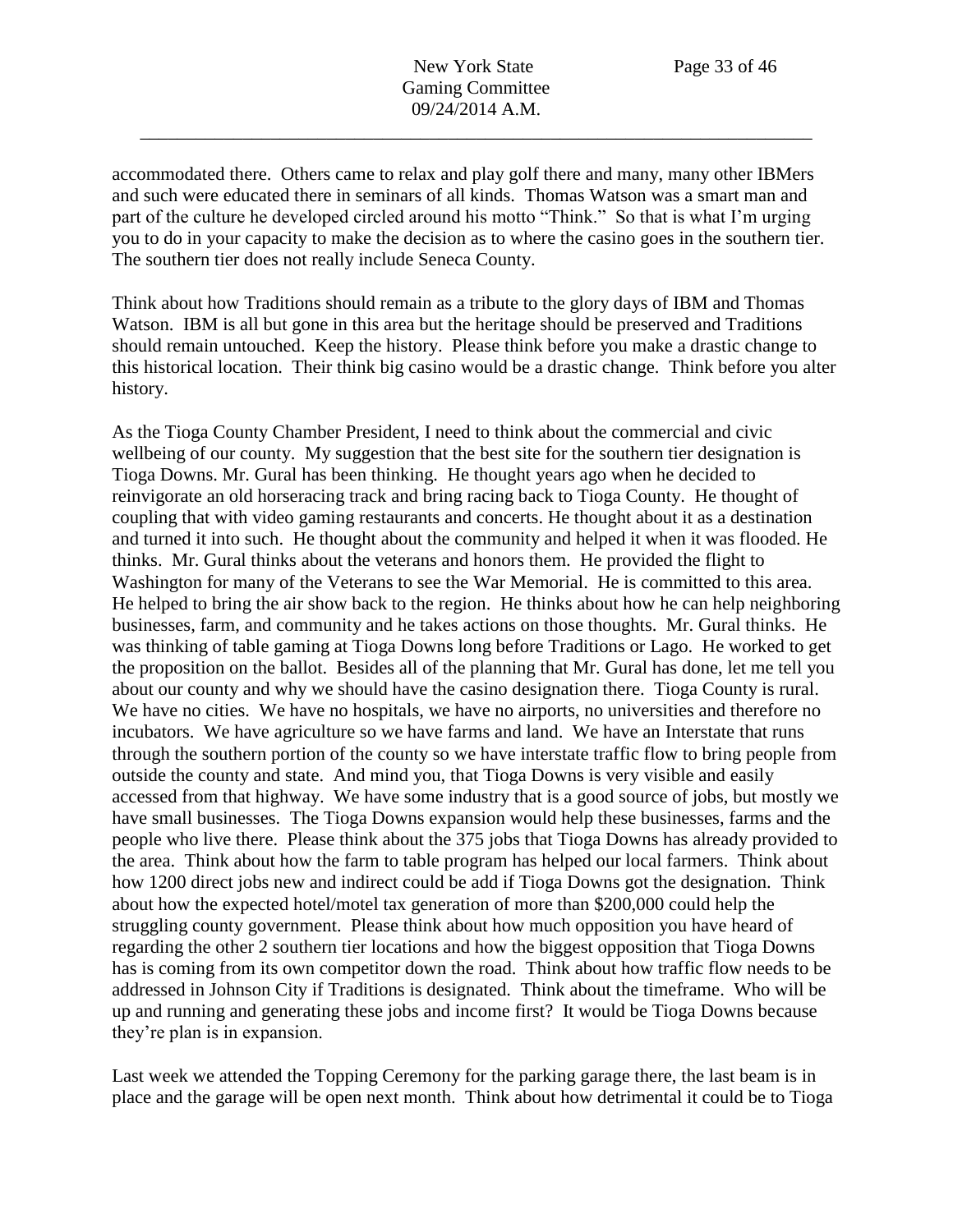New York State Page 33 of 46 Gaming Committee 09/24/2014 A.M.

\_\_\_\_\_\_\_\_\_\_\_\_\_\_\_\_\_\_\_\_\_\_\_\_\_\_\_\_\_\_\_\_\_\_\_\_\_\_\_\_\_\_\_\_\_\_\_\_\_\_\_\_\_\_\_\_\_\_\_\_\_\_\_\_\_\_\_\_\_\_\_\_

accommodated there. Others came to relax and play golf there and many, many other IBMers and such were educated there in seminars of all kinds. Thomas Watson was a smart man and part of the culture he developed circled around his motto "Think." So that is what I'm urging you to do in your capacity to make the decision as to where the casino goes in the southern tier. The southern tier does not really include Seneca County.

Think about how Traditions should remain as a tribute to the glory days of IBM and Thomas Watson. IBM is all but gone in this area but the heritage should be preserved and Traditions should remain untouched. Keep the history. Please think before you make a drastic change to this historical location. Their think big casino would be a drastic change. Think before you alter history.

As the Tioga County Chamber President, I need to think about the commercial and civic wellbeing of our county. My suggestion that the best site for the southern tier designation is Tioga Downs. Mr. Gural has been thinking. He thought years ago when he decided to reinvigorate an old horseracing track and bring racing back to Tioga County. He thought of coupling that with video gaming restaurants and concerts. He thought about it as a destination and turned it into such. He thought about the community and helped it when it was flooded. He thinks. Mr. Gural thinks about the veterans and honors them. He provided the flight to Washington for many of the Veterans to see the War Memorial. He is committed to this area. He helped to bring the air show back to the region. He thinks about how he can help neighboring businesses, farm, and community and he takes actions on those thoughts. Mr. Gural thinks. He was thinking of table gaming at Tioga Downs long before Traditions or Lago. He worked to get the proposition on the ballot. Besides all of the planning that Mr. Gural has done, let me tell you about our county and why we should have the casino designation there. Tioga County is rural. We have no cities. We have no hospitals, we have no airports, no universities and therefore no incubators. We have agriculture so we have farms and land. We have an Interstate that runs through the southern portion of the county so we have interstate traffic flow to bring people from outside the county and state. And mind you, that Tioga Downs is very visible and easily accessed from that highway. We have some industry that is a good source of jobs, but mostly we have small businesses. The Tioga Downs expansion would help these businesses, farms and the people who live there. Please think about the 375 jobs that Tioga Downs has already provided to the area. Think about how the farm to table program has helped our local farmers. Think about how 1200 direct jobs new and indirect could be add if Tioga Downs got the designation. Think about how the expected hotel/motel tax generation of more than \$200,000 could help the struggling county government. Please think about how much opposition you have heard of regarding the other 2 southern tier locations and how the biggest opposition that Tioga Downs has is coming from its own competitor down the road. Think about how traffic flow needs to be addressed in Johnson City if Traditions is designated. Think about the timeframe. Who will be up and running and generating these jobs and income first? It would be Tioga Downs because they're plan is in expansion.

Last week we attended the Topping Ceremony for the parking garage there, the last beam is in place and the garage will be open next month. Think about how detrimental it could be to Tioga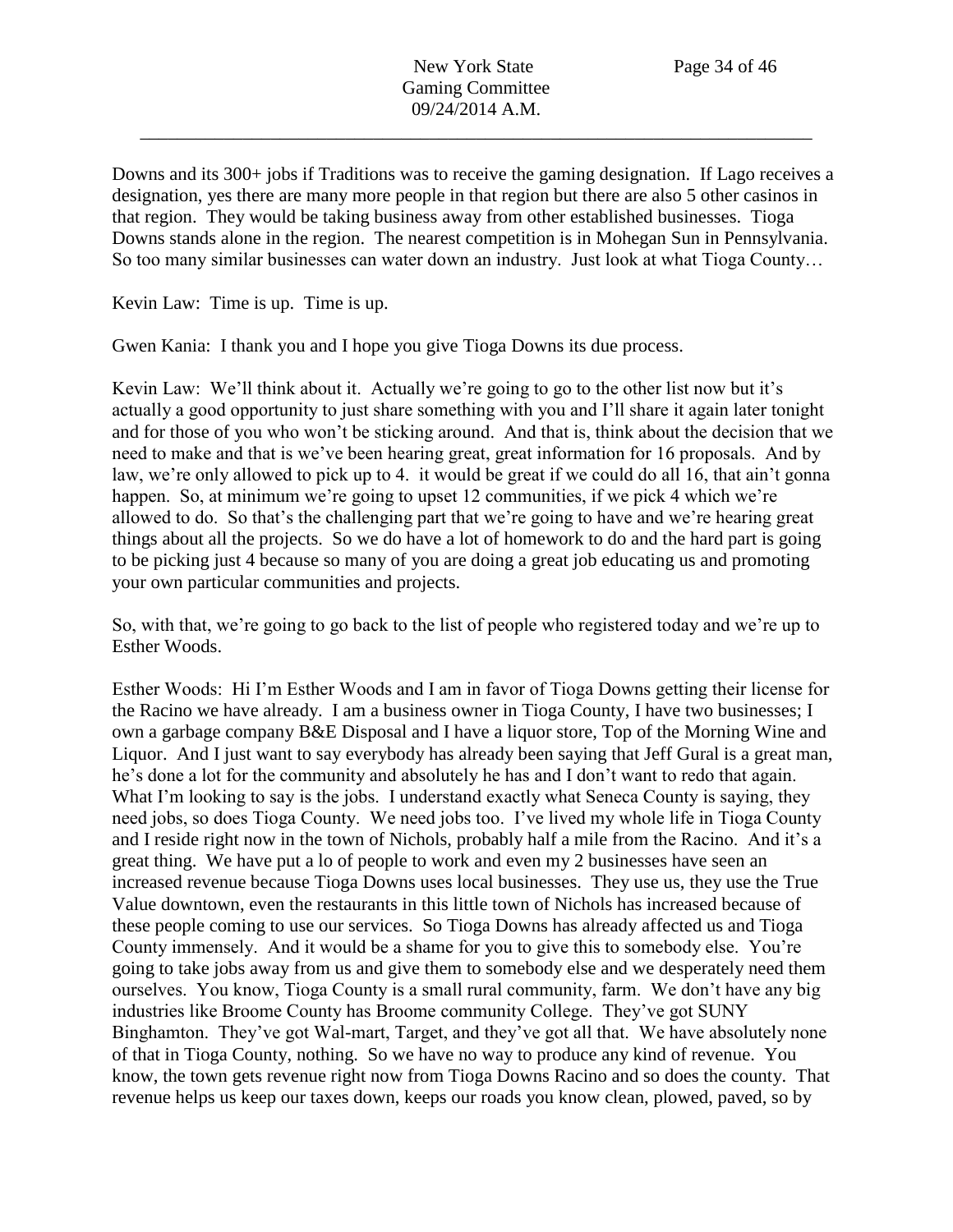Downs and its 300+ jobs if Traditions was to receive the gaming designation. If Lago receives a designation, yes there are many more people in that region but there are also 5 other casinos in that region. They would be taking business away from other established businesses. Tioga Downs stands alone in the region. The nearest competition is in Mohegan Sun in Pennsylvania. So too many similar businesses can water down an industry. Just look at what Tioga County…

Kevin Law: Time is up. Time is up.

Gwen Kania: I thank you and I hope you give Tioga Downs its due process.

Kevin Law: We'll think about it. Actually we're going to go to the other list now but it's actually a good opportunity to just share something with you and I'll share it again later tonight and for those of you who won't be sticking around. And that is, think about the decision that we need to make and that is we've been hearing great, great information for 16 proposals. And by law, we're only allowed to pick up to 4. it would be great if we could do all 16, that ain't gonna happen. So, at minimum we're going to upset 12 communities, if we pick 4 which we're allowed to do. So that's the challenging part that we're going to have and we're hearing great things about all the projects. So we do have a lot of homework to do and the hard part is going to be picking just 4 because so many of you are doing a great job educating us and promoting your own particular communities and projects.

So, with that, we're going to go back to the list of people who registered today and we're up to Esther Woods.

Esther Woods: Hi I'm Esther Woods and I am in favor of Tioga Downs getting their license for the Racino we have already. I am a business owner in Tioga County, I have two businesses; I own a garbage company B&E Disposal and I have a liquor store, Top of the Morning Wine and Liquor. And I just want to say everybody has already been saying that Jeff Gural is a great man, he's done a lot for the community and absolutely he has and I don't want to redo that again. What I'm looking to say is the jobs. I understand exactly what Seneca County is saying, they need jobs, so does Tioga County. We need jobs too. I've lived my whole life in Tioga County and I reside right now in the town of Nichols, probably half a mile from the Racino. And it's a great thing. We have put a lo of people to work and even my 2 businesses have seen an increased revenue because Tioga Downs uses local businesses. They use us, they use the True Value downtown, even the restaurants in this little town of Nichols has increased because of these people coming to use our services. So Tioga Downs has already affected us and Tioga County immensely. And it would be a shame for you to give this to somebody else. You're going to take jobs away from us and give them to somebody else and we desperately need them ourselves. You know, Tioga County is a small rural community, farm. We don't have any big industries like Broome County has Broome community College. They've got SUNY Binghamton. They've got Wal-mart, Target, and they've got all that. We have absolutely none of that in Tioga County, nothing. So we have no way to produce any kind of revenue. You know, the town gets revenue right now from Tioga Downs Racino and so does the county. That revenue helps us keep our taxes down, keeps our roads you know clean, plowed, paved, so by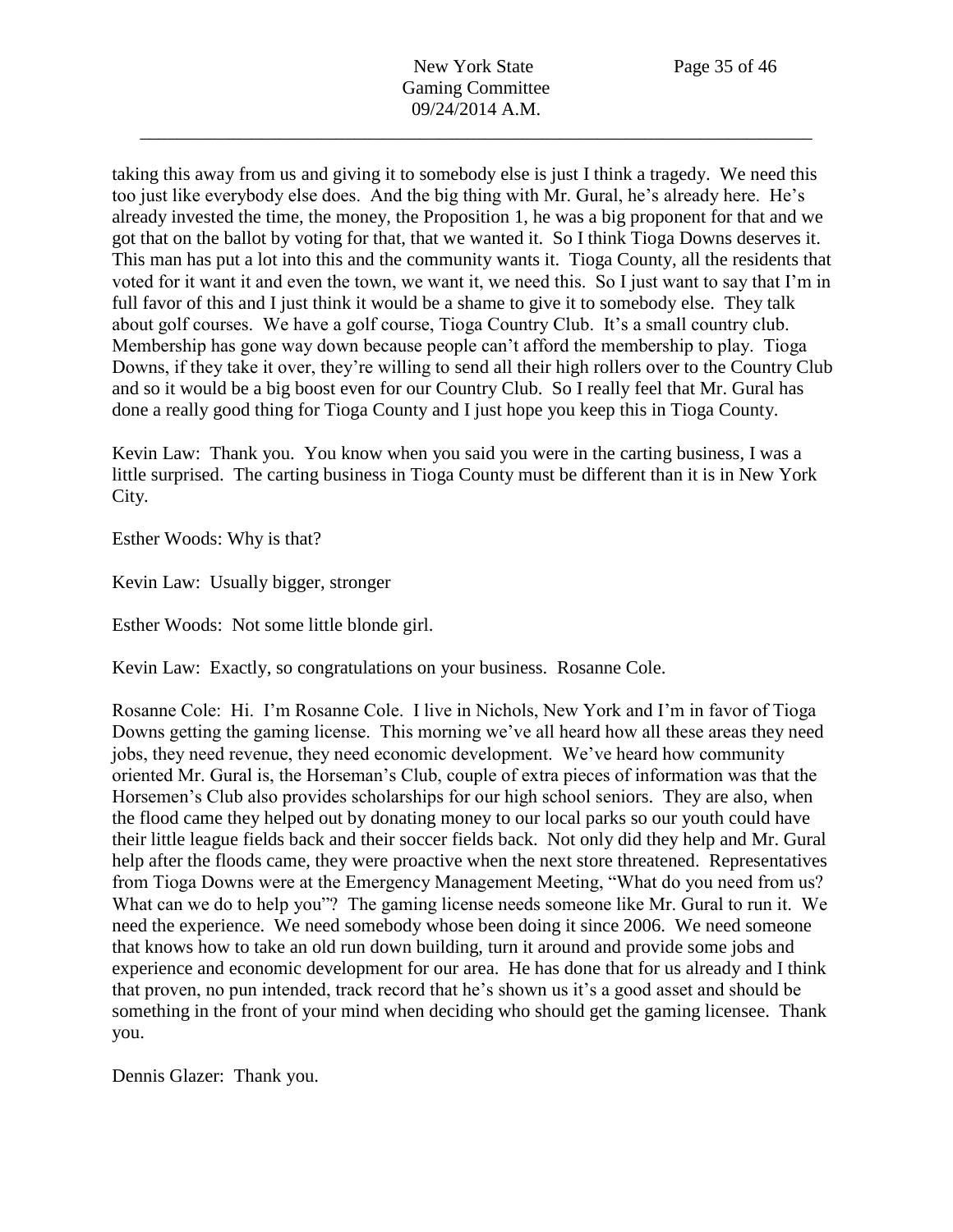New York State Page 35 of 46 Gaming Committee 09/24/2014 A.M.

\_\_\_\_\_\_\_\_\_\_\_\_\_\_\_\_\_\_\_\_\_\_\_\_\_\_\_\_\_\_\_\_\_\_\_\_\_\_\_\_\_\_\_\_\_\_\_\_\_\_\_\_\_\_\_\_\_\_\_\_\_\_\_\_\_\_\_\_\_\_\_\_

taking this away from us and giving it to somebody else is just I think a tragedy. We need this too just like everybody else does. And the big thing with Mr. Gural, he's already here. He's already invested the time, the money, the Proposition 1, he was a big proponent for that and we got that on the ballot by voting for that, that we wanted it. So I think Tioga Downs deserves it. This man has put a lot into this and the community wants it. Tioga County, all the residents that voted for it want it and even the town, we want it, we need this. So I just want to say that I'm in full favor of this and I just think it would be a shame to give it to somebody else. They talk about golf courses. We have a golf course, Tioga Country Club. It's a small country club. Membership has gone way down because people can't afford the membership to play. Tioga Downs, if they take it over, they're willing to send all their high rollers over to the Country Club and so it would be a big boost even for our Country Club. So I really feel that Mr. Gural has done a really good thing for Tioga County and I just hope you keep this in Tioga County.

Kevin Law: Thank you. You know when you said you were in the carting business, I was a little surprised. The carting business in Tioga County must be different than it is in New York City.

Esther Woods: Why is that?

Kevin Law: Usually bigger, stronger

Esther Woods: Not some little blonde girl.

Kevin Law: Exactly, so congratulations on your business. Rosanne Cole.

Rosanne Cole: Hi. I'm Rosanne Cole. I live in Nichols, New York and I'm in favor of Tioga Downs getting the gaming license. This morning we've all heard how all these areas they need jobs, they need revenue, they need economic development. We've heard how community oriented Mr. Gural is, the Horseman's Club, couple of extra pieces of information was that the Horsemen's Club also provides scholarships for our high school seniors. They are also, when the flood came they helped out by donating money to our local parks so our youth could have their little league fields back and their soccer fields back. Not only did they help and Mr. Gural help after the floods came, they were proactive when the next store threatened. Representatives from Tioga Downs were at the Emergency Management Meeting, "What do you need from us? What can we do to help you"? The gaming license needs someone like Mr. Gural to run it. We need the experience. We need somebody whose been doing it since 2006. We need someone that knows how to take an old run down building, turn it around and provide some jobs and experience and economic development for our area. He has done that for us already and I think that proven, no pun intended, track record that he's shown us it's a good asset and should be something in the front of your mind when deciding who should get the gaming licensee. Thank you.

Dennis Glazer: Thank you.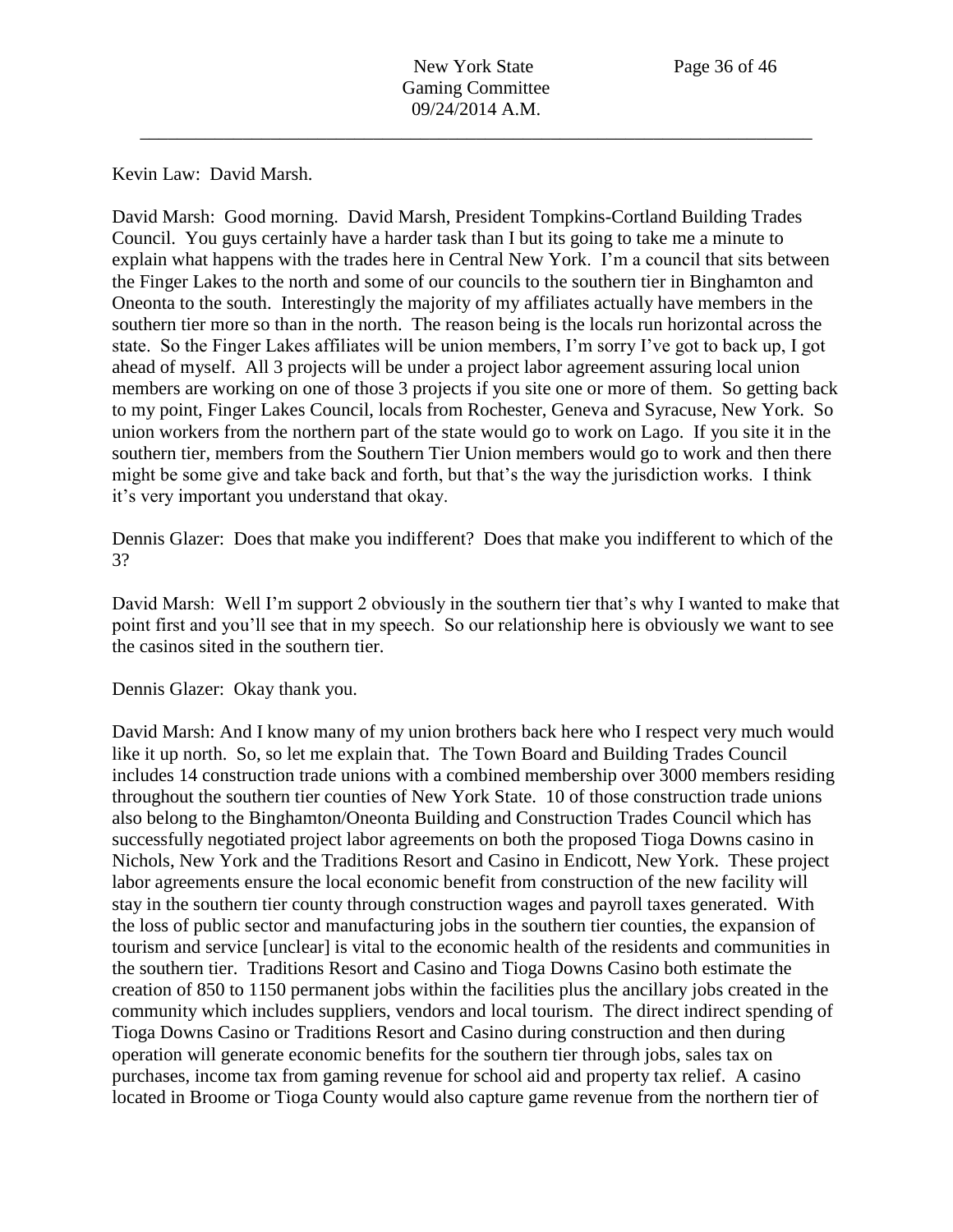Kevin Law: David Marsh.

David Marsh: Good morning. David Marsh, President Tompkins-Cortland Building Trades Council. You guys certainly have a harder task than I but its going to take me a minute to explain what happens with the trades here in Central New York. I'm a council that sits between the Finger Lakes to the north and some of our councils to the southern tier in Binghamton and Oneonta to the south. Interestingly the majority of my affiliates actually have members in the southern tier more so than in the north. The reason being is the locals run horizontal across the state. So the Finger Lakes affiliates will be union members, I'm sorry I've got to back up, I got ahead of myself. All 3 projects will be under a project labor agreement assuring local union members are working on one of those 3 projects if you site one or more of them. So getting back to my point, Finger Lakes Council, locals from Rochester, Geneva and Syracuse, New York. So union workers from the northern part of the state would go to work on Lago. If you site it in the southern tier, members from the Southern Tier Union members would go to work and then there might be some give and take back and forth, but that's the way the jurisdiction works. I think it's very important you understand that okay.

Dennis Glazer: Does that make you indifferent? Does that make you indifferent to which of the 3?

David Marsh: Well I'm support 2 obviously in the southern tier that's why I wanted to make that point first and you'll see that in my speech. So our relationship here is obviously we want to see the casinos sited in the southern tier.

Dennis Glazer: Okay thank you.

David Marsh: And I know many of my union brothers back here who I respect very much would like it up north. So, so let me explain that. The Town Board and Building Trades Council includes 14 construction trade unions with a combined membership over 3000 members residing throughout the southern tier counties of New York State. 10 of those construction trade unions also belong to the Binghamton/Oneonta Building and Construction Trades Council which has successfully negotiated project labor agreements on both the proposed Tioga Downs casino in Nichols, New York and the Traditions Resort and Casino in Endicott, New York. These project labor agreements ensure the local economic benefit from construction of the new facility will stay in the southern tier county through construction wages and payroll taxes generated. With the loss of public sector and manufacturing jobs in the southern tier counties, the expansion of tourism and service [unclear] is vital to the economic health of the residents and communities in the southern tier. Traditions Resort and Casino and Tioga Downs Casino both estimate the creation of 850 to 1150 permanent jobs within the facilities plus the ancillary jobs created in the community which includes suppliers, vendors and local tourism. The direct indirect spending of Tioga Downs Casino or Traditions Resort and Casino during construction and then during operation will generate economic benefits for the southern tier through jobs, sales tax on purchases, income tax from gaming revenue for school aid and property tax relief. A casino located in Broome or Tioga County would also capture game revenue from the northern tier of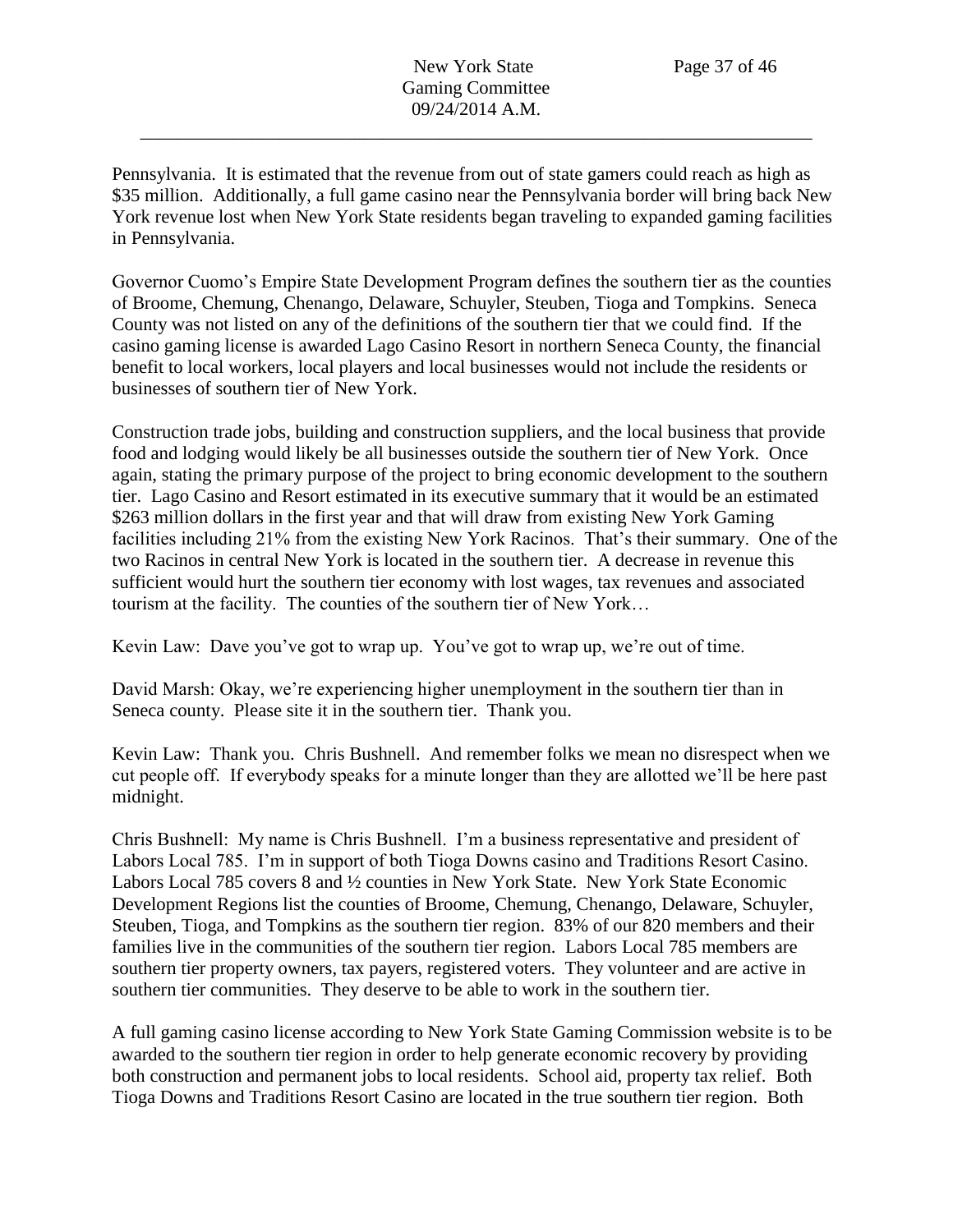Pennsylvania. It is estimated that the revenue from out of state gamers could reach as high as \$35 million. Additionally, a full game casino near the Pennsylvania border will bring back New York revenue lost when New York State residents began traveling to expanded gaming facilities in Pennsylvania.

Governor Cuomo's Empire State Development Program defines the southern tier as the counties of Broome, Chemung, Chenango, Delaware, Schuyler, Steuben, Tioga and Tompkins. Seneca County was not listed on any of the definitions of the southern tier that we could find. If the casino gaming license is awarded Lago Casino Resort in northern Seneca County, the financial benefit to local workers, local players and local businesses would not include the residents or businesses of southern tier of New York.

Construction trade jobs, building and construction suppliers, and the local business that provide food and lodging would likely be all businesses outside the southern tier of New York. Once again, stating the primary purpose of the project to bring economic development to the southern tier. Lago Casino and Resort estimated in its executive summary that it would be an estimated \$263 million dollars in the first year and that will draw from existing New York Gaming facilities including 21% from the existing New York Racinos. That's their summary. One of the two Racinos in central New York is located in the southern tier. A decrease in revenue this sufficient would hurt the southern tier economy with lost wages, tax revenues and associated tourism at the facility. The counties of the southern tier of New York…

Kevin Law: Dave you've got to wrap up. You've got to wrap up, we're out of time.

David Marsh: Okay, we're experiencing higher unemployment in the southern tier than in Seneca county. Please site it in the southern tier. Thank you.

Kevin Law: Thank you. Chris Bushnell. And remember folks we mean no disrespect when we cut people off. If everybody speaks for a minute longer than they are allotted we'll be here past midnight.

Chris Bushnell: My name is Chris Bushnell. I'm a business representative and president of Labors Local 785. I'm in support of both Tioga Downs casino and Traditions Resort Casino. Labors Local 785 covers 8 and ½ counties in New York State. New York State Economic Development Regions list the counties of Broome, Chemung, Chenango, Delaware, Schuyler, Steuben, Tioga, and Tompkins as the southern tier region. 83% of our 820 members and their families live in the communities of the southern tier region. Labors Local 785 members are southern tier property owners, tax payers, registered voters. They volunteer and are active in southern tier communities. They deserve to be able to work in the southern tier.

A full gaming casino license according to New York State Gaming Commission website is to be awarded to the southern tier region in order to help generate economic recovery by providing both construction and permanent jobs to local residents. School aid, property tax relief. Both Tioga Downs and Traditions Resort Casino are located in the true southern tier region. Both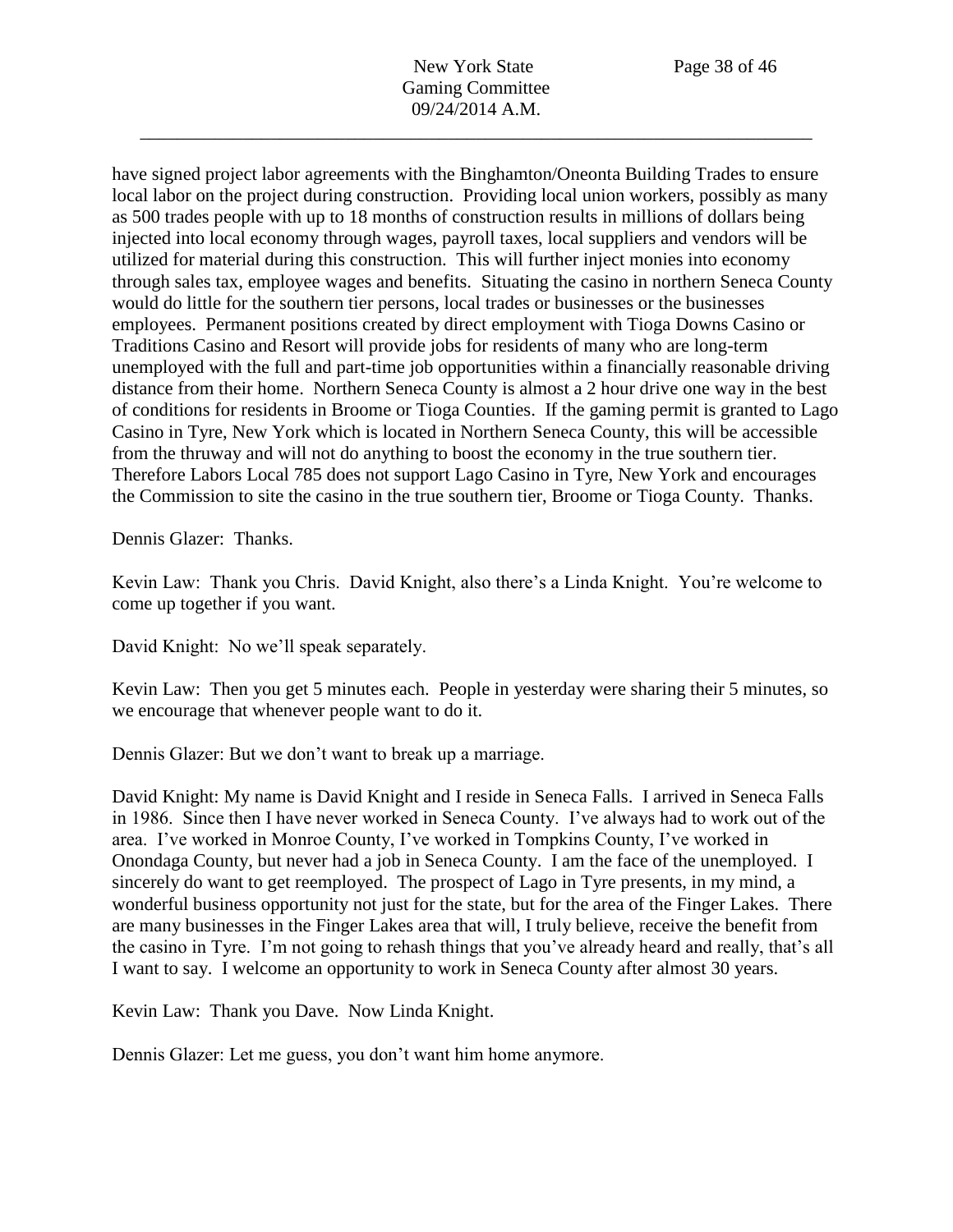have signed project labor agreements with the Binghamton/Oneonta Building Trades to ensure local labor on the project during construction. Providing local union workers, possibly as many as 500 trades people with up to 18 months of construction results in millions of dollars being injected into local economy through wages, payroll taxes, local suppliers and vendors will be utilized for material during this construction. This will further inject monies into economy through sales tax, employee wages and benefits. Situating the casino in northern Seneca County would do little for the southern tier persons, local trades or businesses or the businesses employees. Permanent positions created by direct employment with Tioga Downs Casino or Traditions Casino and Resort will provide jobs for residents of many who are long-term unemployed with the full and part-time job opportunities within a financially reasonable driving distance from their home. Northern Seneca County is almost a 2 hour drive one way in the best of conditions for residents in Broome or Tioga Counties. If the gaming permit is granted to Lago Casino in Tyre, New York which is located in Northern Seneca County, this will be accessible from the thruway and will not do anything to boost the economy in the true southern tier. Therefore Labors Local 785 does not support Lago Casino in Tyre, New York and encourages the Commission to site the casino in the true southern tier, Broome or Tioga County. Thanks.

Dennis Glazer: Thanks.

Kevin Law: Thank you Chris. David Knight, also there's a Linda Knight. You're welcome to come up together if you want.

David Knight: No we'll speak separately.

Kevin Law: Then you get 5 minutes each. People in yesterday were sharing their 5 minutes, so we encourage that whenever people want to do it.

Dennis Glazer: But we don't want to break up a marriage.

David Knight: My name is David Knight and I reside in Seneca Falls. I arrived in Seneca Falls in 1986. Since then I have never worked in Seneca County. I've always had to work out of the area. I've worked in Monroe County, I've worked in Tompkins County, I've worked in Onondaga County, but never had a job in Seneca County. I am the face of the unemployed. I sincerely do want to get reemployed. The prospect of Lago in Tyre presents, in my mind, a wonderful business opportunity not just for the state, but for the area of the Finger Lakes. There are many businesses in the Finger Lakes area that will, I truly believe, receive the benefit from the casino in Tyre. I'm not going to rehash things that you've already heard and really, that's all I want to say. I welcome an opportunity to work in Seneca County after almost 30 years.

Kevin Law: Thank you Dave. Now Linda Knight.

Dennis Glazer: Let me guess, you don't want him home anymore.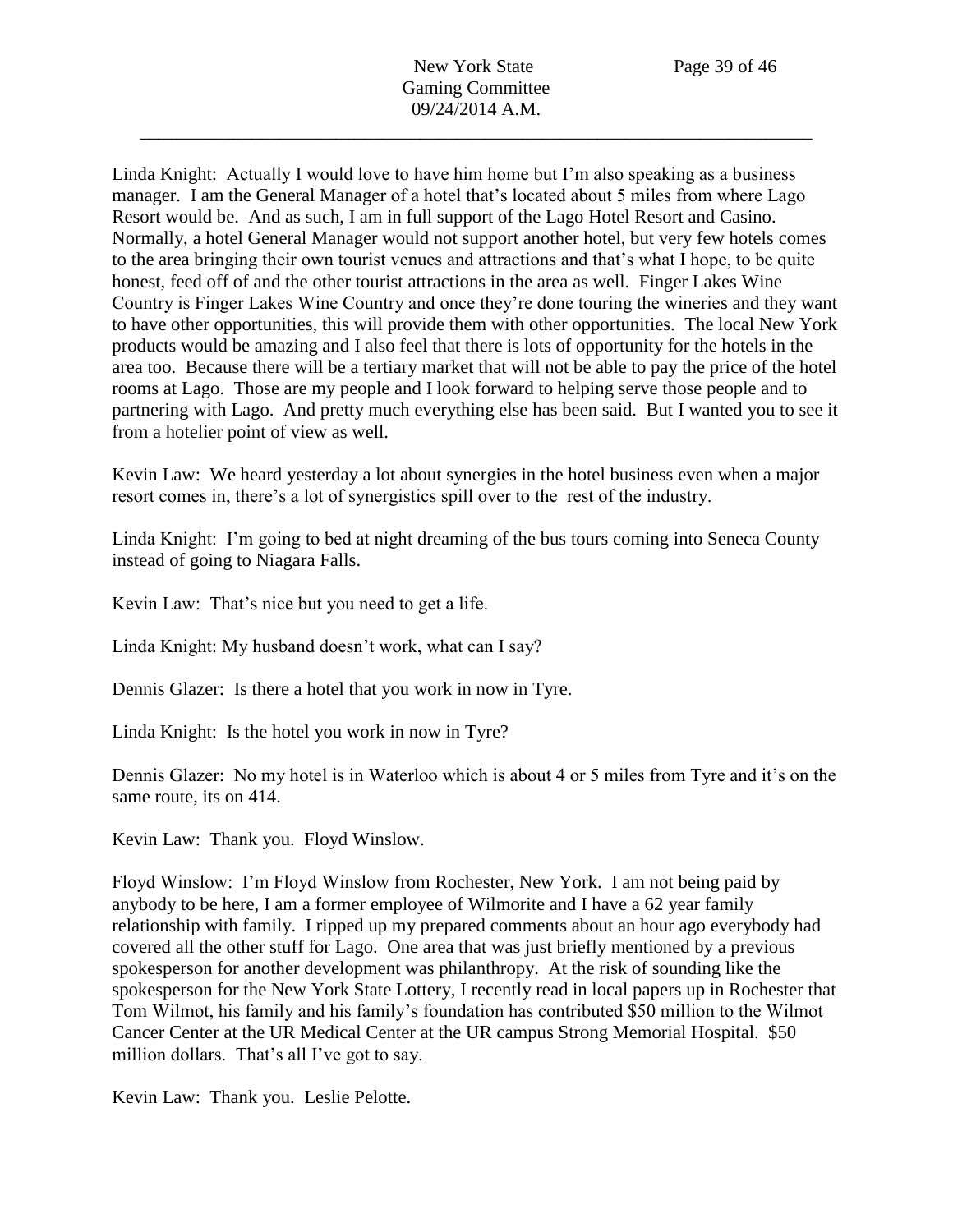Linda Knight: Actually I would love to have him home but I'm also speaking as a business manager. I am the General Manager of a hotel that's located about 5 miles from where Lago Resort would be. And as such, I am in full support of the Lago Hotel Resort and Casino. Normally, a hotel General Manager would not support another hotel, but very few hotels comes to the area bringing their own tourist venues and attractions and that's what I hope, to be quite honest, feed off of and the other tourist attractions in the area as well. Finger Lakes Wine Country is Finger Lakes Wine Country and once they're done touring the wineries and they want to have other opportunities, this will provide them with other opportunities. The local New York products would be amazing and I also feel that there is lots of opportunity for the hotels in the area too. Because there will be a tertiary market that will not be able to pay the price of the hotel rooms at Lago. Those are my people and I look forward to helping serve those people and to partnering with Lago. And pretty much everything else has been said. But I wanted you to see it from a hotelier point of view as well.

Kevin Law: We heard yesterday a lot about synergies in the hotel business even when a major resort comes in, there's a lot of synergistics spill over to the rest of the industry.

Linda Knight: I'm going to bed at night dreaming of the bus tours coming into Seneca County instead of going to Niagara Falls.

Kevin Law: That's nice but you need to get a life.

Linda Knight: My husband doesn't work, what can I say?

Dennis Glazer: Is there a hotel that you work in now in Tyre.

Linda Knight: Is the hotel you work in now in Tyre?

Dennis Glazer: No my hotel is in Waterloo which is about 4 or 5 miles from Tyre and it's on the same route, its on 414.

Kevin Law: Thank you. Floyd Winslow.

Floyd Winslow: I'm Floyd Winslow from Rochester, New York. I am not being paid by anybody to be here, I am a former employee of Wilmorite and I have a 62 year family relationship with family. I ripped up my prepared comments about an hour ago everybody had covered all the other stuff for Lago. One area that was just briefly mentioned by a previous spokesperson for another development was philanthropy. At the risk of sounding like the spokesperson for the New York State Lottery, I recently read in local papers up in Rochester that Tom Wilmot, his family and his family's foundation has contributed \$50 million to the Wilmot Cancer Center at the UR Medical Center at the UR campus Strong Memorial Hospital. \$50 million dollars. That's all I've got to say.

Kevin Law: Thank you. Leslie Pelotte.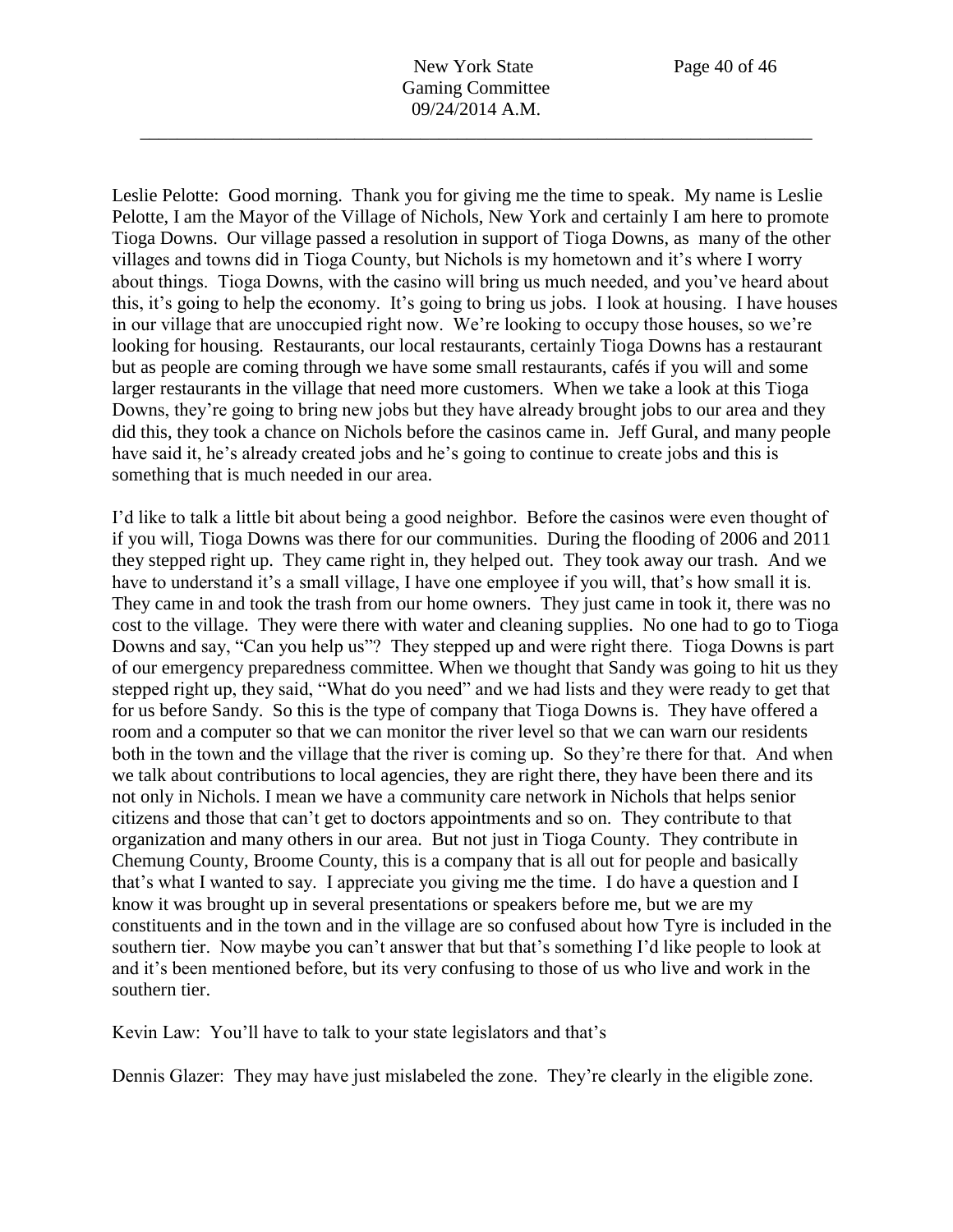Leslie Pelotte: Good morning. Thank you for giving me the time to speak. My name is Leslie Pelotte, I am the Mayor of the Village of Nichols, New York and certainly I am here to promote Tioga Downs. Our village passed a resolution in support of Tioga Downs, as many of the other villages and towns did in Tioga County, but Nichols is my hometown and it's where I worry about things. Tioga Downs, with the casino will bring us much needed, and you've heard about this, it's going to help the economy. It's going to bring us jobs. I look at housing. I have houses in our village that are unoccupied right now. We're looking to occupy those houses, so we're looking for housing. Restaurants, our local restaurants, certainly Tioga Downs has a restaurant but as people are coming through we have some small restaurants, cafés if you will and some larger restaurants in the village that need more customers. When we take a look at this Tioga Downs, they're going to bring new jobs but they have already brought jobs to our area and they did this, they took a chance on Nichols before the casinos came in. Jeff Gural, and many people have said it, he's already created jobs and he's going to continue to create jobs and this is something that is much needed in our area.

I'd like to talk a little bit about being a good neighbor. Before the casinos were even thought of if you will, Tioga Downs was there for our communities. During the flooding of 2006 and 2011 they stepped right up. They came right in, they helped out. They took away our trash. And we have to understand it's a small village, I have one employee if you will, that's how small it is. They came in and took the trash from our home owners. They just came in took it, there was no cost to the village. They were there with water and cleaning supplies. No one had to go to Tioga Downs and say, "Can you help us"? They stepped up and were right there. Tioga Downs is part of our emergency preparedness committee. When we thought that Sandy was going to hit us they stepped right up, they said, "What do you need" and we had lists and they were ready to get that for us before Sandy. So this is the type of company that Tioga Downs is. They have offered a room and a computer so that we can monitor the river level so that we can warn our residents both in the town and the village that the river is coming up. So they're there for that. And when we talk about contributions to local agencies, they are right there, they have been there and its not only in Nichols. I mean we have a community care network in Nichols that helps senior citizens and those that can't get to doctors appointments and so on. They contribute to that organization and many others in our area. But not just in Tioga County. They contribute in Chemung County, Broome County, this is a company that is all out for people and basically that's what I wanted to say. I appreciate you giving me the time. I do have a question and I know it was brought up in several presentations or speakers before me, but we are my constituents and in the town and in the village are so confused about how Tyre is included in the southern tier. Now maybe you can't answer that but that's something I'd like people to look at and it's been mentioned before, but its very confusing to those of us who live and work in the southern tier.

Kevin Law: You'll have to talk to your state legislators and that's

Dennis Glazer: They may have just mislabeled the zone. They're clearly in the eligible zone.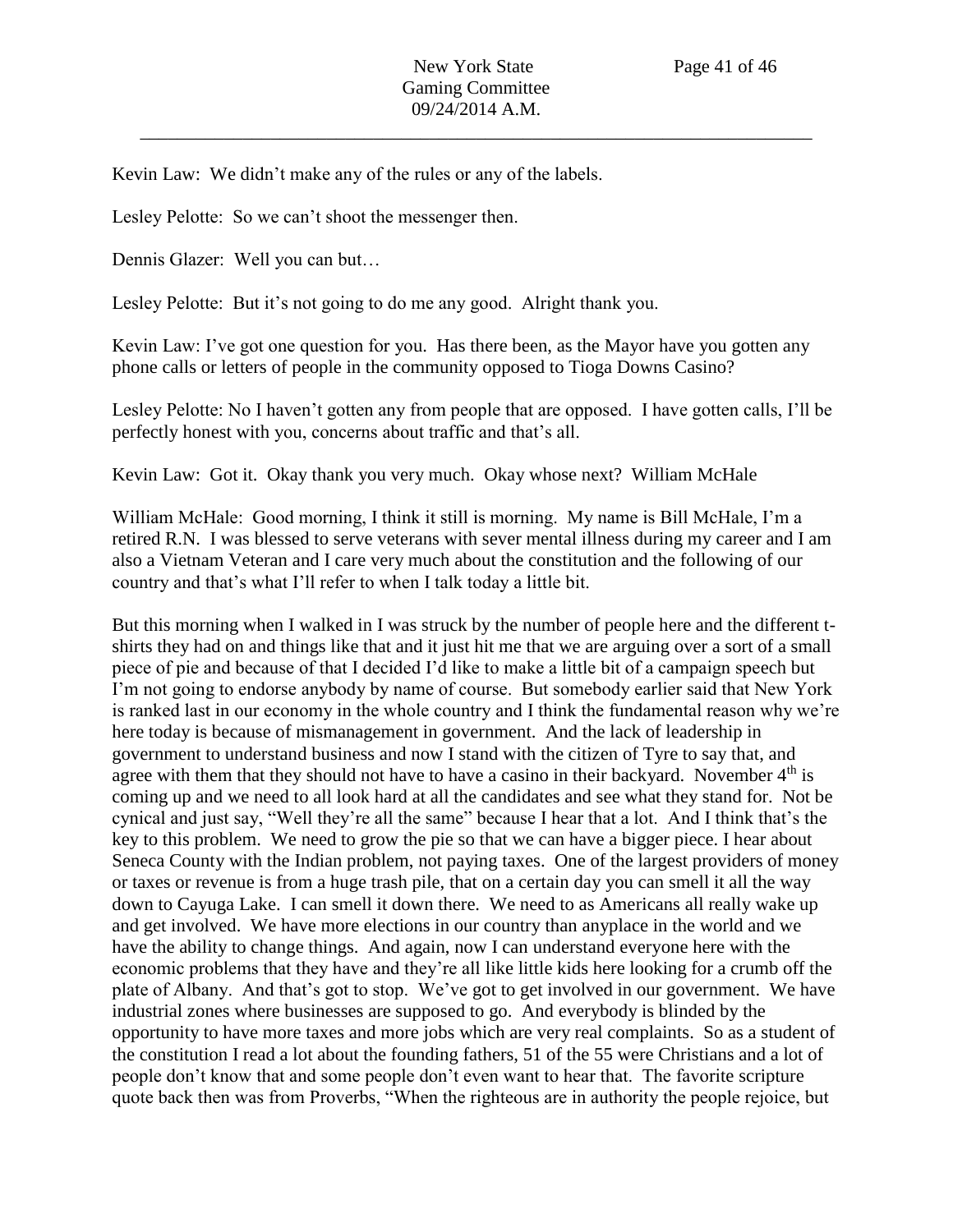Kevin Law: We didn't make any of the rules or any of the labels.

Lesley Pelotte: So we can't shoot the messenger then.

Dennis Glazer: Well you can but…

Lesley Pelotte: But it's not going to do me any good. Alright thank you.

Kevin Law: I've got one question for you. Has there been, as the Mayor have you gotten any phone calls or letters of people in the community opposed to Tioga Downs Casino?

Lesley Pelotte: No I haven't gotten any from people that are opposed. I have gotten calls, I'll be perfectly honest with you, concerns about traffic and that's all.

Kevin Law: Got it. Okay thank you very much. Okay whose next? William McHale

William McHale: Good morning, I think it still is morning. My name is Bill McHale, I'm a retired R.N. I was blessed to serve veterans with sever mental illness during my career and I am also a Vietnam Veteran and I care very much about the constitution and the following of our country and that's what I'll refer to when I talk today a little bit.

But this morning when I walked in I was struck by the number of people here and the different tshirts they had on and things like that and it just hit me that we are arguing over a sort of a small piece of pie and because of that I decided I'd like to make a little bit of a campaign speech but I'm not going to endorse anybody by name of course. But somebody earlier said that New York is ranked last in our economy in the whole country and I think the fundamental reason why we're here today is because of mismanagement in government. And the lack of leadership in government to understand business and now I stand with the citizen of Tyre to say that, and agree with them that they should not have to have a casino in their backyard. November  $4<sup>th</sup>$  is coming up and we need to all look hard at all the candidates and see what they stand for. Not be cynical and just say, "Well they're all the same" because I hear that a lot. And I think that's the key to this problem. We need to grow the pie so that we can have a bigger piece. I hear about Seneca County with the Indian problem, not paying taxes. One of the largest providers of money or taxes or revenue is from a huge trash pile, that on a certain day you can smell it all the way down to Cayuga Lake. I can smell it down there. We need to as Americans all really wake up and get involved. We have more elections in our country than anyplace in the world and we have the ability to change things. And again, now I can understand everyone here with the economic problems that they have and they're all like little kids here looking for a crumb off the plate of Albany. And that's got to stop. We've got to get involved in our government. We have industrial zones where businesses are supposed to go. And everybody is blinded by the opportunity to have more taxes and more jobs which are very real complaints. So as a student of the constitution I read a lot about the founding fathers, 51 of the 55 were Christians and a lot of people don't know that and some people don't even want to hear that. The favorite scripture quote back then was from Proverbs, "When the righteous are in authority the people rejoice, but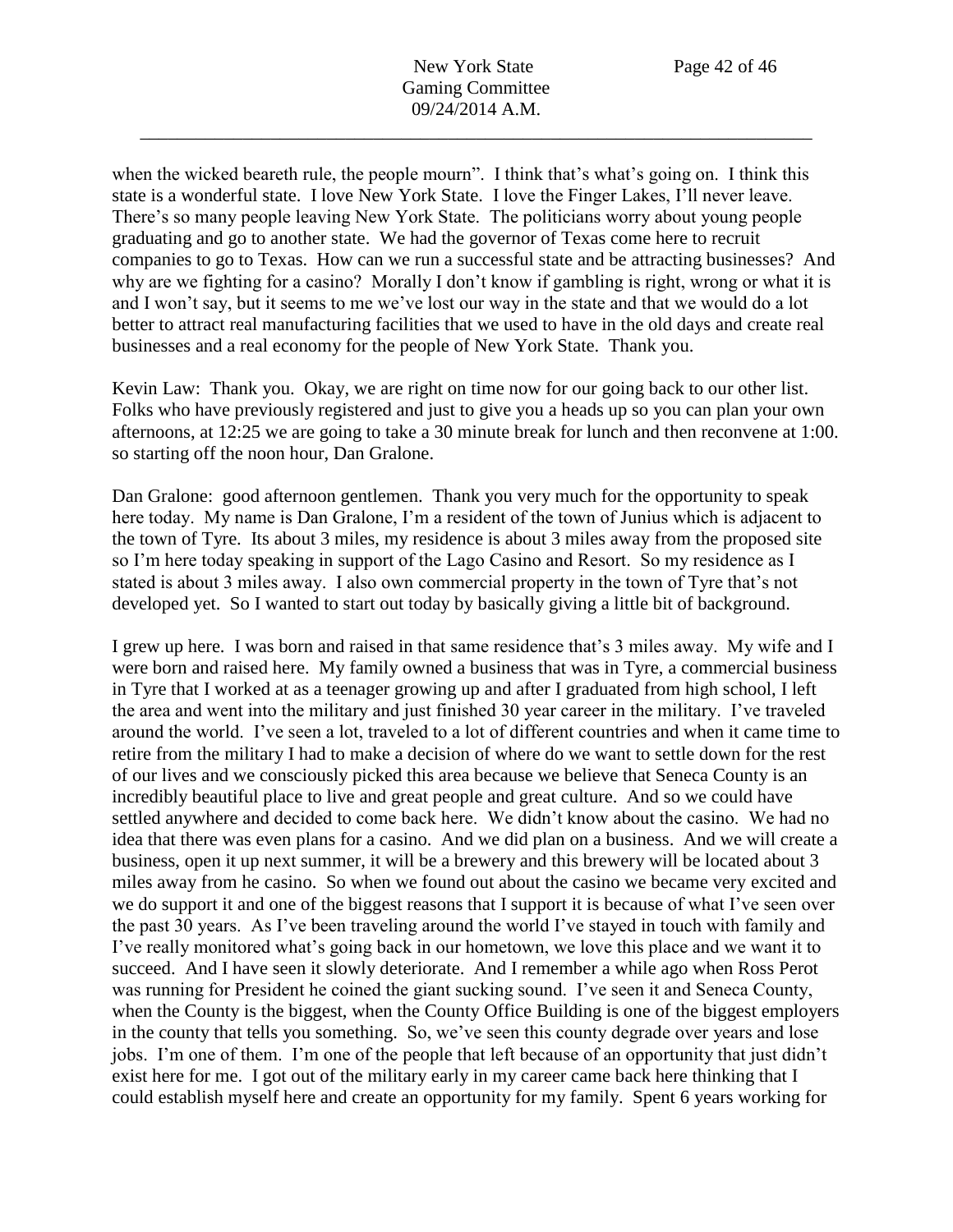when the wicked beareth rule, the people mourn". I think that's what's going on. I think this state is a wonderful state. I love New York State. I love the Finger Lakes, I'll never leave. There's so many people leaving New York State. The politicians worry about young people graduating and go to another state. We had the governor of Texas come here to recruit companies to go to Texas. How can we run a successful state and be attracting businesses? And why are we fighting for a casino? Morally I don't know if gambling is right, wrong or what it is and I won't say, but it seems to me we've lost our way in the state and that we would do a lot better to attract real manufacturing facilities that we used to have in the old days and create real businesses and a real economy for the people of New York State. Thank you.

Kevin Law: Thank you. Okay, we are right on time now for our going back to our other list. Folks who have previously registered and just to give you a heads up so you can plan your own afternoons, at 12:25 we are going to take a 30 minute break for lunch and then reconvene at 1:00. so starting off the noon hour, Dan Gralone.

Dan Gralone: good afternoon gentlemen. Thank you very much for the opportunity to speak here today. My name is Dan Gralone, I'm a resident of the town of Junius which is adjacent to the town of Tyre. Its about 3 miles, my residence is about 3 miles away from the proposed site so I'm here today speaking in support of the Lago Casino and Resort. So my residence as I stated is about 3 miles away. I also own commercial property in the town of Tyre that's not developed yet. So I wanted to start out today by basically giving a little bit of background.

I grew up here. I was born and raised in that same residence that's 3 miles away. My wife and I were born and raised here. My family owned a business that was in Tyre, a commercial business in Tyre that I worked at as a teenager growing up and after I graduated from high school, I left the area and went into the military and just finished 30 year career in the military. I've traveled around the world. I've seen a lot, traveled to a lot of different countries and when it came time to retire from the military I had to make a decision of where do we want to settle down for the rest of our lives and we consciously picked this area because we believe that Seneca County is an incredibly beautiful place to live and great people and great culture. And so we could have settled anywhere and decided to come back here. We didn't know about the casino. We had no idea that there was even plans for a casino. And we did plan on a business. And we will create a business, open it up next summer, it will be a brewery and this brewery will be located about 3 miles away from he casino. So when we found out about the casino we became very excited and we do support it and one of the biggest reasons that I support it is because of what I've seen over the past 30 years. As I've been traveling around the world I've stayed in touch with family and I've really monitored what's going back in our hometown, we love this place and we want it to succeed. And I have seen it slowly deteriorate. And I remember a while ago when Ross Perot was running for President he coined the giant sucking sound. I've seen it and Seneca County, when the County is the biggest, when the County Office Building is one of the biggest employers in the county that tells you something. So, we've seen this county degrade over years and lose jobs. I'm one of them. I'm one of the people that left because of an opportunity that just didn't exist here for me. I got out of the military early in my career came back here thinking that I could establish myself here and create an opportunity for my family. Spent 6 years working for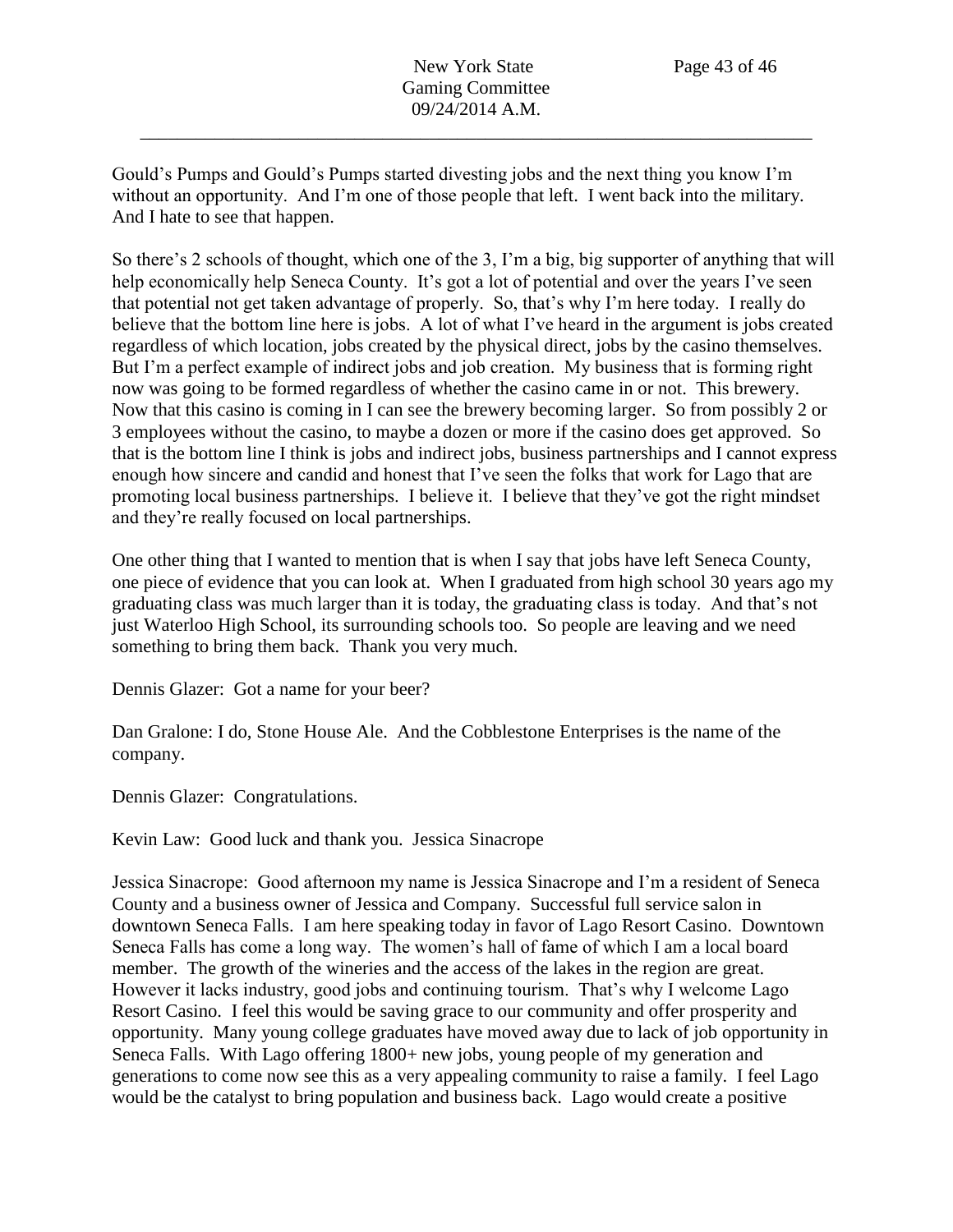Gould's Pumps and Gould's Pumps started divesting jobs and the next thing you know I'm without an opportunity. And I'm one of those people that left. I went back into the military. And I hate to see that happen.

So there's 2 schools of thought, which one of the 3, I'm a big, big supporter of anything that will help economically help Seneca County. It's got a lot of potential and over the years I've seen that potential not get taken advantage of properly. So, that's why I'm here today. I really do believe that the bottom line here is jobs. A lot of what I've heard in the argument is jobs created regardless of which location, jobs created by the physical direct, jobs by the casino themselves. But I'm a perfect example of indirect jobs and job creation. My business that is forming right now was going to be formed regardless of whether the casino came in or not. This brewery. Now that this casino is coming in I can see the brewery becoming larger. So from possibly 2 or 3 employees without the casino, to maybe a dozen or more if the casino does get approved. So that is the bottom line I think is jobs and indirect jobs, business partnerships and I cannot express enough how sincere and candid and honest that I've seen the folks that work for Lago that are promoting local business partnerships. I believe it. I believe that they've got the right mindset and they're really focused on local partnerships.

One other thing that I wanted to mention that is when I say that jobs have left Seneca County, one piece of evidence that you can look at. When I graduated from high school 30 years ago my graduating class was much larger than it is today, the graduating class is today. And that's not just Waterloo High School, its surrounding schools too. So people are leaving and we need something to bring them back. Thank you very much.

Dennis Glazer: Got a name for your beer?

Dan Gralone: I do, Stone House Ale. And the Cobblestone Enterprises is the name of the company.

Dennis Glazer: Congratulations.

Kevin Law: Good luck and thank you. Jessica Sinacrope

Jessica Sinacrope: Good afternoon my name is Jessica Sinacrope and I'm a resident of Seneca County and a business owner of Jessica and Company. Successful full service salon in downtown Seneca Falls. I am here speaking today in favor of Lago Resort Casino. Downtown Seneca Falls has come a long way. The women's hall of fame of which I am a local board member. The growth of the wineries and the access of the lakes in the region are great. However it lacks industry, good jobs and continuing tourism. That's why I welcome Lago Resort Casino. I feel this would be saving grace to our community and offer prosperity and opportunity. Many young college graduates have moved away due to lack of job opportunity in Seneca Falls. With Lago offering 1800+ new jobs, young people of my generation and generations to come now see this as a very appealing community to raise a family. I feel Lago would be the catalyst to bring population and business back. Lago would create a positive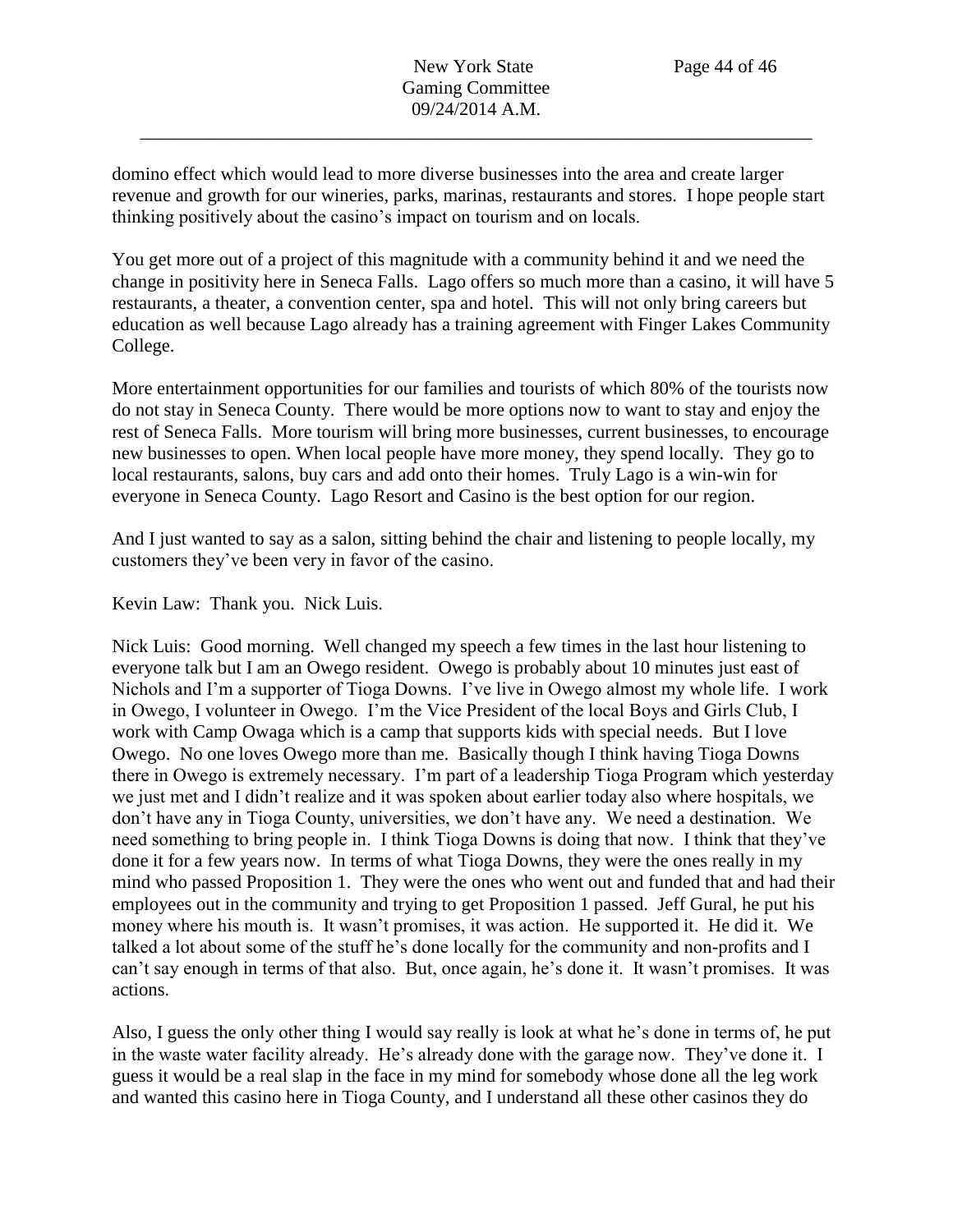domino effect which would lead to more diverse businesses into the area and create larger revenue and growth for our wineries, parks, marinas, restaurants and stores. I hope people start thinking positively about the casino's impact on tourism and on locals.

You get more out of a project of this magnitude with a community behind it and we need the change in positivity here in Seneca Falls. Lago offers so much more than a casino, it will have 5 restaurants, a theater, a convention center, spa and hotel. This will not only bring careers but education as well because Lago already has a training agreement with Finger Lakes Community College.

More entertainment opportunities for our families and tourists of which 80% of the tourists now do not stay in Seneca County. There would be more options now to want to stay and enjoy the rest of Seneca Falls. More tourism will bring more businesses, current businesses, to encourage new businesses to open. When local people have more money, they spend locally. They go to local restaurants, salons, buy cars and add onto their homes. Truly Lago is a win-win for everyone in Seneca County. Lago Resort and Casino is the best option for our region.

And I just wanted to say as a salon, sitting behind the chair and listening to people locally, my customers they've been very in favor of the casino.

Kevin Law: Thank you. Nick Luis.

Nick Luis: Good morning. Well changed my speech a few times in the last hour listening to everyone talk but I am an Owego resident. Owego is probably about 10 minutes just east of Nichols and I'm a supporter of Tioga Downs. I've live in Owego almost my whole life. I work in Owego, I volunteer in Owego. I'm the Vice President of the local Boys and Girls Club, I work with Camp Owaga which is a camp that supports kids with special needs. But I love Owego. No one loves Owego more than me. Basically though I think having Tioga Downs there in Owego is extremely necessary. I'm part of a leadership Tioga Program which yesterday we just met and I didn't realize and it was spoken about earlier today also where hospitals, we don't have any in Tioga County, universities, we don't have any. We need a destination. We need something to bring people in. I think Tioga Downs is doing that now. I think that they've done it for a few years now. In terms of what Tioga Downs, they were the ones really in my mind who passed Proposition 1. They were the ones who went out and funded that and had their employees out in the community and trying to get Proposition 1 passed. Jeff Gural, he put his money where his mouth is. It wasn't promises, it was action. He supported it. He did it. We talked a lot about some of the stuff he's done locally for the community and non-profits and I can't say enough in terms of that also. But, once again, he's done it. It wasn't promises. It was actions.

Also, I guess the only other thing I would say really is look at what he's done in terms of, he put in the waste water facility already. He's already done with the garage now. They've done it. I guess it would be a real slap in the face in my mind for somebody whose done all the leg work and wanted this casino here in Tioga County, and I understand all these other casinos they do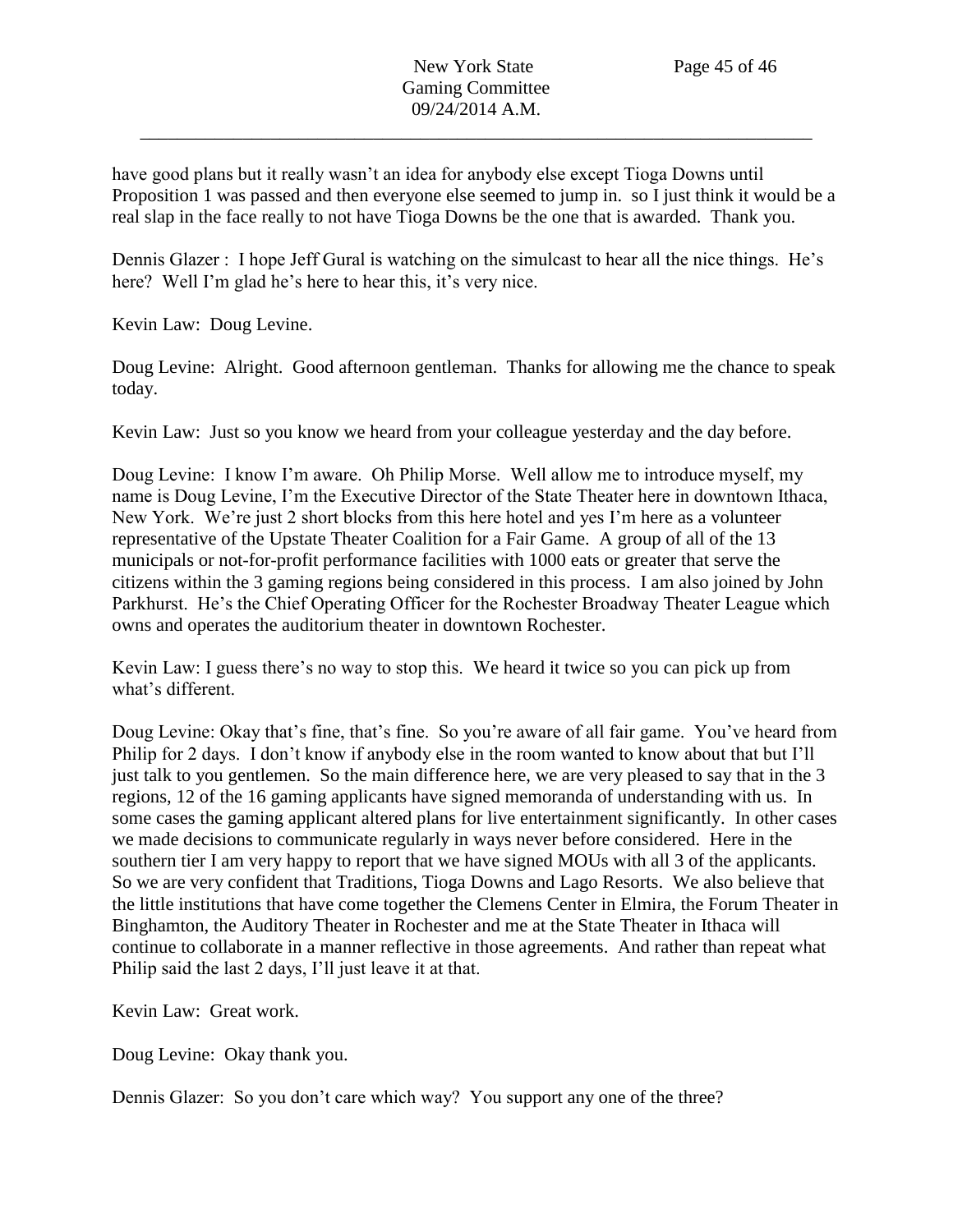have good plans but it really wasn't an idea for anybody else except Tioga Downs until Proposition 1 was passed and then everyone else seemed to jump in. so I just think it would be a real slap in the face really to not have Tioga Downs be the one that is awarded. Thank you.

Dennis Glazer : I hope Jeff Gural is watching on the simulcast to hear all the nice things. He's here? Well I'm glad he's here to hear this, it's very nice.

Kevin Law: Doug Levine.

Doug Levine: Alright. Good afternoon gentleman. Thanks for allowing me the chance to speak today.

Kevin Law: Just so you know we heard from your colleague yesterday and the day before.

Doug Levine: I know I'm aware. Oh Philip Morse. Well allow me to introduce myself, my name is Doug Levine, I'm the Executive Director of the State Theater here in downtown Ithaca, New York. We're just 2 short blocks from this here hotel and yes I'm here as a volunteer representative of the Upstate Theater Coalition for a Fair Game. A group of all of the 13 municipals or not-for-profit performance facilities with 1000 eats or greater that serve the citizens within the 3 gaming regions being considered in this process. I am also joined by John Parkhurst. He's the Chief Operating Officer for the Rochester Broadway Theater League which owns and operates the auditorium theater in downtown Rochester.

Kevin Law: I guess there's no way to stop this. We heard it twice so you can pick up from what's different.

Doug Levine: Okay that's fine, that's fine. So you're aware of all fair game. You've heard from Philip for 2 days. I don't know if anybody else in the room wanted to know about that but I'll just talk to you gentlemen. So the main difference here, we are very pleased to say that in the 3 regions, 12 of the 16 gaming applicants have signed memoranda of understanding with us. In some cases the gaming applicant altered plans for live entertainment significantly. In other cases we made decisions to communicate regularly in ways never before considered. Here in the southern tier I am very happy to report that we have signed MOUs with all 3 of the applicants. So we are very confident that Traditions, Tioga Downs and Lago Resorts. We also believe that the little institutions that have come together the Clemens Center in Elmira, the Forum Theater in Binghamton, the Auditory Theater in Rochester and me at the State Theater in Ithaca will continue to collaborate in a manner reflective in those agreements. And rather than repeat what Philip said the last 2 days, I'll just leave it at that.

Kevin Law: Great work.

Doug Levine: Okay thank you.

Dennis Glazer: So you don't care which way? You support any one of the three?